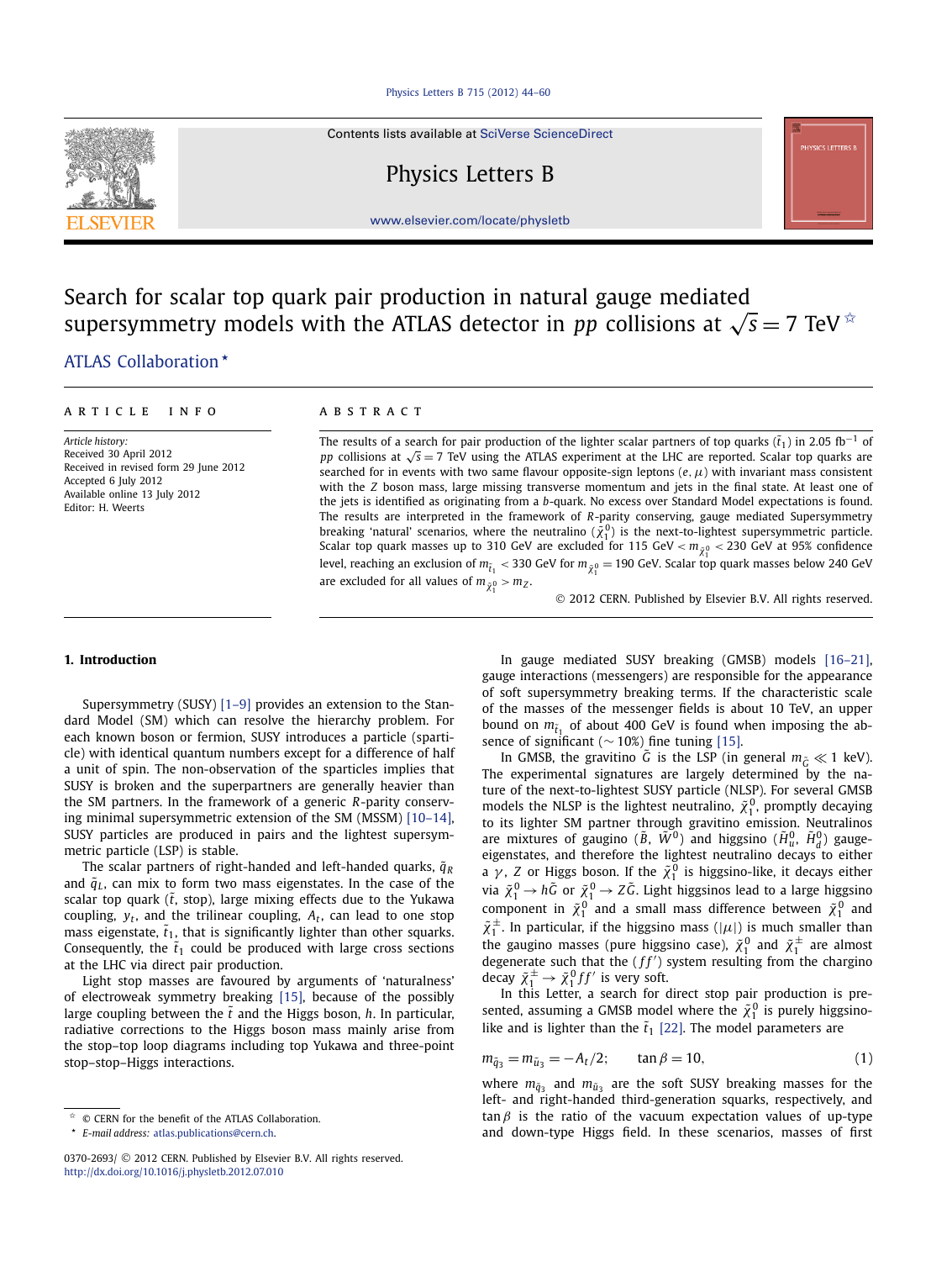#### [Physics Letters B 715 \(2012\) 44–60](http://dx.doi.org/10.1016/j.physletb.2012.07.010)

Contents lists available at [SciVerse ScienceDirect](http://www.ScienceDirect.com/)

Physics Letters B



[www.elsevier.com/locate/physletb](http://www.elsevier.com/locate/physletb)

# Search for scalar top quark pair production in natural gauge mediated supersymmetry models with the ATLAS detector in *pp* collisions at  $\sqrt{s} = 7$  TeV  $\approx$

## [.ATLAS Collaboration](#page-5-0) *-*

#### article info abstract

*Article history:* Received 30 April 2012 Received in revised form 29 June 2012 Accepted 6 July 2012 Available online 13 July 2012 Editor: H. Weerts

The results of a search for pair production of the lighter scalar partners of top quarks ( $\tilde{t}_1$ ) in 2.05 fb<sup>-1</sup> of *pp* collisions at √*s* = 7 TeV using the ATLAS experiment at the LHC are reported. Scalar top quarks are searched for in events with two same flavour opposite-sign leptons  $(e, \mu)$  with invariant mass consistent with the *Z* boson mass, large missing transverse momentum and jets in the final state. At least one of the jets is identified as originating from a *b*-quark. No excess over Standard Model expectations is found. The results are interpreted in the framework of *R*-parity conserving, gauge mediated Supersymmetry breaking 'natural' scenarios, where the neutralino  $({\tilde{\chi}}_1^0)$  is the next-to-lightest supersymmetric particle. Scalar top quark masses up to 310 GeV are excluded for 115 GeV <  $m_{\tilde{\chi}^0_1}$  < 230 GeV at 95% confidence level, reaching an exclusion of  $m_{\tilde t_1} <$  330 GeV for  $m_{\tilde\chi_1^0}$  = 190 GeV. Scalar top quark masses below 240 GeV are excluded for all values of  $m_{\tilde{\chi}^0_1} > m_Z.$ 

© 2012 CERN. Published by Elsevier B.V. All rights reserved.

#### **1. Introduction**

Supersymmetry (SUSY) [\[1–9\]](#page-4-0) provides an extension to the Standard Model (SM) which can resolve the hierarchy problem. For each known boson or fermion, SUSY introduces a particle (sparticle) with identical quantum numbers except for a difference of half a unit of spin. The non-observation of the sparticles implies that SUSY is broken and the superpartners are generally heavier than the SM partners. In the framework of a generic *R*-parity conserving minimal supersymmetric extension of the SM (MSSM) [\[10–14\],](#page-5-0) SUSY particles are produced in pairs and the lightest supersymmetric particle (LSP) is stable.

The scalar partners of right-handed and left-handed quarks,  $\tilde{q}_R$ and  $\tilde{q}_L$ , can mix to form two mass eigenstates. In the case of the scalar top quark  $(\tilde{t},$  stop), large mixing effects due to the Yukawa coupling, *yt*, and the trilinear coupling, *At*, can lead to one stop mass eigenstate,  $\tilde{t}_1$ , that is significantly lighter than other squarks. Consequently, the  $\tilde{t}_1$  could be produced with large cross sections at the LHC via direct pair production.

Light stop masses are favoured by arguments of 'naturalness' of electroweak symmetry breaking [\[15\],](#page-5-0) because of the possibly large coupling between the  $\tilde{t}$  and the Higgs boson,  $h$ . In particular, radiative corrections to the Higgs boson mass mainly arise from the stop–top loop diagrams including top Yukawa and three-point stop–stop–Higgs interactions.

In gauge mediated SUSY breaking (GMSB) models [\[16–21\],](#page-5-0) gauge interactions (messengers) are responsible for the appearance of soft supersymmetry breaking terms. If the characteristic scale of the masses of the messenger fields is about 10 TeV, an upper bound on  $m_{\tilde{t}_1}$  of about 400 GeV is found when imposing the absence of significant ( $\sim$  10%) fine tuning [\[15\].](#page-5-0)

In GMSB, the gravitino  $\tilde{G}$  is the LSP (in general  $m_{\tilde{G}} \ll 1$  keV). The experimental signatures are largely determined by the nature of the next-to-lightest SUSY particle (NLSP). For several GMSB models the NLSP is the lightest neutralino,  $\tilde{\chi}_1^0$ , promptly decaying to its lighter SM partner through gravitino emission. Neutralinos are mixtures of gaugino ( $\tilde{B}$ ,  $\tilde{W}^0$ ) and higgsino ( $\tilde{H}^0_u$ ,  $\tilde{H}^0_d$ ) gaugeeigenstates, and therefore the lightest neutralino decays to either a  $\gamma$ , *Z* or Higgs boson. If the  $\tilde{\chi}_1^0$  is higgsino-like, it decays either via  $\tilde{\chi}_1^0 \rightarrow h \tilde{G}$  or  $\tilde{\chi}_1^0 \rightarrow Z \tilde{G}$ . Light higgsinos lead to a large higgsino component in  $\tilde{\chi}_1^0$  and a small mass difference between  $\tilde{\chi}_1^0$  and  $\tilde{\chi}_1^{\pm}$ . In particular, if the higgsino mass ( $|\mu|$ ) is much smaller than the gaugino masses (pure higgsino case),  $\tilde{\chi}_1^0$  and  $\tilde{\chi}_1^{\pm}$  are almost degenerate such that the  $(f f')$  system resulting from the chargino decay  $\tilde{\chi}_1^{\pm} \rightarrow \tilde{\chi}_1^0 f f'$  is very soft.

In this Letter, a search for direct stop pair production is presented, assuming a GMSB model where the  $\tilde{\chi}_1^0$  is purely higgsinolike and is lighter than the  $\tilde{t}_1$  [\[22\].](#page-5-0) The model parameters are

$$
m_{\tilde{q}_3} = m_{\tilde{u}_3} = -A_t/2; \qquad \tan \beta = 10,
$$
 (1)

where  $m_{\tilde{q}_3}$  and  $m_{\tilde{u}_3}$  are the soft SUSY breaking masses for the left- and right-handed third-generation squarks, respectively, and  $tan \beta$  is the ratio of the vacuum expectation values of up-type and down-type Higgs field. In these scenarios, masses of first

 $\hat{z}$  © CERN for the benefit of the ATLAS Collaboration.

*<sup>-</sup> E-mail address:* [atlas.publications@cern.ch.](mailto:atlas.publications@cern.ch)

<sup>0370-2693/</sup> © 2012 CERN. Published by Elsevier B.V. All rights reserved. <http://dx.doi.org/10.1016/j.physletb.2012.07.010>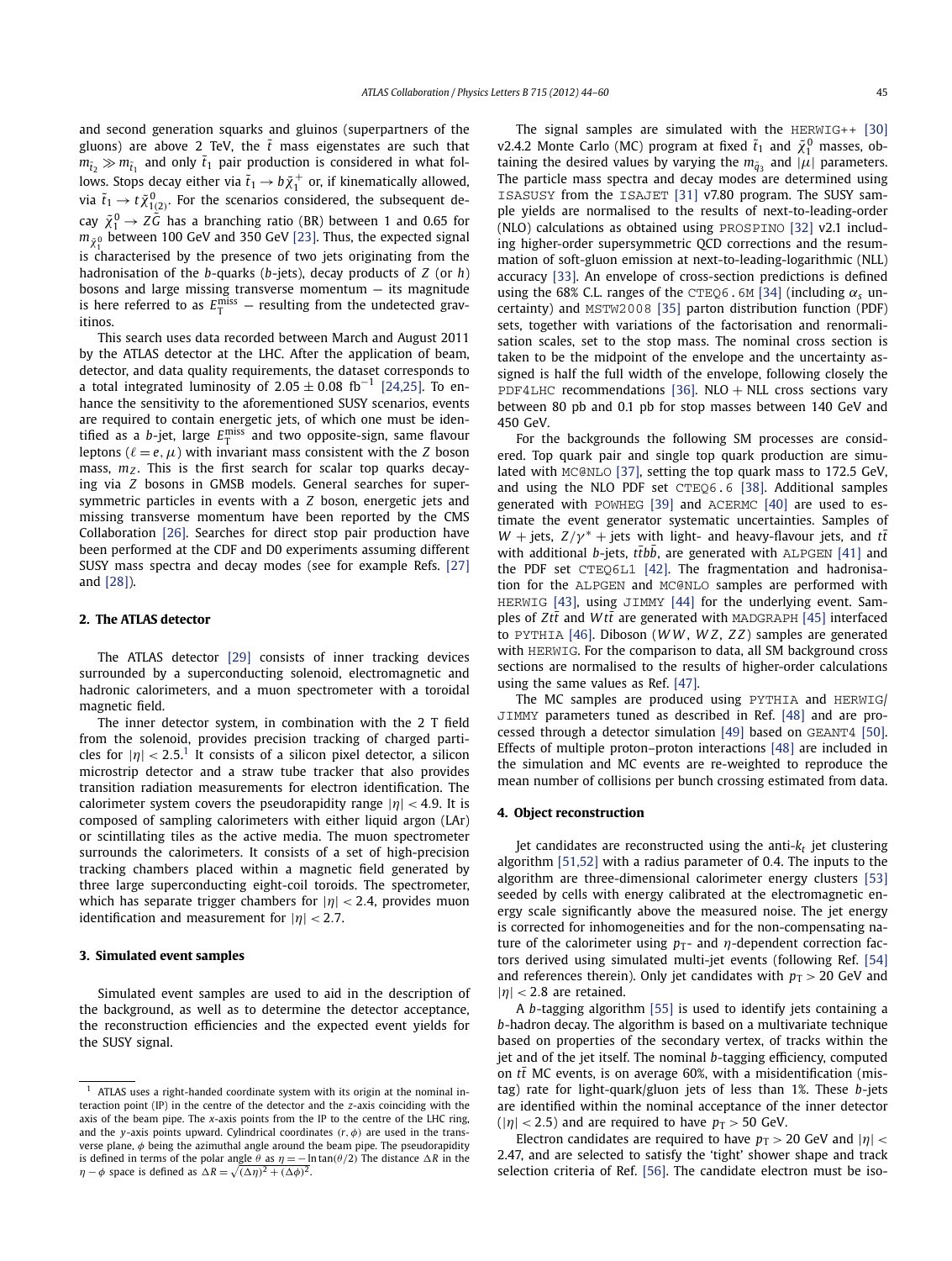and second generation squarks and gluinos (superpartners of the gluons) are above 2 TeV, the  $\tilde{t}$  mass eigenstates are such that  $m_{\tilde{t}_2} \gg m_{\tilde{t}_1}$  and only  $\tilde{t}_1$  pair production is considered in what follows. Stops decay either via  $\tilde{t}_1 \rightarrow b \tilde{\chi}^+_1$  or, if kinematically allowed, via  $\tilde{t}_1 \rightarrow t \tilde{\chi}^0_{1(2)}$ . For the scenarios considered, the subsequent decay  $\tilde{\chi}_1^0 \rightarrow Z \tilde{G}$  has a branching ratio (BR) between 1 and 0.65 for  $m_{\tilde{\chi}^0_1}$  between 100 GeV and 350 GeV [\[23\].](#page-5-0) Thus, the expected signal is characterised by the presence of two jets originating from the hadronisation of the *b*-quarks (*b*-jets), decay products of *Z* (or *h*) bosons and large missing transverse momentum  $-$  its magnitude is here referred to as  $E_{\text{T}}^{\text{miss}}$  — resulting from the undetected gravitinos.

This search uses data recorded between March and August 2011 by the ATLAS detector at the LHC. After the application of beam, detector, and data quality requirements, the dataset corresponds to a total integrated luminosity of  $2.05 \pm 0.08$  fb<sup>-1</sup> [\[24,25\].](#page-5-0) To enhance the sensitivity to the aforementioned SUSY scenarios, events are required to contain energetic jets, of which one must be identified as a *b*-jet, large  $E_{\text{T}}^{\text{miss}}$  and two opposite-sign, same flavour leptons ( $\ell = e, \mu$ ) with invariant mass consistent with the *Z* boson mass,  $m_Z$ . This is the first search for scalar top quarks decaying via *Z* bosons in GMSB models. General searches for supersymmetric particles in events with a *Z* boson, energetic jets and missing transverse momentum have been reported by the CMS Collaboration [\[26\].](#page-5-0) Searches for direct stop pair production have been performed at the CDF and D0 experiments assuming different SUSY mass spectra and decay modes (see for example Refs. [\[27\]](#page-5-0) and [\[28\]\)](#page-5-0).

#### **2. The ATLAS detector**

The ATLAS detector [\[29\]](#page-5-0) consists of inner tracking devices surrounded by a superconducting solenoid, electromagnetic and hadronic calorimeters, and a muon spectrometer with a toroidal magnetic field.

The inner detector system, in combination with the 2 T field from the solenoid, provides precision tracking of charged particles for  $|\eta| < 2.5$ <sup>1</sup> It consists of a silicon pixel detector, a silicon microstrip detector and a straw tube tracker that also provides transition radiation measurements for electron identification. The calorimeter system covers the pseudorapidity range |*η*| *<* <sup>4</sup>*.*9. It is composed of sampling calorimeters with either liquid argon (LAr) or scintillating tiles as the active media. The muon spectrometer surrounds the calorimeters. It consists of a set of high-precision tracking chambers placed within a magnetic field generated by three large superconducting eight-coil toroids. The spectrometer, which has separate trigger chambers for |*η*| *<* <sup>2</sup>*.*4, provides muon identification and measurement for |*η*| *<* <sup>2</sup>*.*7.

#### **3. Simulated event samples**

Simulated event samples are used to aid in the description of the background, as well as to determine the detector acceptance, the reconstruction efficiencies and the expected event yields for the SUSY signal.

The signal samples are simulated with the HERWIG++ [\[30\]](#page-5-0) v2.4.2 Monte Carlo (MC) program at fixed  $\tilde{t}_1$  and  $\tilde{\chi}_1^0$  masses, obtaining the desired values by varying the  $m_{\tilde{q}_3}$  and  $|\mu|$  parameters. The particle mass spectra and decay modes are determined using ISASUSY from the ISAJET [\[31\]](#page-5-0) v7.80 program. The SUSY sample yields are normalised to the results of next-to-leading-order (NLO) calculations as obtained using PROSPINO [\[32\]](#page-5-0) v2.1 including higher-order supersymmetric QCD corrections and the resummation of soft-gluon emission at next-to-leading-logarithmic (NLL) accuracy [\[33\].](#page-5-0) An envelope of cross-section predictions is defined using the 68% C.L. ranges of the CTEQ6.6M [\[34\]](#page-5-0) (including  $\alpha_s$  uncertainty) and MSTW2008 [\[35\]](#page-5-0) parton distribution function (PDF) sets, together with variations of the factorisation and renormalisation scales, set to the stop mass. The nominal cross section is taken to be the midpoint of the envelope and the uncertainty assigned is half the full width of the envelope, following closely the PDF4LHC recommendations [\[36\].](#page-5-0) NLO + NLL cross sections vary between 80 pb and 0.1 pb for stop masses between 140 GeV and 450 GeV.

For the backgrounds the following SM processes are considered. Top quark pair and single top quark production are simulated with MC@NLO [\[37\],](#page-5-0) setting the top quark mass to 172.5 GeV, and using the NLO PDF set CTEQ6.6 [\[38\].](#page-5-0) Additional samples generated with POWHEG [\[39\]](#page-5-0) and ACERMC [\[40\]](#page-5-0) are used to estimate the event generator systematic uncertainties. Samples of *W* + jets,  $Z/\gamma^*$  + jets with light- and heavy-flavour jets, and  $t\bar{t}$ with additional *b*-jets, ttbb, are generated with ALPGEN [\[41\]](#page-5-0) and the PDF set CTEQ6L1 [\[42\].](#page-5-0) The fragmentation and hadronisation for the ALPGEN and MC@NLO samples are performed with HERWIG [\[43\],](#page-5-0) using JIMMY [\[44\]](#page-5-0) for the underlying event. Samples of  $Zt\bar{t}$  and  $Wt\bar{t}$  are generated with MADGRAPH [\[45\]](#page-5-0) interfaced to PYTHIA [\[46\].](#page-5-0) Diboson (*W W* , *W Z*, *Z Z*) samples are generated with HERWIG. For the comparison to data, all SM background cross sections are normalised to the results of higher-order calculations using the same values as Ref. [\[47\].](#page-5-0)

The MC samples are produced using PYTHIA and HERWIG/ JIMMY parameters tuned as described in Ref. [\[48\]](#page-5-0) and are processed through a detector simulation [\[49\]](#page-5-0) based on GEANT4 [\[50\].](#page-5-0) Effects of multiple proton–proton interactions [\[48\]](#page-5-0) are included in the simulation and MC events are re-weighted to reproduce the mean number of collisions per bunch crossing estimated from data.

#### **4. Object reconstruction**

Jet candidates are reconstructed using the anti-*kt* jet clustering algorithm [\[51,52\]](#page-5-0) with a radius parameter of 0*.*4. The inputs to the algorithm are three-dimensional calorimeter energy clusters [\[53\]](#page-5-0) seeded by cells with energy calibrated at the electromagnetic energy scale significantly above the measured noise. The jet energy is corrected for inhomogeneities and for the non-compensating nature of the calorimeter using  $p_T$ - and  $\eta$ -dependent correction factors derived using simulated multi-jet events (following Ref. [\[54\]](#page-5-0) and references therein). Only jet candidates with  $p_T > 20$  GeV and  $|\eta|$  < 2.8 are retained.

A *b*-tagging algorithm [\[55\]](#page-5-0) is used to identify jets containing a *b*-hadron decay. The algorithm is based on a multivariate technique based on properties of the secondary vertex, of tracks within the jet and of the jet itself. The nominal *b*-tagging efficiency, computed on  $t\bar{t}$  MC events, is on average 60%, with a misidentification (mistag) rate for light-quark/gluon jets of less than 1%. These *b*-jets are identified within the nominal acceptance of the inner detector  $(|\eta| < 2.5)$  and are required to have  $p_T > 50$  GeV.

Electron candidates are required to have  $p_T > 20$  GeV and  $|\eta|$  < 2.47, and are selected to satisfy the 'tight' shower shape and track selection criteria of Ref. [\[56\].](#page-5-0) The candidate electron must be iso-

ATLAS uses a right-handed coordinate system with its origin at the nominal interaction point (IP) in the centre of the detector and the *z*-axis coinciding with the axis of the beam pipe. The *x*-axis points from the IP to the centre of the LHC ring, and the *y*-axis points upward. Cylindrical coordinates *(r,φ)* are used in the transverse plane, *φ* being the azimuthal angle around the beam pipe. The pseudorapidity is defined in terms of the polar angle  $\theta$  as  $\eta = -\ln \tan(\theta/2)$  The distance  $\Delta R$  in the *η* − *φ* space is defined as  $\Delta R = \sqrt{(\Delta \eta)^2 + (\Delta \phi)^2}$ .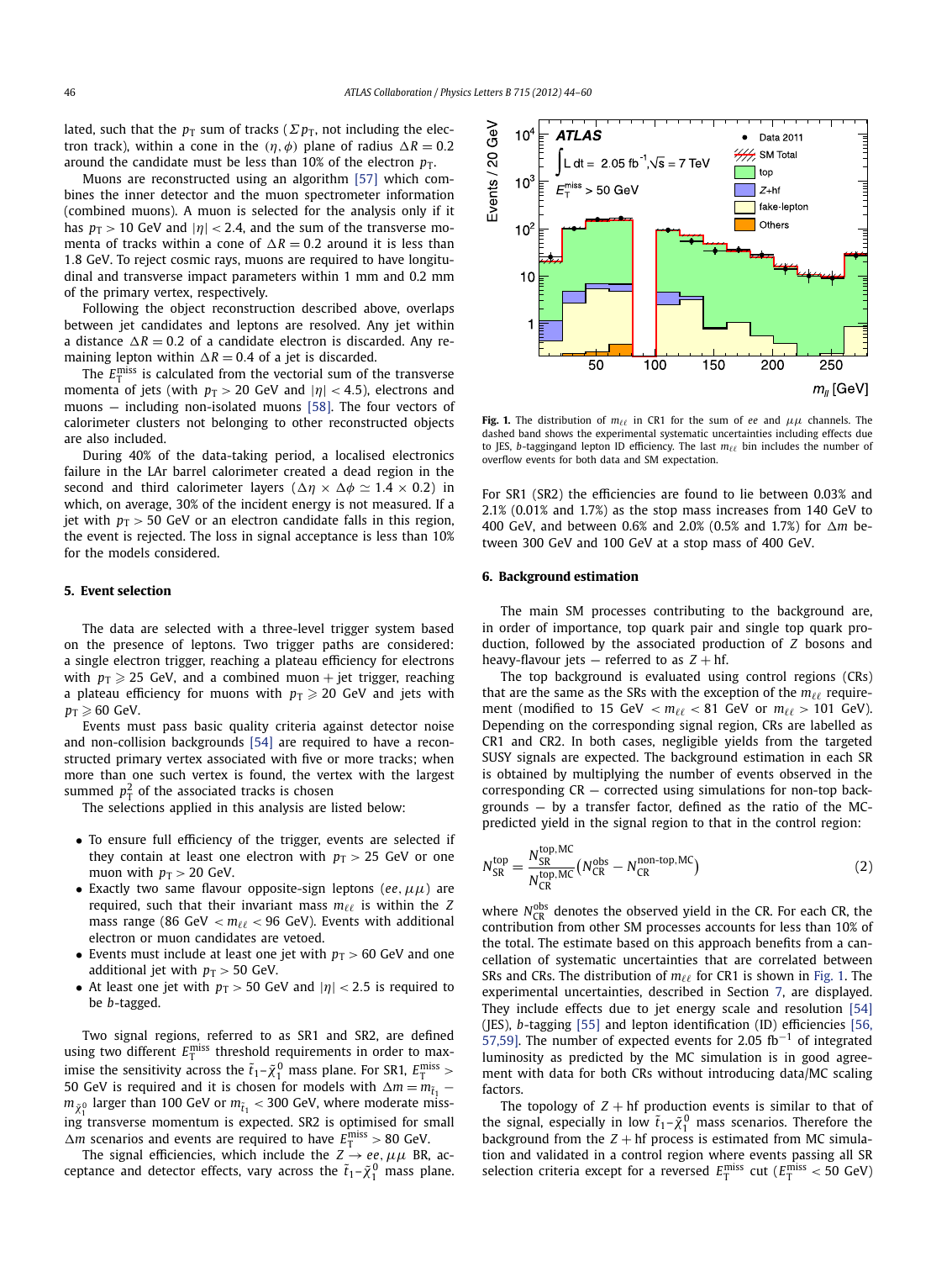$10^{\circ}$ 

**ATLAS** 

lated, such that the  $p<sub>T</sub>$  sum of tracks ( $\Sigma p<sub>T</sub>$ , not including the electron track), within a cone in the  $(\eta, \phi)$  plane of radius  $\Delta R = 0.2$ around the candidate must be less than  $10\%$  of the electron  $p_T$ .

Muons are reconstructed using an algorithm [\[57\]](#page-5-0) which combines the inner detector and the muon spectrometer information (combined muons). A muon is selected for the analysis only if it has  $p_T > 10$  GeV and  $|\eta| < 2.4$ , and the sum of the transverse momenta of tracks within a cone of  $\Delta R = 0.2$  around it is less than 1*.*8 GeV. To reject cosmic rays, muons are required to have longitudinal and transverse impact parameters within 1 mm and 0.2 mm of the primary vertex, respectively.

Following the object reconstruction described above, overlaps between jet candidates and leptons are resolved. Any jet within a distance  $\Delta R = 0.2$  of a candidate electron is discarded. Any remaining lepton within  $\Delta R = 0.4$  of a jet is discarded.

The  $E_{\text{T}}^{\text{miss}}$  is calculated from the vectorial sum of the transverse momenta of jets (with  $p_T > 20$  GeV and  $|\eta| < 4.5$ ), electrons and muons — including non-isolated muons [\[58\].](#page-5-0) The four vectors of calorimeter clusters not belonging to other reconstructed objects are also included.

During 40% of the data-taking period, a localised electronics failure in the LAr barrel calorimeter created a dead region in the second and third calorimeter layers  $(\Delta \eta \times \Delta \phi \simeq 1.4 \times 0.2)$  in which, on average, 30% of the incident energy is not measured. If a jet with  $p_T > 50$  GeV or an electron candidate falls in this region, the event is rejected. The loss in signal acceptance is less than 10% for the models considered.

#### **5. Event selection**

The data are selected with a three-level trigger system based on the presence of leptons. Two trigger paths are considered: a single electron trigger, reaching a plateau efficiency for electrons with  $p_{\text{T}} \geqslant 25$  GeV, and a combined muon + jet trigger, reaching a plateau efficiency for muons with  $p_{\text{T}} \geqslant 20$  GeV and jets with  $p_{\text{T}} \geqslant 60$  GeV.

Events must pass basic quality criteria against detector noise and non-collision backgrounds [\[54\]](#page-5-0) are required to have a reconstructed primary vertex associated with five or more tracks; when more than one such vertex is found, the vertex with the largest summed  $p_{\rm T}^2$  of the associated tracks is chosen

The selections applied in this analysis are listed below:

- To ensure full efficiency of the trigger, events are selected if they contain at least one electron with  $p_T > 25$  GeV or one muon with  $p_T > 20$  GeV.
- Exactly two same flavour opposite-sign leptons (*ee*,  $\mu\mu$ ) are required, such that their invariant mass  $m_{\ell\ell}$  is within the *Z* mass range (86 GeV  $< m_{\ell\ell} <$  96 GeV). Events with additional electron or muon candidates are vetoed.
- Events must include at least one jet with  $p<sub>T</sub> > 60$  GeV and one additional jet with  $p_T > 50$  GeV.
- At least one jet with  $p_T > 50$  GeV and  $|\eta| < 2.5$  is required to be *b*-tagged.

Two signal regions, referred to as SR1 and SR2, are defined using two different  $E_{\text{T}}^{\text{miss}}$  threshold requirements in order to maximise the sensitivity across the  $\tilde{t}_1 - \tilde{\chi}^0_1$  mass plane. For SR1,  $E_{\rm T}^{\rm miss}$   $>$ 50 GeV is required and it is chosen for models with  $\Delta m = m_{\tilde{t}_1}$  −  $m_{\tilde{\chi}^0_1}$  larger than 100 GeV or  $m_{\tilde{t}_1} <$  300 GeV, where moderate miss- $\frac{\lambda_1}{\lambda_2}$  ing transverse momentum is expected. SR2 is optimised for small  $\Delta m$  scenarios and events are required to have  $E_{\rm T}^{\rm miss} > 80$  GeV.

The signal efficiencies, which include the  $Z \rightarrow ee$ ,  $\mu\mu$  BR, acceptance and detector effects, vary across the  $\tilde{t}_1 - \tilde{\chi}_1^0$  mass plane.



 $\bullet$ 

Data 2011

**Fig. 1.** The distribution of  $m_{\ell\ell}$  in CR1 for the sum of *ee* and  $\mu\mu$  channels. The dashed band shows the experimental systematic uncertainties including effects due to JES, *b*-taggingand lepton ID efficiency. The last  $m_{\ell\ell}$  bin includes the number of overflow events for both data and SM expectation.

For SR1 (SR2) the efficiencies are found to lie between 0.03% and 2.1% (0.01% and 1.7%) as the stop mass increases from 140 GeV to 400 GeV, and between 0.6% and 2.0% (0.5% and 1.7%) for  *m* between 300 GeV and 100 GeV at a stop mass of 400 GeV.

#### **6. Background estimation**

The main SM processes contributing to the background are, in order of importance, top quark pair and single top quark production, followed by the associated production of *Z* bosons and heavy-flavour jets  $-$  referred to as  $Z + hf$ .

The top background is evaluated using control regions (CRs) that are the same as the SRs with the exception of the  $m_{\ell\ell}$  requirement (modified to 15 GeV  $< m_{\ell\ell} < 81$  GeV or  $m_{\ell\ell} > 101$  GeV). Depending on the corresponding signal region, CRs are labelled as CR1 and CR2. In both cases, negligible yields from the targeted SUSY signals are expected. The background estimation in each SR is obtained by multiplying the number of events observed in the corresponding CR — corrected using simulations for non-top backgrounds — by a transfer factor, defined as the ratio of the MCpredicted yield in the signal region to that in the control region:

$$
N_{SR}^{top} = \frac{N_{SR}^{top,MC}}{N_{CR}^{top,MC}} \left( N_{CR}^{obs} - N_{CR}^{non-top,MC} \right)
$$
 (2)

where  $N_{CR}^{obs}$  denotes the observed yield in the CR. For each CR, the contribution from other SM processes accounts for less than 10% of the total. The estimate based on this approach benefits from a cancellation of systematic uncertainties that are correlated between SRs and CRs. The distribution of  $m_{\ell\ell}$  for CR1 is shown in Fig. 1. The experimental uncertainties, described in Section [7,](#page-3-0) are displayed. They include effects due to jet energy scale and resolution [\[54\]](#page-5-0) (JES), *b*-tagging [\[55\]](#page-5-0) and lepton identification (ID) efficiencies [\[56,](#page-5-0) [57,59\].](#page-5-0) The number of expected events for 2.05 fb<sup>-1</sup> of integrated luminosity as predicted by the MC simulation is in good agreement with data for both CRs without introducing data/MC scaling factors.

The topology of  $Z + hf$  production events is similar to that of the signal, especially in low  $\tilde{t}_1 - \tilde{\chi}_1^0$  mass scenarios. Therefore the background from the  $Z + hf$  process is estimated from MC simulation and validated in a control region where events passing all SR selection criteria except for a reversed  $E_{\text{T}}^{\text{miss}}$  cut ( $E_{\text{T}}^{\text{miss}}$  < 50 GeV)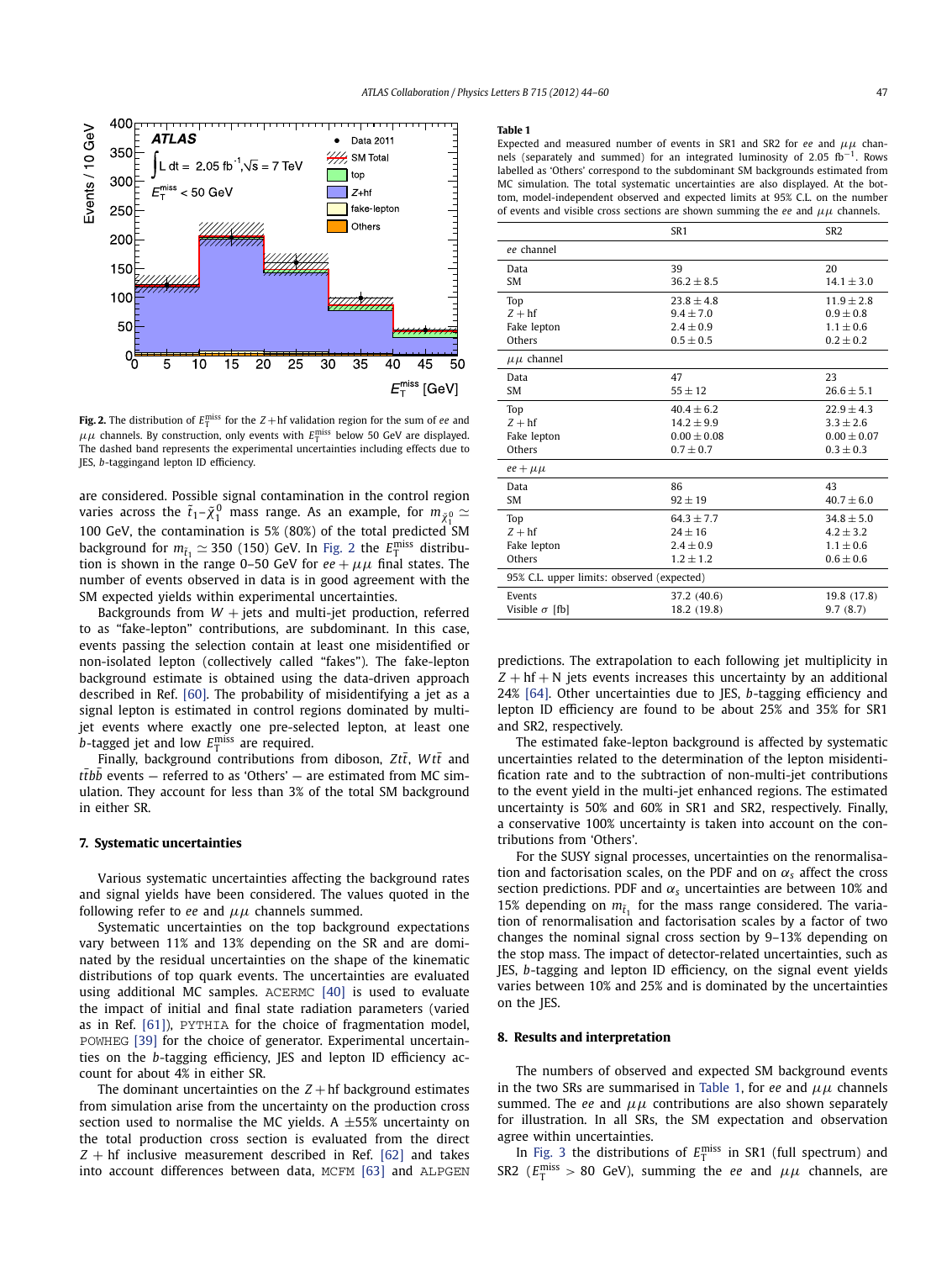<span id="page-3-0"></span>

**Fig. 2.** The distribution of  $E_{\text{T}}^{\text{miss}}$  for the  $Z + \text{hf}$  validation region for the sum of *ee* and  $\mu\mu$  channels. By construction, only events with  $E_{\textrm{T}}^{\textrm{miss}}$  below 50 GeV are displayed. The dashed band represents the experimental uncertainties including effects due to JES, *b*-taggingand lepton ID efficiency.

are considered. Possible signal contamination in the control region varies across the  $\tilde{t}_1$ – $\tilde{\chi}^0_1$  mass range. As an example, for  $m_{\tilde{\chi}^0_1} \simeq$ 1 100 GeV, the contamination is 5% (80%) of the total predicted SM background for  $m_{\tilde{t}_1} \simeq 350$  (150) GeV. In Fig. 2 the  $E_{\rm T}^{\rm miss}$  distribution is shown in the range 0–50 GeV for  $ee + \mu\mu$  final states. The number of events observed in data is in good agreement with the SM expected yields within experimental uncertainties.

Backgrounds from  $W +$  jets and multi-jet production, referred to as "fake-lepton" contributions, are subdominant. In this case, events passing the selection contain at least one misidentified or non-isolated lepton (collectively called "fakes"). The fake-lepton background estimate is obtained using the data-driven approach described in Ref. [\[60\].](#page-5-0) The probability of misidentifying a jet as a signal lepton is estimated in control regions dominated by multijet events where exactly one pre-selected lepton, at least one *b*-tagged jet and low  $E_{\text{T}}^{\text{miss}}$  are required.

Finally, background contributions from diboson, Ztt<sup>†</sup>, Wtt<sup>†</sup> and t*tbb* events — referred to as 'Others' — are estimated from MC simulation. They account for less than 3% of the total SM background in either SR.

#### **7. Systematic uncertainties**

Various systematic uncertainties affecting the background rates and signal yields have been considered. The values quoted in the following refer to *ee* and *μμ* channels summed.

Systematic uncertainties on the top background expectations vary between 11% and 13% depending on the SR and are dominated by the residual uncertainties on the shape of the kinematic distributions of top quark events. The uncertainties are evaluated using additional MC samples. ACERMC [\[40\]](#page-5-0) is used to evaluate the impact of initial and final state radiation parameters (varied as in Ref. [\[61\]\)](#page-5-0), PYTHIA for the choice of fragmentation model, POWHEG [\[39\]](#page-5-0) for the choice of generator. Experimental uncertainties on the *b*-tagging efficiency, JES and lepton ID efficiency account for about 4% in either SR.

The dominant uncertainties on the  $Z + hf$  background estimates from simulation arise from the uncertainty on the production cross section used to normalise the MC yields. A  $\pm 55$ % uncertainty on the total production cross section is evaluated from the direct  $Z + hf$  inclusive measurement described in Ref. [\[62\]](#page-5-0) and takes into account differences between data, MCFM [\[63\]](#page-5-0) and ALPGEN

#### **Table 1**

Expected and measured number of events in SR1 and SR2 for *ee* and *μμ* channels (separately and summed) for an integrated luminosity of 2*.*05 fb<sup>−</sup>1. Rows labelled as 'Others' correspond to the subdominant SM backgrounds estimated from MC simulation. The total systematic uncertainties are also displayed. At the bottom, model-independent observed and expected limits at 95% C.L. on the number of events and visible cross sections are shown summing the *ee* and *μμ* channels.

|                                            | SR <sub>1</sub> | SR <sub>2</sub> |
|--------------------------------------------|-----------------|-----------------|
| ee channel                                 |                 |                 |
| Data                                       | 39              | 20              |
| <b>SM</b>                                  | $36.2 + 8.5$    | $14.1 + 3.0$    |
| Top                                        | $23.8 + 4.8$    | $11.9 + 2.8$    |
| $Z + hf$                                   | $9.4 + 7.0$     | $0.9 + 0.8$     |
| Fake lepton                                | $2.4 + 0.9$     | $1.1 + 0.6$     |
| Others                                     | $0.5 + 0.5$     | $0.2 + 0.2$     |
| $\mu\mu$ channel                           |                 |                 |
| Data                                       | 47              | 23              |
| <b>SM</b>                                  | $55 + 12$       | $26.6 + 5.1$    |
| Top                                        | $40.4 + 6.2$    | $22.9 \pm 4.3$  |
| $Z + hf$                                   | $14.2 + 9.9$    | $3.3 + 2.6$     |
| Fake lepton                                | $0.00 \pm 0.08$ | $0.00 \pm 0.07$ |
| Others                                     | $0.7 \pm 0.7$   | $0.3 \pm 0.3$   |
| $ee + \mu\mu$                              |                 |                 |
| Data                                       | 86              | 43              |
| <b>SM</b>                                  | $92 + 19$       | $40.7 + 6.0$    |
| Top                                        | $64.3 + 7.7$    | $34.8 + 5.0$    |
| $Z + hf$                                   | $24 + 16$       | $4.2 + 3.2$     |
| Fake lepton                                | $2.4 + 0.9$     | $1.1 + 0.6$     |
| Others                                     | $1.2 + 1.2$     | $0.6 \pm 0.6$   |
| 95% C.L. upper limits: observed (expected) |                 |                 |
| Events                                     | 37.2 (40.6)     | 19.8 (17.8)     |
| Visible $\sigma$ [fb]                      | 18.2 (19.8)     | 9.7(8.7)        |
|                                            |                 |                 |

predictions. The extrapolation to each following jet multiplicity in  $Z + hf + N$  jets events increases this uncertainty by an additional 24% [\[64\].](#page-5-0) Other uncertainties due to JES, *b*-tagging efficiency and lepton ID efficiency are found to be about 25% and 35% for SR1 and SR2, respectively.

The estimated fake-lepton background is affected by systematic uncertainties related to the determination of the lepton misidentification rate and to the subtraction of non-multi-jet contributions to the event yield in the multi-jet enhanced regions. The estimated uncertainty is 50% and 60% in SR1 and SR2, respectively. Finally, a conservative 100% uncertainty is taken into account on the contributions from 'Others'.

For the SUSY signal processes, uncertainties on the renormalisation and factorisation scales, on the PDF and on  $\alpha_s$  affect the cross section predictions. PDF and  $\alpha_s$  uncertainties are between 10% and 15% depending on  $m_{\tilde{t}_1}$  for the mass range considered. The variation of renormalisation and factorisation scales by a factor of two changes the nominal signal cross section by 9–13% depending on the stop mass. The impact of detector-related uncertainties, such as JES, *b*-tagging and lepton ID efficiency, on the signal event yields varies between 10% and 25% and is dominated by the uncertainties on the JES.

#### **8. Results and interpretation**

The numbers of observed and expected SM background events in the two SRs are summarised in Table 1, for *ee* and *μμ* channels summed. The *ee* and *μμ* contributions are also shown separately for illustration. In all SRs, the SM expectation and observation agree within uncertainties.

In [Fig. 3](#page-4-0) the distributions of  $E_T^{\text{miss}}$  in SR1 (full spectrum) and SR2 ( $E_{\rm T}^{\rm miss} > 80$  GeV), summing the *ee* and  $\mu\mu$  channels, are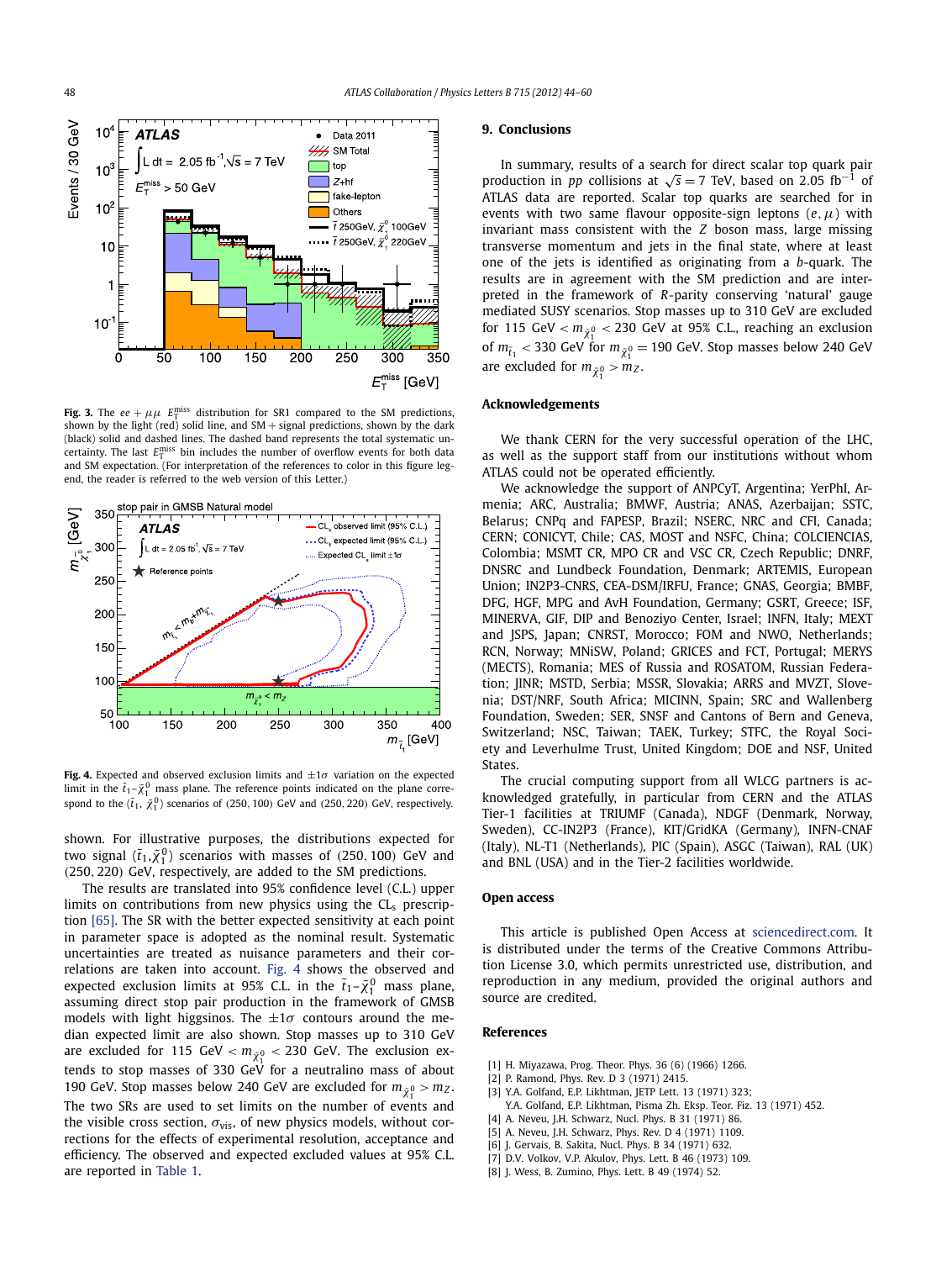<span id="page-4-0"></span>

**Fig. 3.** The  $ee + \mu\mu$   $E_T^{\text{miss}}$  distribution for SR1 compared to the SM predictions, shown by the light (red) solid line, and  $SM +$  signal predictions, shown by the dark (black) solid and dashed lines. The dashed band represents the total systematic uncertainty. The last  $E_{\text{T}}^{\text{miss}}$  bin includes the number of overflow events for both data and SM expectation. (For interpretation of the references to color in this figure legend, the reader is referred to the web version of this Letter.)



**Fig. 4.** Expected and observed exclusion limits and  $+1\sigma$  variation on the expected limit in the  $\tilde{t}_1 - \tilde{\chi}_1^0$  mass plane. The reference points indicated on the plane correspond to the  $(\tilde{t}_1, \tilde{\chi}^0_1)$  scenarios of  $(250, 100)$  GeV and  $(250, 220)$  GeV, respectively.

shown. For illustrative purposes, the distributions expected for two signal  $(\tilde{t}_1, \tilde{\chi}^0_1)$  scenarios with masses of  $(250, 100)$  GeV and *(*250*,* 220*)* GeV, respectively, are added to the SM predictions.

The results are translated into 95% confidence level (C.L.) upper limits on contributions from new physics using the  $CL<sub>s</sub>$  prescription [\[65\].](#page-5-0) The SR with the better expected sensitivity at each point in parameter space is adopted as the nominal result. Systematic uncertainties are treated as nuisance parameters and their correlations are taken into account. Fig. 4 shows the observed and expected exclusion limits at 95% C.L. in the  $\tilde{t}_1 - \tilde{\chi}_1^0$  mass plane, assuming direct stop pair production in the framework of GMSB models with light higgsinos. The  $\pm 1\sigma$  contours around the median expected limit are also shown. Stop masses up to 310 GeV are excluded for 115 GeV *<sup>&</sup>lt; <sup>m</sup>χ*˜ <sup>0</sup> *<* 230 GeV. The exclusion extends to stop masses of 330 GeV for a neutralino mass of about 190 GeV. Stop masses below 240 GeV are excluded for  $m_{\tilde{\chi}^0_1} > m_Z$ . The two SRs are used to set limits on the number of events and the visible cross section,  $\sigma_{vis}$ , of new physics models, without corrections for the effects of experimental resolution, acceptance and efficiency. The observed and expected excluded values at 95% C.L. are reported in [Table 1.](#page-3-0)

#### **9. Conclusions**

In summary, results of a search for direct scalar top quark pair production in *pp* collisions at  $\sqrt{s} = 7$  TeV, based on 2.05 fb<sup>-1</sup> of ATLAS data are reported. Scalar top quarks are searched for in events with two same flavour opposite-sign leptons (*e,μ*) with invariant mass consistent with the *Z* boson mass, large missing transverse momentum and jets in the final state, where at least one of the jets is identified as originating from a *b*-quark. The results are in agreement with the SM prediction and are interpreted in the framework of *R*-parity conserving 'natural' gauge mediated SUSY scenarios. Stop masses up to 310 GeV are excluded for 115 GeV  $< m_{\tilde{\chi}_{1}^{0}} <$  230 GeV at 95% C.L., reaching an exclusion of  $m_{\tilde{t}_1}$  < 330 GeV for  $m_{\tilde{\chi}_1^0}$  = 190 GeV. Stop masses below 240 GeV are excluded for  $m_{\tilde{\chi}_1^0} > m_Z$ .

#### **Acknowledgements**

We thank CERN for the very successful operation of the LHC, as well as the support staff from our institutions without whom ATLAS could not be operated efficiently.

We acknowledge the support of ANPCyT, Argentina; YerPhI, Armenia; ARC, Australia; BMWF, Austria; ANAS, Azerbaijan; SSTC, Belarus; CNPq and FAPESP, Brazil; NSERC, NRC and CFI, Canada; CERN; CONICYT, Chile; CAS, MOST and NSFC, China; COLCIENCIAS, Colombia; MSMT CR, MPO CR and VSC CR, Czech Republic; DNRF, DNSRC and Lundbeck Foundation, Denmark; ARTEMIS, European Union; IN2P3-CNRS, CEA-DSM/IRFU, France; GNAS, Georgia; BMBF, DFG, HGF, MPG and AvH Foundation, Germany; GSRT, Greece; ISF, MINERVA, GIF, DIP and Benoziyo Center, Israel; INFN, Italy; MEXT and JSPS, Japan; CNRST, Morocco; FOM and NWO, Netherlands; RCN, Norway; MNiSW, Poland; GRICES and FCT, Portugal; MERYS (MECTS), Romania; MES of Russia and ROSATOM, Russian Federation; JINR; MSTD, Serbia; MSSR, Slovakia; ARRS and MVZT, Slovenia; DST/NRF, South Africa; MICINN, Spain; SRC and Wallenberg Foundation, Sweden; SER, SNSF and Cantons of Bern and Geneva, Switzerland; NSC, Taiwan; TAEK, Turkey; STFC, the Royal Society and Leverhulme Trust, United Kingdom; DOE and NSF, United States.

The crucial computing support from all WLCG partners is acknowledged gratefully, in particular from CERN and the ATLAS Tier-1 facilities at TRIUMF (Canada), NDGF (Denmark, Norway, Sweden), CC-IN2P3 (France), KIT/GridKA (Germany), INFN-CNAF (Italy), NL-T1 (Netherlands), PIC (Spain), ASGC (Taiwan), RAL (UK) and BNL (USA) and in the Tier-2 facilities worldwide.

#### **Open access**

This article is published Open Access at [sciencedirect.com](http://www.sciencedirect.com). It is distributed under the terms of the Creative Commons Attribution License 3.0, which permits unrestricted use, distribution, and reproduction in any medium, provided the original authors and source are credited.

#### **References**

- [1] H. Miyazawa, Prog. Theor. Phys. 36 (6) (1966) 1266.
- [2] P. Ramond, Phys. Rev. D 3 (1971) 2415.
- [3] Y.A. Golfand, E.P. Likhtman, JETP Lett. 13 (1971) 323;
- Y.A. Golfand, E.P. Likhtman, Pisma Zh. Eksp. Teor. Fiz. 13 (1971) 452.
- [4] A. Neveu, J.H. Schwarz, Nucl. Phys. B 31 (1971) 86.
- [5] A. Neveu, J.H. Schwarz, Phys. Rev. D 4 (1971) 1109. [6] J. Gervais, B. Sakita, Nucl. Phys. B 34 (1971) 632.
- 
- [7] D.V. Volkov, V.P. Akulov, Phys. Lett. B 46 (1973) 109. [8] J. Wess, B. Zumino, Phys. Lett. B 49 (1974) 52.
-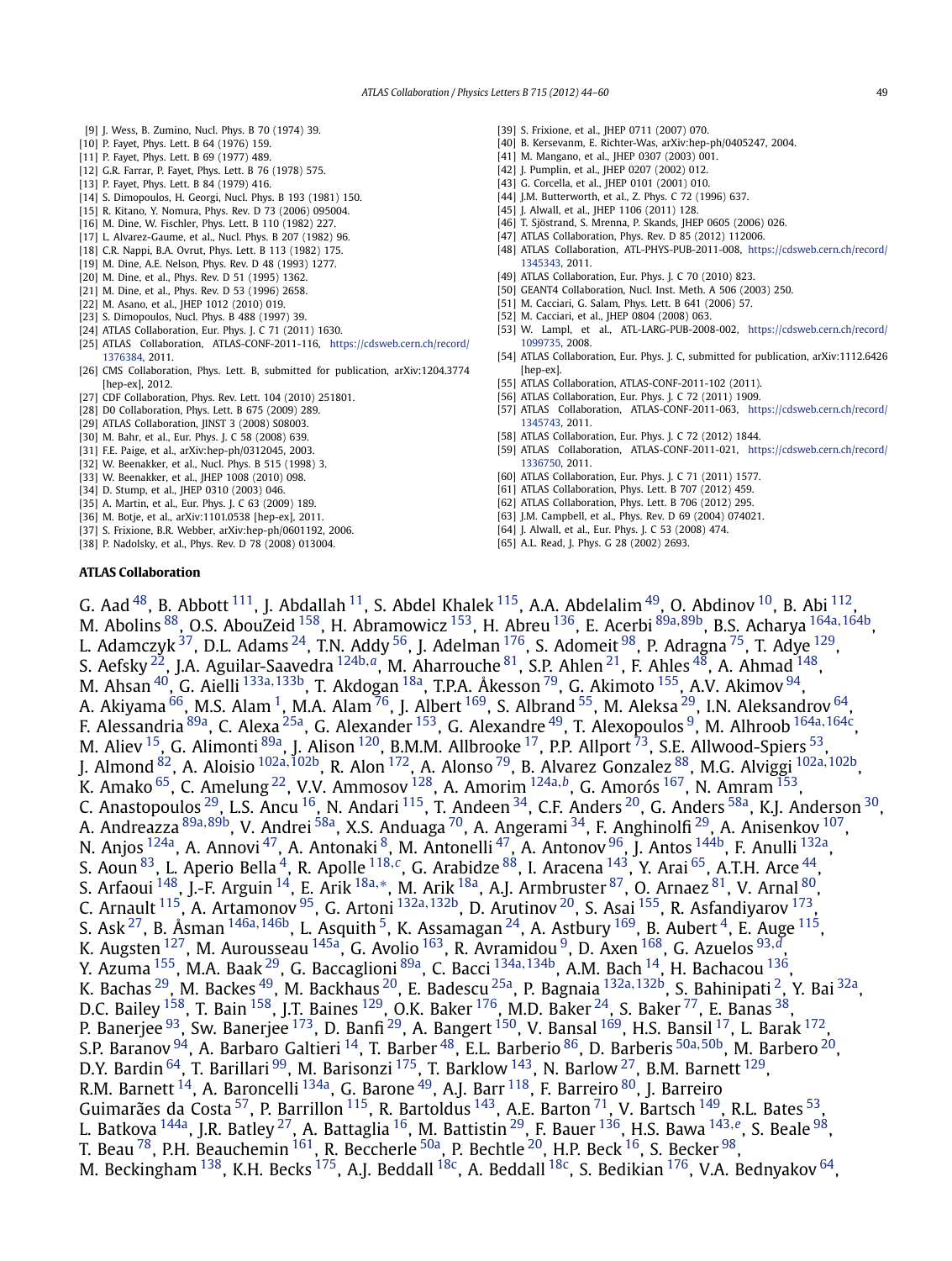- <span id="page-5-0"></span>[9] J. Wess, B. Zumino, Nucl. Phys. B 70 (1974) 39.
- [10] P. Fayet, Phys. Lett. B 64 (1976) 159.
- [11] P. Fayet, Phys. Lett. B 69 (1977) 489.
- [12] G.R. Farrar, P. Fayet, Phys. Lett. B 76 (1978) 575.
- [13] P. Fayet, Phys. Lett. B 84 (1979) 416.
- [14] S. Dimopoulos, H. Georgi, Nucl. Phys. B 193 (1981) 150.
- [15] R. Kitano, Y. Nomura, Phys. Rev. D 73 (2006) 095004.
- [16] M. Dine, W. Fischler, Phys. Lett. B 110 (1982) 227.
- [17] L. Alvarez-Gaume, et al., Nucl. Phys. B 207 (1982) 96.
- [18] C.R. Nappi, B.A. Ovrut, Phys. Lett. B 113 (1982) 175.
- [19] M. Dine, A.E. Nelson, Phys. Rev. D 48 (1993) 1277.
- [20] M. Dine, et al., Phys. Rev. D 51 (1995) 1362.
- [21] M. Dine, et al., Phys. Rev. D 53 (1996) 2658.
- [22] M. Asano, et al., JHEP 1012 (2010) 019.
- [23] S. Dimopoulos, Nucl. Phys. B 488 (1997) 39.
- [24] ATLAS Collaboration, Eur. Phys. J. C 71 (2011) 1630.
- [25] ATLAS Collaboration, ATLAS-CONF-2011-116, [https://cdsweb.cern.ch/record/](https://cdsweb.cern.ch/record/1376384) [1376384,](https://cdsweb.cern.ch/record/1376384) 2011.
- [26] CMS Collaboration, Phys. Lett. B, submitted for publication, arXiv:1204.3774 [hep-ex], 2012.
- [27] CDF Collaboration, Phys. Rev. Lett. 104 (2010) 251801.
- [28] D0 Collaboration, Phys. Lett. B 675 (2009) 289.
- [29] ATLAS Collaboration, JINST 3 (2008) S08003.
- [30] M. Bahr, et al., Eur. Phys. J. C 58 (2008) 639.
- [31] F.E. Paige, et al., arXiv:hep-ph/0312045, 2003.
- [32] W. Beenakker, et al., Nucl. Phys. B 515 (1998) 3.
- [33] W. Beenakker, et al., JHEP 1008 (2010) 098.
- [34] D. Stump, et al., JHEP 0310 (2003) 046.
- 
- [35] A. Martin, et al., Eur. Phys. J. C 63 (2009) 189.
- [36] M. Botje, et al., arXiv:1101.0538 [hep-ex], 2011.
- [37] S. Frixione, B.R. Webber, arXiv:hep-ph/0601192, 2006.
- [38] P. Nadolsky, et al., Phys. Rev. D 78 (2008) 013004.
- [39] S. Frixione, et al., IHEP 0711 (2007) 070.
- [40] B. Kersevanm, E. Richter-Was, arXiv:hep-ph/0405247, 2004.
- [41] M. Mangano, et al., JHEP 0307 (2003) 001.
- [42] J. Pumplin, et al., JHEP 0207 (2002) 012.
- [43] G. Corcella, et al., [HEP 0101 (2001) 010.
- [44] J.M. Butterworth, et al., Z. Phys. C 72 (1996) 637.
- [45] J. Alwall, et al., JHEP 1106 (2011) 128.
- [46] T. Sjöstrand, S. Mrenna, P. Skands, JHEP 0605 (2006) 026. [47] ATLAS Collaboration, Phys. Rev. D 85 (2012) 112006.
- [48] ATLAS Collaboration, ATL-PHYS-PUB-2011-008, [https://cdsweb.cern.ch/record/](https://cdsweb.cern.ch/record/1345343) [1345343,](https://cdsweb.cern.ch/record/1345343) 2011.
- [49] ATLAS Collaboration, Eur. Phys. J. C 70 (2010) 823.
- [50] GEANT4 Collaboration, Nucl. Inst. Meth. A 506 (2003) 250.
- [51] M. Cacciari, G. Salam, Phys. Lett. B 641 (2006) 57.
- [52] M. Cacciari, et al., JHEP 0804 (2008) 063.
- [53] W. Lampl, et al., ATL-LARG-PUB-2008-002, [https://cdsweb.cern.ch/record/](https://cdsweb.cern.ch/record/1099735) [1099735,](https://cdsweb.cern.ch/record/1099735) 2008.
- [54] ATLAS Collaboration, Eur. Phys. J. C, submitted for publication, arXiv:1112.6426 [hep-ex].
- [55] ATLAS Collaboration, ATLAS-CONF-2011-102 (2011).
- [56] ATLAS Collaboration, Eur. Phys. J. C 72 (2011) 1909.
- [57] ATLAS Collaboration, ATLAS-CONF-2011-063, [https://cdsweb.cern.ch/record/](https://cdsweb.cern.ch/record/1345743) [1345743,](https://cdsweb.cern.ch/record/1345743) 2011.
- [58] ATLAS Collaboration, Eur. Phys. J. C 72 (2012) 1844.
- [59] ATLAS Collaboration, ATLAS-CONF-2011-021, [https://cdsweb.cern.ch/record/](https://cdsweb.cern.ch/record/1336750) [1336750,](https://cdsweb.cern.ch/record/1336750) 2011.
- [60] ATLAS Collaboration, Eur. Phys. J. C 71 (2011) 1577.
- [61] ATLAS Collaboration, Phys. Lett. B 707 (2012) 459.
- [62] ATLAS Collaboration, Phys. Lett. B 706 (2012) 295.
- [63] J.M. Campbell, et al., Phys. Rev. D 69 (2004) 074021.
- [64] J. Alwall, et al., Eur. Phys. J. C 53 (2008) 474.
- [65] A.L. Read, J. Phys. G 28 (2002) 2693.

#### **ATLAS Collaboration**

G. Aad  $^{48}$ , B. Abbott  $^{111}$ , J. Abdallah  $^{11}$ , S. Abdel Khalek  $^{115}$ , A.A. Abdelalim  $^{49}$ , O. Abdinov  $^{10}$ , B. Abi  $^{112}$ , M. Abolins [88,](#page-15-0) O.S. AbouZeid [158,](#page-16-0) H. Abramowicz [153,](#page-16-0) H. Abreu [136,](#page-15-0) E. Acerbi [89a](#page-15-0)*,*[89b,](#page-15-0) B.S. Acharya [164a](#page-16-0)*,*[164b,](#page-16-0) L. Adamczyk  $^{37}$ , D.L. Adams  $^{24}$ , T.N. Addy  $^{56}$ , J. Adelman  $^{176}$ , S. Adomeit  $^{98}$ , P. Adragna  $^{75}$ , T. Adye  $^{129}$ , S. Aefsky [22,](#page-14-0) J.A. Aguilar-Saavedra [124b](#page-15-0)*,[a](#page-16-0)*, M. Aharrouche [81,](#page-15-0) S.P. Ahlen [21,](#page-14-0) F. Ahles [48,](#page-14-0) A. Ahmad [148,](#page-16-0) M. Ahsan [40,](#page-14-0) G. Aielli [133a](#page-15-0)*,*[133b,](#page-15-0) T. Akdogan [18a,](#page-14-0) T.P.A. Åkesson [79,](#page-15-0) G. Akimoto [155,](#page-16-0) A.V. Akimov [94,](#page-15-0) A. Akiyama  $^{66}$  $^{66}$  $^{66}$ , M.S. Alam  $^1$ , M.A. Alam  $^{76}$ , J. Albert  $^{169}$ , S. Albrand  $^{55}$ , M. Aleksa  $^{29}$ , I.N. Aleksandrov  $^{64}$ , F. Alessandria [89a,](#page-15-0) C. Alexa [25a,](#page-14-0) G. Alexander [153,](#page-16-0) G. Alexandre [49,](#page-14-0) T. Alexopoulos [9,](#page-14-0) M. Alhroob [164a](#page-16-0)*,*[164c,](#page-16-0) M. Aliev <sup>15</sup>, G. Alimonti <sup>89a</sup>, J. Alison <sup>120</sup>, B.M.M. Allbrooke <sup>17</sup>, P.P. Allport <sup>73</sup>, S.E. Allwood-Spiers <sup>[53](#page-14-0)</sup>, J. Almond [82,](#page-15-0) A. Aloisio [102a](#page-15-0)*,*[102b,](#page-15-0) R. Alon [172,](#page-16-0) A. Alonso [79,](#page-15-0) B. Alvarez Gonzalez [88,](#page-15-0) M.G. Alviggi [102a](#page-15-0)*,*[102b,](#page-15-0) K. Amako [65,](#page-14-0) C. Amelung [22,](#page-14-0) V.V. Ammosov [128,](#page-15-0) A. Amorim [124a](#page-15-0)*,[b](#page-16-0)*, G. Amorós [167,](#page-16-0) N. Amram [153,](#page-16-0) C. Anastopoulos <sup>29</sup>, L.S. Ancu <sup>16</sup>, N. Andari <sup>115</sup>, T. Andeen <sup>34</sup>, C.F. Anders <sup>20</sup>, G. Anders <sup>58a</sup>, K.J. Anderson <sup>30</sup>, A. Andreazza [89a](#page-15-0)*,*[89b,](#page-15-0) V. Andrei [58a,](#page-14-0) X.S. Anduaga [70,](#page-14-0) A. Angerami [34,](#page-14-0) F. Anghinolfi [29,](#page-14-0) A. Anisenkov [107](#page-15-0), N. Anjos <sup>124a</sup>, A. Annovi <sup>47</sup>, A. Antonaki <sup>8</sup>, M. Antonelli <sup>47</sup>, A. Antonov <sup>96</sup>, J. Antos <sup>144b</sup>, F. Anulli <sup>132a</sup>, S. Aoun [83,](#page-15-0) L. Aperio Bella [4,](#page-14-0) R. Apolle [118](#page-15-0)*,[c](#page-16-0)*, G. Arabidze [88,](#page-15-0) I. Aracena [143](#page-15-0), Y. Arai [65](#page-14-0), A.T.H. Arce [44,](#page-14-0) S. Arfaoui [148,](#page-16-0) J.-F. Arguin [14,](#page-14-0) E. Arik [18a](#page-14-0)*,*[∗](#page-16-0), M. Arik [18a,](#page-14-0) A.J. Armbruster [87,](#page-15-0) O. Arnaez [81,](#page-15-0) V. Arnal [80,](#page-15-0) C. Arnault [115,](#page-15-0) A. Artamonov [95](#page-15-0), G. Artoni [132a](#page-15-0)*,*[132b,](#page-15-0) D. Arutinov [20,](#page-14-0) S. Asai [155,](#page-16-0) R. Asfandiyarov [173,](#page-16-0) S. Ask [27,](#page-14-0) B. Åsman [146a](#page-16-0)*,*[146b,](#page-16-0) L. Asquith [5,](#page-14-0) K. Assamagan [24,](#page-14-0) A. Astbury [169,](#page-16-0) B. Aubert [4,](#page-14-0) E. Auge [115,](#page-15-0) K. Augsten [127,](#page-15-0) M. Aurousseau [145a,](#page-15-0) G. Avolio [163,](#page-16-0) R. Avramidou [9,](#page-14-0) D. Axen [168,](#page-16-0) G. Azuelos [93](#page-15-0)*,[d](#page-16-0)*, Y. Azuma [155,](#page-16-0) M.A. Baak [29,](#page-14-0) G. Baccaglioni [89a](#page-15-0), C. Bacci [134a](#page-15-0)*,*[134b,](#page-15-0) A.M. Bach [14,](#page-14-0) H. Bachacou [136,](#page-15-0) K. Bachas [29,](#page-14-0) M. Backes [49,](#page-14-0) M. Backhaus [20,](#page-14-0) E. Badescu [25a,](#page-14-0) P. Bagnaia [132a](#page-15-0)*,*[132b,](#page-15-0) S. Bahinipati [2,](#page-14-0) Y. Bai [32a](#page-14-0), D.C. Bailey <sup>[158](#page-16-0)</sup>, T. Bain <sup>158</sup>, J.T. Baines <sup>129</sup>, O.K. Baker <sup>176</sup>, M.D. Baker <sup>24</sup>, S. Baker <sup>[77](#page-15-0)</sup>, E. Banas <sup>38</sup>, P. Banerjee <sup>[93](#page-15-0)</sup>, Sw. Banerjee <sup>173</sup>, D. Banfi <sup>29</sup>, A. Bangert <sup>150</sup>, V. Bansal <sup>169</sup>, H.S. Bansil <sup>17</sup>, L. Barak <sup>172</sup>, S.P. Baranov [94](#page-15-0), A. Barbaro Galtieri [14,](#page-14-0) T. Barber [48,](#page-14-0) E.L. Barberio [86](#page-15-0), D. Barberis [50a](#page-14-0)*,*[50b,](#page-14-0) M. Barbero [20,](#page-14-0) D.Y. Bardin  $^{64}$ , T. Barillari  $^{99}$ , M. Barisonzi  $^{175}$ , T. Barklow  $^{143}$ , N. Barlow  $^{27}$ , B.M. Barnett  $^{129}$ , R.M. Barnett<sup>14</sup>, A. Baroncelli<sup>134a</sup>, G. Barone<sup>[49](#page-14-0)</sup>, A.J. Barr<sup>118</sup>, F. Barreiro <sup>80</sup>, J. Barreiro Guimarães da Costa <sup>57</sup>, P. Barrillon <sup>115</sup>, R. Bartoldus <sup>143</sup>, A.E. Barton <sup>71</sup>, V. Bartsch <sup>149</sup>, R.L. Bates <sup>[53](#page-14-0)</sup>, L. Batkova [144a](#page-15-0), J.R. Batley [27,](#page-14-0) A. Battaglia [16](#page-14-0), M. Battistin [29,](#page-14-0) F. Bauer [136](#page-15-0), H.S. Bawa [143](#page-15-0)*,[e](#page-16-0)*, S. Beale [98,](#page-15-0) T. Beau  $^{78}$ , P.H. Beauchemin  $^{161}$ , R. Beccherle  $^{50a}$ , P. Bechtle  $^{20}$ , H.P. Beck  $^{16}$ , S. Becker  $^{98}$ , M. Beckingham  $^{138}$ , K.H. Becks  $^{175}$ , A.J. Beddall  $^{18c}$ , A. Beddall  $^{18c}$ , S. Bedikian  $^{176}$ , V.A. Bednyakov  $^{64}$ ,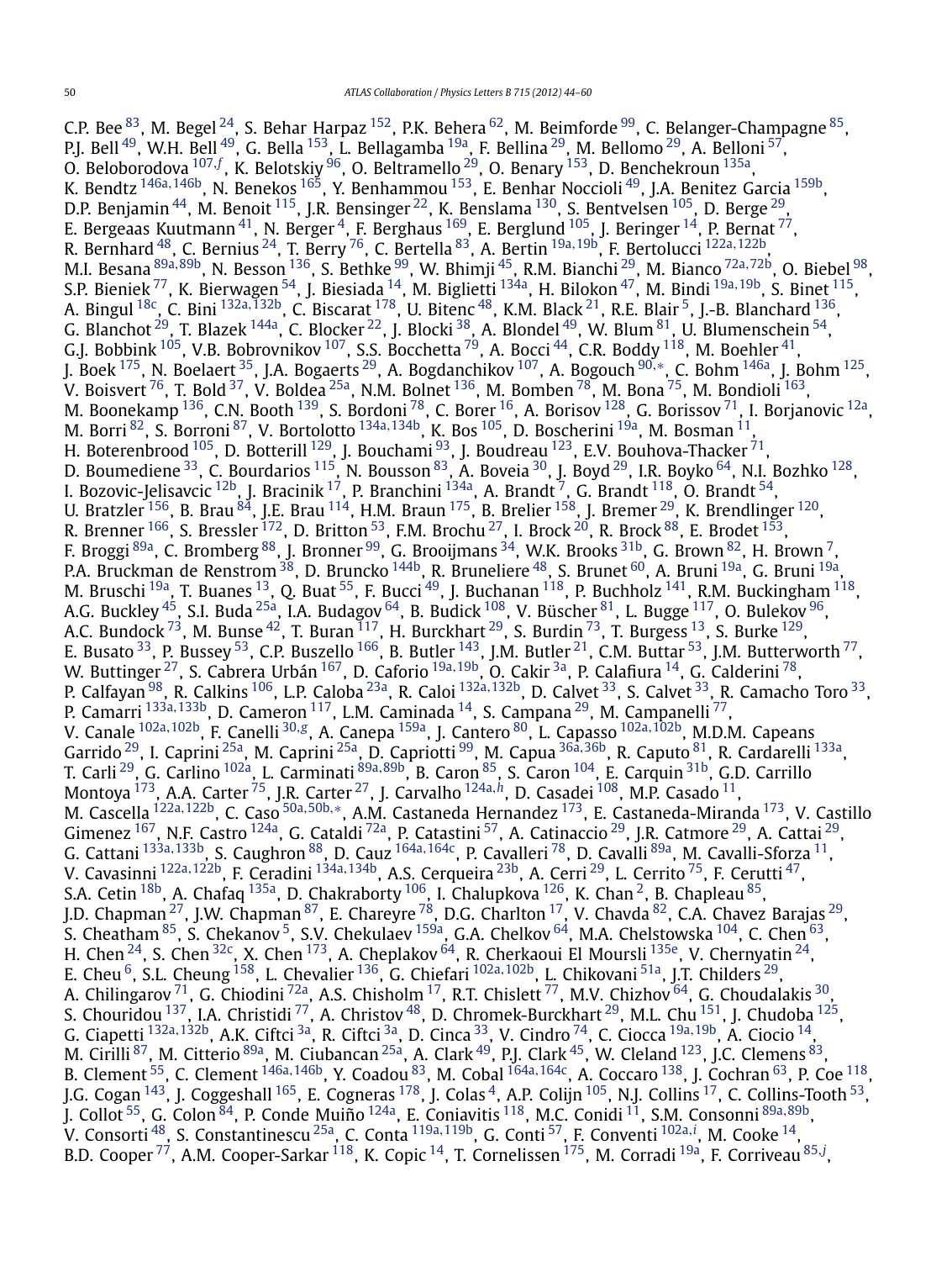C.P. Bee  $^{83}$ , M. Begel  $^{24}$ , S. Behar Harpaz  $^{152}$ , P.K. Behera  $^{62}$  $^{62}$  $^{62}$ , M. Beimforde  $^{99}$ , C. Belanger-Champagne  $^{85}$ , P.J. Bell [49,](#page-14-0) W.H. Bell [49,](#page-14-0) G. Bella [153,](#page-16-0) L. Bellagamba [19a,](#page-14-0) F. Bellina [29,](#page-14-0) M. Bellomo [29,](#page-14-0) A. Belloni [57,](#page-14-0) O. Beloborodova <sup>[107](#page-15-0), [f](#page-16-0)</sup>, K. Belotskiy <sup>96</sup>, O. Beltramello <sup>29</sup>, O. Benary <sup>153</sup>, D. Benchekroun <sup>[135a](#page-15-0)</sup>, K. Bendtz [146a](#page-16-0)*,*[146b,](#page-16-0) N. Benekos [165,](#page-16-0) Y. Benhammou [153,](#page-16-0) E. Benhar Noccioli [49,](#page-14-0) J.A. Benitez Garcia [159b,](#page-16-0) D.P. Benjamin $^{44}$ , M. Benoit  $^{115}$ , J.R. Bensinger  $^{22}$ , K. Benslama  $^{130}$  $^{130}$  $^{130}$ , S. Bentvelsen  $^{105}$ , D. Berge  $^{29}$ , E. Bergeaas Kuutmann $^{41}$ , N. Berger $^4$ , F. Berghaus  $^{169}$ , E. Berglund  $^{105}$ , J. Beringer  $^{14}$ , P. Bernat  $^{77}$ , R. Bernhard [48,](#page-14-0) C. Bernius [24,](#page-14-0) T. Berry [76,](#page-15-0) C. Bertella [83,](#page-15-0) A. Bertin [19a](#page-14-0)*,*[19b,](#page-14-0) F. Bertolucci [122a](#page-15-0)*,*[122b,](#page-15-0) M.I. Besana [89a](#page-15-0)*,*[89b,](#page-15-0) N. Besson [136,](#page-15-0) S. Bethke [99](#page-15-0), W. Bhimji [45,](#page-14-0) R.M. Bianchi [29,](#page-14-0) M. Bianco [72a](#page-15-0)*,*[72b,](#page-15-0) O. Biebel [98,](#page-15-0) S.P. Bieniek [77,](#page-15-0) K. Bierwagen [54,](#page-14-0) J. Biesiada [14,](#page-14-0) M. Biglietti [134a,](#page-15-0) H. Bilokon [47,](#page-14-0) M. Bindi [19a](#page-14-0)*,*[19b,](#page-14-0) S. Binet [115,](#page-15-0) A. Bingul [18c](#page-14-0), C. Bini [132a](#page-15-0)*,*[132b,](#page-15-0) C. Biscarat [178,](#page-16-0) U. Bitenc [48,](#page-14-0) K.M. Black [21,](#page-14-0) R.E. Blair [5,](#page-14-0) J.-B. Blanchard [136,](#page-15-0) G. Blanchot  $^{29}$ , T. Blazek  $^{144}$ a, C. Blocker  $^{22}$ , J. Blocki  $^{38}$ , A. Blondel  $^{49}$ , W. Blum  $^{81}$ , U. Blumenschein  $^{54}$  $^{54}$  $^{54}$ , G.J. Bobbink  $^{105}$ , V.B. Bobrovnikov  $^{107}$ , S.S. Bocchetta  $^{79}$ , A. Bocci  $^{44}$ , C.R. Boddy  $^{118}$ , M. Boehler  $^{41}$  $^{41}$  $^{41}$ , J. Boek [175,](#page-16-0) N. Boelaert [35](#page-14-0), J.A. Bogaerts [29,](#page-14-0) A. Bogdanchikov [107,](#page-15-0) A. Bogouch [90](#page-15-0)*,*[∗](#page-16-0), C. Bohm [146a,](#page-16-0) J. Bohm [125,](#page-15-0) V. Boisvert <sup>76</sup>, T. Bold <sup>37</sup>, V. Boldea <sup>25a</sup>, N.M. Bolnet <sup>136</sup>, M. Bomben <sup>78</sup>, M. Bona <sup>75</sup>, M. Bondioli <sup>163</sup>, M. Boonekamp  $^{136}$ , C.N. Booth  $^{139}$  $^{139}$  $^{139}$ , S. Bordoni  $^{78}$ , C. Borer  $^{16}$ , A. Borisov  $^{128}$ , G. Borissov  $^{71}$  $^{71}$  $^{71}$ , I. Borjanovic  $^{12a}$ , M. Borri [82,](#page-15-0) S. Borroni [87,](#page-15-0) V. Bortolotto [134a](#page-15-0)*,*[134b,](#page-15-0) K. Bos [105,](#page-15-0) D. Boscherini [19a,](#page-14-0) M. Bosman [11,](#page-14-0) H. Boterenbrood  $^{105}$ , D. Botterill  $^{129}$ , J. Bouchami  $^{93}$ , J. Boudreau  $^{123}$ , E.V. Bouhova-Thacker  $^{71}$ , D. Boumediene  $^{33}$ , C. Bourdarios  $^{115}$ , N. Bousson  $^{83}$ , A. Boveia  $^{30}$ , J. Boyd  $^{29}$ , I.R. Boyko  $^{64}$ , N.I. Bozhko  $^{128},$ I. Bozovic-Jelisavcic <sup>12b</sup>, J. Bracinik <sup>17</sup>, P. Branchini <sup>134a</sup>, A. Brandt <sup>7</sup>, G. Brandt <sup>118</sup>, O. Brandt <sup>54</sup>, U. Bratzler <sup>156</sup>, B. Brau  $^{84}$ , J.E. Brau  $^{114}$ , H.M. Braun  $^{175}$ , B. Brelier  $^{158}$ , J. Bremer  $^{29}$ , K. Brendlinger  $^{120}$ , R. Brenner  $^{166}$ , S. Bressler  $^{172}$ , D. Britton  $^{53}$ , F.M. Brochu  $^{27}$ , I. Brock  $^{20}$ , R. Brock  $^{88}$ , E. Brodet  $^{153}$ , F. Broggi  $^{89a}$ , C. Bromberg  $^{88}$ , J. Bronner  $^{99}$ , G. Brooijmans  $^{34}$ , W.K. Brooks  $^{31b}$ , G. Brown  $^{82}$ , H. Brown  $^7$ , P.A. Bruckman de Renstrom <sup>38</sup>, D. Bruncko <sup>144b</sup>, R. Bruneliere <sup>[48](#page-14-0)</sup>, S. Brunet <sup>60</sup>, A. Bruni <sup>19a</sup>, G. Bruni <sup>19a</sup>, M. Bruschi <sup>19a</sup>, T. Buanes <sup>13</sup>, Q. Buat <sup>55</sup>, F. Bucci <sup>49</sup>, J. Buchanan <sup>118</sup>, P. Buchholz <sup>141</sup>, R.M. Buckingham <sup>118</sup>, A.G. Buckley  $^{45}$ , S.I. Buda  $^{25\text{a}}$ , I.A. Budagov  $^{64}$ , B. Budick  $^{108}$ , V. Büscher  $^{81}$ , L. Bugge  $^{117}$ , O. Bulekov  $^{96}$  $^{96}$  $^{96}$ , A.C. Bundock  $^{73}$ , M. Bunse  $^{42}$ , T. Buran  $^{117}$ , H. Burckhart  $^{29}$ , S. Burdin  $^{73}$ , T. Burgess  $^{13}$ , S. Burke  $^{129}$ , E. Busato  $^{33}$ , P. Bussey  $^{53}$ , C.P. Buszello  $^{166}$ , B. Butler  $^{143}$ , J.M. Butler  $^{21}$ , C.M. Buttar  $^{53}$ , J.M. Butterworth  $^{77}$ , W. Buttinger [27,](#page-14-0) S. Cabrera Urbán [167,](#page-16-0) D. Caforio [19a](#page-14-0)*,*[19b,](#page-14-0) O. Cakir [3a,](#page-14-0) P. Calafiura [14](#page-14-0), G. Calderini [78,](#page-15-0) P. Calfayan [98,](#page-15-0) R. Calkins [106,](#page-15-0) L.P. Caloba [23a,](#page-14-0) R. Caloi [132a](#page-15-0)*,*[132b,](#page-15-0) D. Calvet [33,](#page-14-0) S. Calvet [33,](#page-14-0) R. Camacho Toro [33,](#page-14-0) P. Camarri [133a](#page-15-0)*,*[133b](#page-15-0), D. Cameron [117,](#page-15-0) L.M. Caminada [14,](#page-14-0) S. Campana [29,](#page-14-0) M. Campanelli [77,](#page-15-0) V. Canale [102a](#page-15-0)*,*[102b,](#page-15-0) F. Canelli [30](#page-14-0)*,[g](#page-16-0)*, A. Canepa [159a](#page-16-0), J. Cantero [80,](#page-15-0) L. Capasso [102a](#page-15-0)*,*[102b,](#page-15-0) M.D.M. Capeans Garrido [29,](#page-14-0) I. Caprini [25a,](#page-14-0) M. Caprini [25a,](#page-14-0) D. Capriotti [99,](#page-15-0) M. Capua [36a](#page-14-0)*,*[36b,](#page-14-0) R. Caputo [81](#page-15-0), R. Cardarelli [133a,](#page-15-0) T. Carli [29,](#page-14-0) G. Carlino [102a,](#page-15-0) L. Carminati [89a](#page-15-0)*,*[89b,](#page-15-0) B. Caron [85,](#page-15-0) S. Caron [104,](#page-15-0) E. Carquin [31b,](#page-14-0) G.D. Carrillo Montoya [173](#page-16-0), A.A. Carter [75,](#page-15-0) J.R. Carter [27,](#page-14-0) J. Carvalho [124a](#page-15-0)*,[h](#page-16-0)*, D. Casadei [108,](#page-15-0) M.P. Casado [11,](#page-14-0) M. Cascella [122a](#page-15-0)*,*[122b,](#page-15-0) C. Caso [50a](#page-14-0)*,*[50b](#page-14-0)*,*[∗](#page-16-0), A.M. Castaneda Hernandez [173,](#page-16-0) E. Castaneda-Miranda [173,](#page-16-0) V. Castillo Gimenez <sup>167</sup>, N.F. Castro <sup>[124a](#page-15-0)</sup>, G. Cataldi <sup>72a</sup>, P. Catastini <sup>57</sup>, A. Catinaccio <sup>[29](#page-14-0)</sup>, J.R. Catmore <sup>29</sup>, A. Cattai <sup>29</sup>, G. Cattani [133a](#page-15-0)*,*[133b,](#page-15-0) S. Caughron [88,](#page-15-0) D. Cauz [164a](#page-16-0)*,*[164c,](#page-16-0) P. Cavalleri [78](#page-15-0), D. Cavalli [89a,](#page-15-0) M. Cavalli-Sforza [11,](#page-14-0) V. Cavasinni [122a](#page-15-0)*,*[122b,](#page-15-0) F. Ceradini [134a](#page-15-0)*,*[134b,](#page-15-0) A.S. Cerqueira [23b,](#page-14-0) A. Cerri [29,](#page-14-0) L. Cerrito [75,](#page-15-0) F. Cerutti [47,](#page-14-0) S.A. Cetin  $^{18\text{b}}$ , A. Chafaq  $^{135\text{a}}$ , D. Chakraborty  $^{106}$ , I. Chalupkova  $^{126}$  $^{126}$  $^{126}$ , K. Chan  $^2$ , B. Chapleau  $^{85}$ , J.D. Chapman  $^{27}$ , J.W. Chapman  $^{87}$  $^{87}$  $^{87}$ , E. Chareyre  $^{78}$ , D.G. Charlton  $^{17}$ , V. Chavda  $^{82}$ , C.A. Chavez Barajas  $^{29}$ , S. Cheatham  $^{85}$ , S. Chekanov  $^5$ , S.V. Chekulaev  $^{159}$ , G.A. Chelkov  $^{64}$ , M.A. Chelstowska  $^{104}$ , C. Chen  $^{63}$ , H. Chen  $^{24}$ , S. Chen  $^{32\text{c}}$ , X. Chen  $^{173}$ , A. Cheplakov  $^{64}$ , R. Cherkaoui El Moursli  $^{135\text{e}}$ , V. Chernyatin  $^{24}$ , E. Cheu [6,](#page-14-0) S.L. Cheung [158,](#page-16-0) L. Chevalier [136,](#page-15-0) G. Chiefari [102a](#page-15-0)*,*[102b,](#page-15-0) L. Chikovani [51a,](#page-14-0) J.T. Childers [29,](#page-14-0) A. Chilingarov  $^{71}$ , G. Chiodini  $^{72}$ a, A.S. Chisholm  $^{17}$ , R.T. Chislett  $^{77}$ , M.V. Chizhov  $^{64}$ , G. Choudalakis  $^{30}$ , S. Chouridou  $^{137}$ , I.A. Christidi  $^{77}$ , A. Christov  $^{48}$ , D. Chromek-Burckhart  $^{29}$ , M.L. Chu  $^{151}$ , J. Chudoba  $^{125}$ , G. Ciapetti [132a](#page-15-0)*,*[132b,](#page-15-0) A.K. Ciftci [3a,](#page-14-0) R. Ciftci [3a,](#page-14-0) D. Cinca [33,](#page-14-0) V. Cindro [74](#page-15-0), C. Ciocca [19a](#page-14-0)*,*[19b,](#page-14-0) A. Ciocio [14,](#page-14-0) M. Cirilli <sup>87</sup>, M. Citterio <sup>89a</sup>, M. Ciubancan <sup>[25a](#page-14-0)</sup>, A. Clark <sup>49</sup>, P.J. Clark <sup>45</sup>, W. Cleland <sup>123</sup>, J.C. Clemens <sup>83</sup>, B. Clement [55,](#page-14-0) C. Clement [146a](#page-16-0)*,*[146b,](#page-16-0) Y. Coadou [83,](#page-15-0) M. Cobal [164a](#page-16-0)*,*[164c,](#page-16-0) A. Coccaro [138,](#page-15-0) J. Cochran [63,](#page-14-0) P. Coe [118,](#page-15-0) J.G. Cogan  $^{143}$ , J. Coggeshall  $^{165}$ , E. Cogneras  $^{178}$ , J. Colas  $^4$ , A.P. Colijn  $^{105}$ , N.J. Collins  $^{17}$ , C. Collins-Tooth  $^{53}$ , J. Collot [55,](#page-14-0) G. Colon [84,](#page-15-0) P. Conde Muiño [124a,](#page-15-0) E. Coniavitis [118,](#page-15-0) M.C. Conidi [11,](#page-14-0) S.M. Consonni [89a](#page-15-0)*,*[89b,](#page-15-0) V. Consorti [48,](#page-14-0) S. Constantinescu [25a,](#page-14-0) C. Conta [119a](#page-15-0)*,*[119b,](#page-15-0) G. Conti [57,](#page-14-0) F. Conventi [102a](#page-15-0)*,[i](#page-16-0)* , M. Cooke [14,](#page-14-0) B.D. Cooper [77,](#page-15-0) A.M. Cooper-Sarkar [118,](#page-15-0) K. Copic [14,](#page-14-0) T. Cornelissen [175,](#page-16-0) M. Corradi [19a,](#page-14-0) F. Corriveau [85](#page-15-0)*,[j](#page-16-0)* ,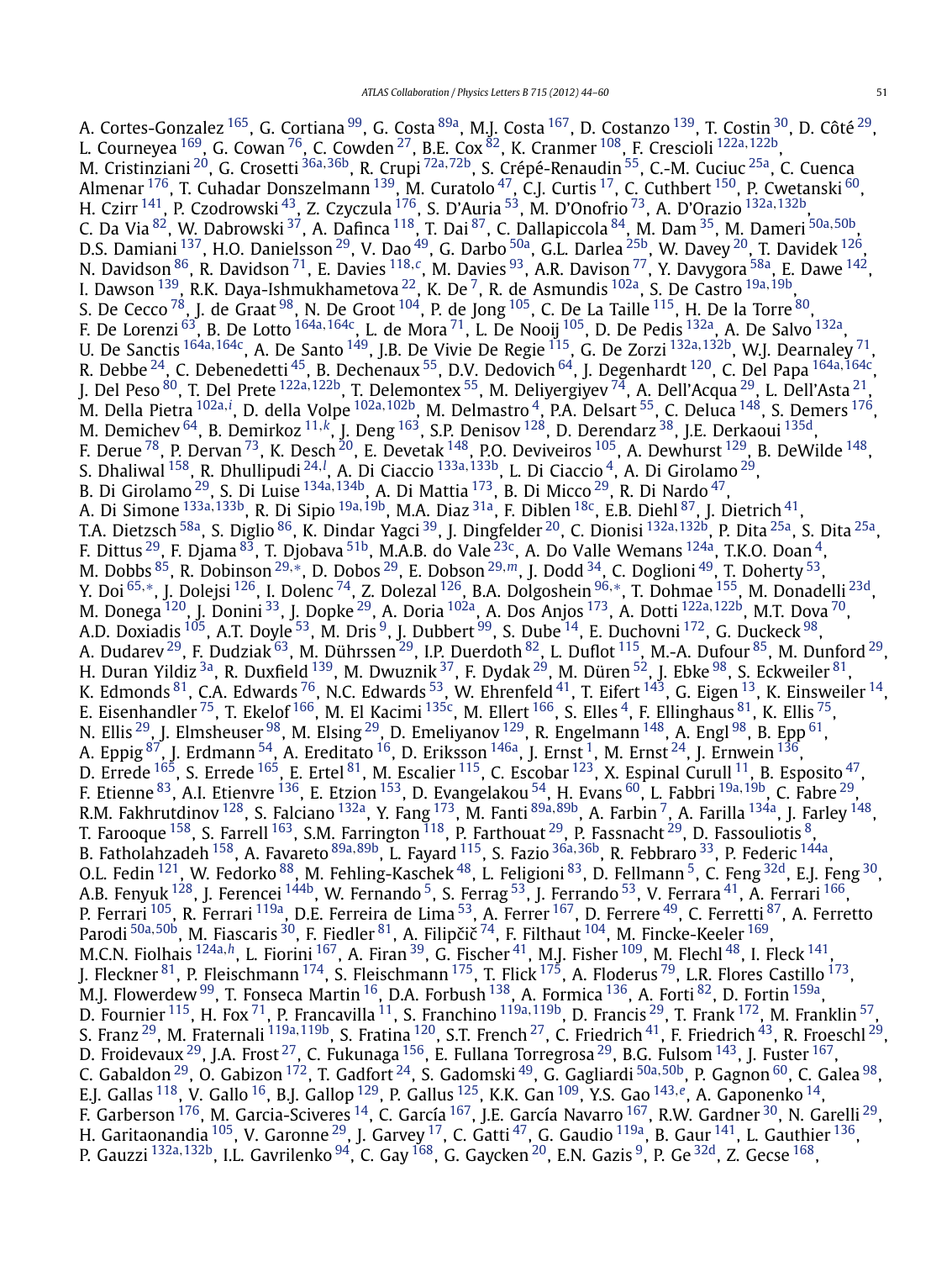A. Cortes-Gonzalez <sup>165</sup>, G. Cortiana <sup>[99](#page-15-0)</sup>, G. Costa <sup>89a</sup>, M.J. Costa <sup>167</sup>, D. Costanzo <sup>139</sup>, T. Costin <sup>[30](#page-14-0)</sup>, D. Côté <sup>29</sup>, L. Courneyea [169,](#page-16-0) G. Cowan [76,](#page-15-0) C. Cowden [27,](#page-14-0) B.E. Cox [82,](#page-15-0) K. Cranmer [108,](#page-15-0) F. Crescioli [122a](#page-15-0)*,*[122b,](#page-15-0) M. Cristinziani [20,](#page-14-0) G. Crosetti [36a](#page-14-0)*,*[36b,](#page-14-0) R. Crupi [72a](#page-15-0)*,*[72b](#page-15-0), S. Crépé-Renaudin [55,](#page-14-0) C.-M. Cuciuc [25a,](#page-14-0) C. Cuenca Almenar <sup>176</sup>, T. Cuhadar Donszelmann <sup>[139](#page-15-0)</sup>, M. Curatolo <sup>47</sup>, C.J. Curtis <sup>17</sup>, C. Cuthbert <sup>150</sup>, P. Cwetanski <sup>[60](#page-14-0)</sup>, H. Czirr [141,](#page-15-0) P. Czodrowski [43,](#page-14-0) Z. Czyczula [176,](#page-16-0) S. D'Auria [53,](#page-14-0) M. D'Onofrio [73,](#page-15-0) A. D'Orazio [132a](#page-15-0)*,*[132b,](#page-15-0) C. Da Via [82,](#page-15-0) W. Dabrowski [37](#page-14-0), A. Dafinca [118,](#page-15-0) T. Dai [87,](#page-15-0) C. Dallapiccola [84,](#page-15-0) M. Dam [35,](#page-14-0) M. Dameri [50a](#page-14-0)*,*[50b,](#page-14-0) D.S. Damiani <sup>137</sup>, H.O. Danielsson <sup>29</sup>, V. Dao <sup>49</sup>, G. Darbo <sup>50a</sup>, G.L. Darlea <sup>25b</sup>, W. Davey <sup>20</sup>, T. Davidek <sup>126</sup>, N. Davidson [86,](#page-15-0) R. Davidson [71,](#page-15-0) E. Davies [118](#page-15-0)*,[c](#page-16-0)*, M. Davies [93,](#page-15-0) A.R. Davison [77,](#page-15-0) Y. Davygora [58a,](#page-14-0) E. Dawe [142,](#page-15-0) I. Dawson [139,](#page-15-0) R.K. Daya-Ishmukhametova [22,](#page-14-0) K. De [7,](#page-14-0) R. de Asmundis [102a,](#page-15-0) S. De Castro [19a](#page-14-0)*,*[19b,](#page-14-0) S. De Cecco  $^{78}$ , J. de Graat  $^{98}$ , N. De Groot  $^{104}$  $^{104}$  $^{104}$ , P. de Jong  $^{105}$ , C. De La Taille  $^{115}$ , H. De la Torre  $^{80}$ , F. De Lorenzi [63,](#page-14-0) B. De Lotto [164a](#page-16-0)*,*[164c,](#page-16-0) L. de Mora [71](#page-15-0), L. De Nooij [105,](#page-15-0) D. De Pedis [132a,](#page-15-0) A. De Salvo [132a,](#page-15-0) U. De Sanctis [164a](#page-16-0)*,*[164c,](#page-16-0) A. De Santo [149,](#page-16-0) J.B. De Vivie De Regie [115,](#page-15-0) G. De Zorzi [132a](#page-15-0)*,*[132b,](#page-15-0) W.J. Dearnaley [71,](#page-15-0) R. Debbe [24,](#page-14-0) C. Debenedetti [45,](#page-14-0) B. Dechenaux [55,](#page-14-0) D.V. Dedovich [64,](#page-14-0) J. Degenhardt [120,](#page-15-0) C. Del Papa [164a](#page-16-0)*,*[164c,](#page-16-0) J. Del Peso [80,](#page-15-0) T. Del Prete [122a](#page-15-0)*,*[122b,](#page-15-0) T. Delemontex [55,](#page-14-0) M. Deliyergiyev [74,](#page-15-0) A. Dell'Acqua [29,](#page-14-0) L. Dell'Asta [21](#page-14-0), M. Della Pietra <sup>[102a](#page-15-0),*[i](#page-16-0)*</sup>, D. della Volpe <sup>102a,102b</sup>, M. Delmastro <sup>[4](#page-14-0)</sup>, P.A. Delsart <sup>55</sup>, C. Deluca <sup>148</sup>, S. Demers <sup>176</sup>, M. Demichev [64,](#page-14-0) B. Demirkoz [11](#page-14-0)*,[k](#page-16-0)*, J. Deng [163,](#page-16-0) S.P. Denisov [128,](#page-15-0) D. Derendarz [38,](#page-14-0) J.E. Derkaoui [135d,](#page-15-0) F. Derue  $^{78}$ , P. Dervan  $^{73}$ , K. Desch  $^{20}$ , E. Devetak  $^{148}$  $^{148}$  $^{148}$ , P.O. Deviveiros  $^{105}$ , A. Dewhurst  $^{129}$ , B. DeWilde  $^{148}$ , S. Dhaliwal <sup>[158](#page-16-0)</sup>, R. Dhullipudi <sup>[24](#page-14-0), !</sup>, A. Di Ciaccio <sup>133a, 133b</sup>, L. Di Ciaccio <sup>4</sup>, A. Di Giro[l](#page-16-0)amo <sup>29</sup>, B. Di Girolamo [29,](#page-14-0) S. Di Luise [134a](#page-15-0)*,*[134b,](#page-15-0) A. Di Mattia [173,](#page-16-0) B. Di Micco [29,](#page-14-0) R. Di Nardo [47,](#page-14-0) A. Di Simone [133a](#page-15-0)*,*[133b,](#page-15-0) R. Di Sipio [19a](#page-14-0)*,*[19b,](#page-14-0) M.A. Diaz [31a,](#page-14-0) F. Diblen [18c,](#page-14-0) E.B. Diehl [87,](#page-15-0) J. Dietrich [41](#page-14-0), T.A. Dietzsch [58a,](#page-14-0) S. Diglio [86,](#page-15-0) K. Dindar Yagci [39,](#page-14-0) J. Dingfelder [20,](#page-14-0) C. Dionisi [132a](#page-15-0)*,*[132b,](#page-15-0) P. Dita [25a](#page-14-0), S. Dita [25a,](#page-14-0) F. Dittus <sup>[29](#page-14-0)</sup>, F. Djama  $^{83}$ , T. Djobava  $^{51b}$ , M.A.B. do Vale  $^{23\mathrm{c}}$ , A. Do Valle Wemans  $^{124\mathrm{a}}$  $^{124\mathrm{a}}$  $^{124\mathrm{a}}$ , T.K.O. Doan  $^4$ , M. Dobbs [85,](#page-15-0) R. Dobinson [29](#page-14-0)*,*[∗](#page-16-0), D. Dobos [29,](#page-14-0) E. Dobson [29](#page-14-0)*,[m](#page-16-0)*, J. Dodd [34,](#page-14-0) C. Doglioni [49,](#page-14-0) T. Doherty [53](#page-14-0), Y. Doi [65](#page-14-0)*,*[∗](#page-16-0), J. Dolejsi [126,](#page-15-0) I. Dolenc [74,](#page-15-0) Z. Dolezal [126,](#page-15-0) B.A. Dolgoshein [96](#page-15-0)*,*[∗](#page-16-0), T. Dohmae [155,](#page-16-0) M. Donadelli [23d,](#page-14-0) M. Donega [120,](#page-15-0) J. Donini [33](#page-14-0), J. Dopke [29,](#page-14-0) A. Doria [102a,](#page-15-0) A. Dos Anjos [173,](#page-16-0) A. Dotti [122a](#page-15-0)*,*[122b,](#page-15-0) M.T. Dova [70](#page-14-0), A.D. Doxiadis  $^{105}$ , A.T. Doyle  $^{53}$ , M. Dris  $^9$ , J. Dubbert  $^{99}$ , S. Dube  $^{14}$ , E. Duchovni  $^{172}$ , G. Duckeck  $^{98}$ , A. Dudarev <sup>[29](#page-14-0)</sup>, F. Dudziak <sup>63</sup>, M. Dührssen <sup>29</sup>, I.P. Duerdoth <sup>82</sup>, L. Duflot <sup>115</sup>, M.-A. Dufour <sup>85</sup>, M. Dunford <sup>29</sup>, H. Duran Yildiz <sup>3a</sup>, R. Duxfield <sup>139</sup>, M. Dwuznik <sup>37</sup>, F. Dydak <sup>29</sup>, M. Düren <sup>52</sup>, J. Ebke <sup>98</sup>, S. Eckweiler <sup>[81](#page-15-0)</sup>, K. Edmonds  $^{81}$ , C.A. Edwards  $^{76}$ , N.C. Edwards  $^{53}$ , W. Ehrenfeld  $^{41}$  $^{41}$  $^{41}$ , T. Eifert  $^{143}$ , G. Eigen  $^{13}$  $^{13}$  $^{13}$ , K. Einsweiler  $^{14}$ , E. Eisenhandler <sup>[75](#page-15-0)</sup>, T. Ekelof <sup>166</sup>, M. El Kacimi <sup>135c</sup>, M. Ellert <sup>166</sup>, S. Elles <sup>4</sup>, F. Ellinghaus <sup>81</sup>, K. Ellis <sup>75</sup>, N. Ellis <sup>[29](#page-14-0)</sup>, J. Elmsheuser <sup>98</sup>, M. Elsing <sup>29</sup>, D. Emeliyanov <sup>129</sup>, R. Engelmann <sup>148</sup>, A. Engl <sup>98</sup>, B. Epp <sup>61</sup>, A. Eppig  $^{87}$ , J. Erdmann  $^{54}$ , A. Ereditato  $^{16}$ , D. Eriksson  $^{146}$ , J. Ernst  $^1$ , M. Ernst  $^{24}$ , J. Ernwein  $^{136}$ , D. Errede  $^{165}$ , S. Errede  $^{165}$ , E. Ertel  $^{81}$ , M. Escalier  $^{115}$  $^{115}$  $^{115}$ , C. Escobar  $^{123}$ , X. Espinal Curull  $^{11}$ , B. Esposito  $^{47}$ , F. Etienne [83,](#page-15-0) A.I. Etienvre [136,](#page-15-0) E. Etzion [153,](#page-16-0) D. Evangelakou [54,](#page-14-0) H. Evans [60,](#page-14-0) L. Fabbri [19a](#page-14-0)*,*[19b,](#page-14-0) C. Fabre [29,](#page-14-0) R.M. Fakhrutdinov [128,](#page-15-0) S. Falciano [132a,](#page-15-0) Y. Fang [173,](#page-16-0) M. Fanti [89a](#page-15-0)*,*[89b,](#page-15-0) A. Farbin [7,](#page-14-0) A. Farilla [134a,](#page-15-0) J. Farley [148,](#page-16-0) T. Farooque  $^{158}$ , S. Farrell  $^{163}$ , S.M. Farrington  $^{118}$  $^{118}$  $^{118}$ , P. Farthouat  $^{29}$ , P. Fassnacht  $^{29}$ , D. Fassouliotis  $^8$ , B. Fatholahzadeh [158,](#page-16-0) A. Favareto [89a](#page-15-0)*,*[89b,](#page-15-0) L. Fayard [115,](#page-15-0) S. Fazio [36a](#page-14-0)*,*[36b,](#page-14-0) R. Febbraro [33,](#page-14-0) P. Federic [144a,](#page-15-0) O.L. Fedin <sup>121</sup>, W. Fedorko <sup>88</sup>, M. Fehling-Kaschek <sup>48</sup>, L. Feligioni <sup>83</sup>, D. Fellmann <sup>5</sup>, C. Feng <sup>32d</sup>, E.J. Feng <sup>30</sup>, A.B. Fenyuk <sup>128</sup>, J. Ferencei <sup>144b</sup>, W. Fernando <sup>5</sup>, S. Ferrag <sup>[53](#page-14-0)</sup>, J. Ferrando <sup>53</sup>, V. Ferrara <sup>41</sup>, A. Ferrari <sup>166</sup>, P. Ferrari <sup>105</sup>, R. Ferrari <sup>119a</sup>, D.E. Ferreira de Lima <sup>53</sup>, A. Ferrer <sup>167</sup>, D. Ferrere <sup>49</sup>, C. Ferretti <sup>87</sup>, A. Ferretto Parodi <sup>[50a](#page-14-0), 50b</sup>, M. Fiascaris <sup>30</sup>, F. Fiedler <sup>81</sup>, A. Filipčič<sup>74</sup>, F. Filthaut <sup>104</sup>, M. Fincke-Keeler <sup>169</sup>, M.C.N. Fiolhais <sup>[124a](#page-15-0),[h](#page-16-0)</sup>, L. Fiorini <sup>[167](#page-16-0)</sup>, A. Firan <sup>[39](#page-14-0)</sup>, G. Fischer <sup>41</sup>, M.J. Fisher <sup>109</sup>, M. Flechl <sup>48</sup>, I. Fleck <sup>141</sup>, J. Fleckner [81](#page-15-0), P. Fleischmann  $^{174}$ , S. Fleischmann  $^{175}$ , T. Flick  $^{175}$ , A. Floderus  $^{79}$ , L.R. Flores Castillo  $^{173}$ , M.J. Flowerdew  $^{99}$ , T. Fonseca Martin  $^{16}$  $^{16}$  $^{16}$ , D.A. Forbush  $^{138}$ , A. Formica  $^{136}$ , A. Forti  $^{82}$ , D. Fortin  $^{159a}$ , D. Fournier [115,](#page-15-0) H. Fox [71,](#page-15-0) P. Francavilla [11,](#page-14-0) S. Franchino [119a](#page-15-0)*,*[119b](#page-15-0), D. Francis [29,](#page-14-0) T. Frank [172,](#page-16-0) M. Franklin [57,](#page-14-0) S. Franz [29,](#page-14-0) M. Fraternali [119a](#page-15-0)*,*[119b,](#page-15-0) S. Fratina [120,](#page-15-0) S.T. French [27,](#page-14-0) C. Friedrich [41,](#page-14-0) F. Friedrich [43,](#page-14-0) R. Froeschl [29,](#page-14-0) D. Froidevaux  $^{29}$ , J.A. Frost  $^{27}$ , C. Fukunaga  $^{156}$ , E. Fullana Torregrosa  $^{29}$ , B.G. Fulsom  $^{143}$ , J. Fuster  $^{167},$ C. Gabaldon [29,](#page-14-0) O. Gabizon [172,](#page-16-0) T. Gadfort [24,](#page-14-0) S. Gadomski [49,](#page-14-0) G. Gagliardi [50a](#page-14-0)*,*[50b,](#page-14-0) P. Gagnon [60,](#page-14-0) C. Galea [98,](#page-15-0) E.J. Gallas [118,](#page-15-0) V. Gallo [16,](#page-14-0) B.J. Gallop [129,](#page-15-0) P. Gallus [125,](#page-15-0) K.K. Gan [109,](#page-15-0) Y.S. Gao [143](#page-15-0)*,[e](#page-16-0)*, A. Gaponenko [14,](#page-14-0) F. Garberson <sup>176</sup>, M. Garcia-Sciveres <sup>14</sup>, C. García <sup>[167](#page-16-0)</sup>, J.E. García Navarro <sup>167</sup>, R.W. Gardner <sup>30</sup>, N. Garelli <sup>29</sup>, H. Garitaonandia  $^{105}$  $^{105}$  $^{105}$ , V. Garonne  $^{29}$ , J. Garvey  $^{17}$ , C. Gatti  $^{47}$ , G. Gaudio  $^{119$ a, B. Gaur  $^{141}$ , L. Gauthier  $^{136}$ , P. Gauzzi [132a](#page-15-0)*,*[132b,](#page-15-0) I.L. Gavrilenko [94,](#page-15-0) C. Gay [168,](#page-16-0) G. Gaycken [20,](#page-14-0) E.N. Gazis [9,](#page-14-0) P. Ge [32d,](#page-14-0) Z. Gecse [168,](#page-16-0)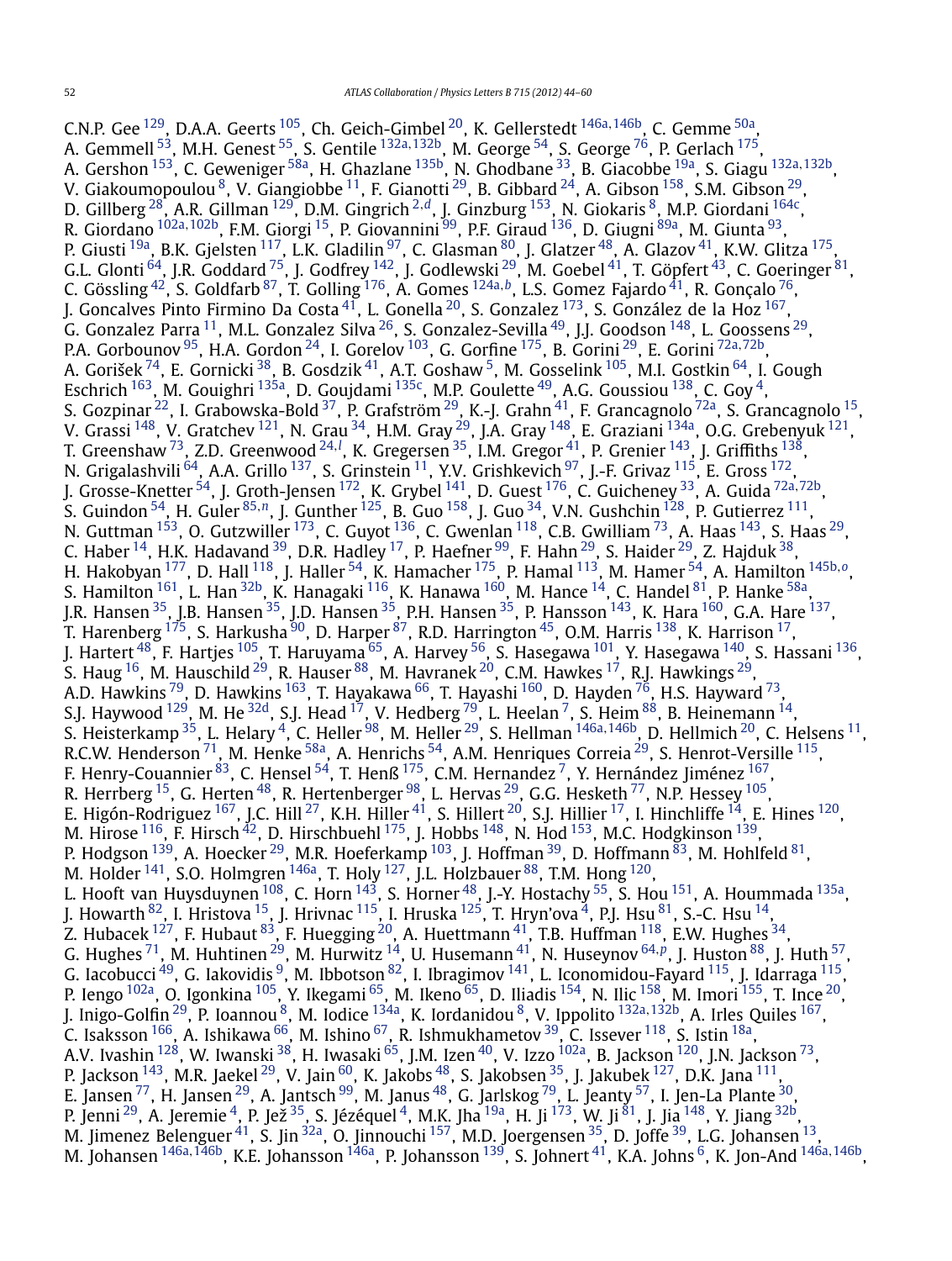C.N.P. Gee [129](#page-15-0), D.A.A. Geerts [105,](#page-15-0) Ch. Geich-Gimbel [20,](#page-14-0) K. Gellerstedt [146a](#page-16-0)*,*[146b,](#page-16-0) C. Gemme [50a,](#page-14-0) A. Gemmell [53,](#page-14-0) M.H. Genest [55,](#page-14-0) S. Gentile [132a](#page-15-0)*,*[132b](#page-15-0), M. George [54,](#page-14-0) S. George [76,](#page-15-0) P. Gerlach [175,](#page-16-0) A. Gershon [153,](#page-16-0) C. Geweniger [58a,](#page-14-0) H. Ghazlane [135b,](#page-15-0) N. Ghodbane [33,](#page-14-0) B. Giacobbe [19a](#page-14-0), S. Giagu [132a](#page-15-0)*,*[132b,](#page-15-0) V. Giakoumopoulou  $^8$ , V. Giangiobbe  $^{11}$ , F. Gianotti  $^{29}$  $^{29}$  $^{29}$ , B. Gibbard  $^{24}$ , A. Gibson  $^{158}$ , S.M. Gibson  $^{29}$ , D. Gillberg [28](#page-14-0), A.R. Gillman [129,](#page-15-0) D.M. Gingrich [2](#page-14-0)*,[d](#page-16-0)*, J. Ginzburg [153,](#page-16-0) N. Giokaris [8,](#page-14-0) M.P. Giordani [164c,](#page-16-0) R. Giordano [102a](#page-15-0)*,*[102b,](#page-15-0) F.M. Giorgi [15,](#page-14-0) P. Giovannini [99](#page-15-0), P.F. Giraud [136,](#page-15-0) D. Giugni [89a,](#page-15-0) M. Giunta [93,](#page-15-0) P. Giusti <sup>19a</sup>, B.K. Gjelsten <sup>117</sup>, L.K. Gladilin <sup>97</sup>, C. Glasman <sup>80</sup>, J. Glatzer <sup>48</sup>, A. Glazov <sup>41</sup>, K.W. Glitza <sup>175</sup>, G.L. Glonti  $^{64}$  $^{64}$  $^{64}$ , J.R. Goddard  $^{75}$ , J. Godfrey  $^{142}$ , J. Godlewski  $^{29}$ , M. Goebel  $^{41}$ , T. Göpfert  $^{43}$  $^{43}$  $^{43}$ , C. Goeringer  $^{81}$ , C. Gössling [42,](#page-14-0) S. Goldfarb [87,](#page-15-0) T. Golling [176,](#page-16-0) A. Gomes [124a](#page-15-0)*,[b](#page-16-0)*, L.S. Gomez Fajardo [41,](#page-14-0) R. Gonçalo [76,](#page-15-0) J. Goncalves Pinto Firmino Da Costa $^{41}$ , L. Gonella $^{20}$ , S. Gonzalez  $^{173}$ , S. González de la Hoz $^{167}$ , G. Gonzalez Parra  $^{11}$ , M.L. Gonzalez Silva  $^{26}$  $^{26}$  $^{26}$ , S. Gonzalez-Sevilla  $^{49}$ , J.J. Goodson  $^{148}$ , L. Goossens  $^{29}$ , P.A. Gorbounov [95,](#page-15-0) H.A. Gordon [24,](#page-14-0) I. Gorelov [103,](#page-15-0) G. Gorfine [175,](#page-16-0) B. Gorini [29,](#page-14-0) E. Gorini [72a](#page-15-0)*,*[72b,](#page-15-0) A. Gorišek <sup>74</sup>, E. Gornicki <sup>38</sup>, B. Gosdzik <sup>[41](#page-14-0)</sup>, A.T. Goshaw <sup>5</sup>, M. Gosselink <sup>105</sup>, M.I. Gostkin <sup>64</sup>, I. Gough Eschrich  $^{163}$  $^{163}$  $^{163}$ , M. Gouighri  $^{135a}$ , D. Goujdami  $^{135c}$ , M.P. Goulette  $^{49}$  $^{49}$  $^{49}$ , A.G. Goussiou  $^{138}$ , C. Goy  $^4$ , S. Gozpinar  $^{22}$ , I. Grabowska-Bold  $^{37}$ , P. Grafström  $^{29}$  $^{29}$  $^{29}$ , K.-J. Grahn  $^{41}$ , F. Grancagnolo  $^{72}$ a, S. Grancagnolo  $^{15}$ , V. Grassi  $^{148}$ , V. Gratchev  $^{121}$ , N. Grau  $^{34}$ , H.M. Gray  $^{29}$ , J.A. Gray  $^{148}$ , E. Graziani  $^{134}$ , O.G. Grebenyuk  $^{121}$ , T. Greenshaw <sup>73</sup>, Z.D. Greenwood <sup>[24](#page-14-0), [l](#page-16-0)</sup>, K. Gregersen <sup>35</sup>, I.M. Gregor <sup>41</sup>, P. Grenier <sup>143</sup>, J. Griffiths <sup>138</sup>, N. Grigalashvili  $^{64}$ , A.A. Grillo  $^{137}$ , S. Grinstein  $^{11}$ , Y.V. Grishkevich  $^{97}$ , J.-F. Grivaz  $^{115}$ , E. Gross  $^{172}$ , J. Grosse-Knetter [54,](#page-14-0) J. Groth-Jensen [172,](#page-16-0) K. Grybel [141,](#page-15-0) D. Guest [176,](#page-16-0) C. Guicheney [33,](#page-14-0) A. Guida [72a](#page-15-0)*,*[72b,](#page-15-0) S. Guindon [54,](#page-14-0) H. Guler [85](#page-15-0)*,[n](#page-16-0)*, J. Gunther [125,](#page-15-0) B. Guo [158,](#page-16-0) J. Guo [34,](#page-14-0) V.N. Gushchin [128,](#page-15-0) P. Gutierrez [111,](#page-15-0) N. Guttman  $^{153}$ , O. Gutzwiller  $^{173}$ , C. Guyot  $^{136}$  $^{136}$  $^{136}$ , C. Gwenlan  $^{118}$ , C.B. Gwilliam  $^{73}$ , A. Haas  $^{143}$ , S. Haas  $^{29}$ , C. Haber  $^{14}$ , H.K. Hadavand  $^{39}$ , D.R. Hadley  $^{17}$ , P. Haefner  $^{99}$ , F. Hahn  $^{29}$ , S. Haider  $^{29}$ , Z. Hajduk  $^{38}$ , H. Hakobyan [177,](#page-16-0) D. Hall [118](#page-15-0), J. Haller [54,](#page-14-0) K. Hamacher [175,](#page-16-0) P. Hamal [113,](#page-15-0) M. Hamer [54](#page-14-0), A. Hamilton [145b](#page-16-0)*,[o](#page-16-0)*, S. Hamilton <sup>161</sup>, L. Han <sup>32b</sup>, K. Hanagaki <sup>116</sup>, K. Hanawa <sup>160</sup>, M. Hance <sup>14</sup>, C. Handel <sup>[81](#page-15-0)</sup>, P. Hanke <sup>58a</sup>, J.R. Hansen <sup>35</sup>, J.B. Hansen <sup>35</sup>, J.D. Hansen <sup>35</sup>, P.H. Hansen <sup>35</sup>, P. Hansson <sup>143</sup>, K. Hara <sup>160</sup>, G.A. Hare <sup>137</sup>, T. Harenberg  $^{175}$ , S. Harkusha  $^{90}$ , D. Harper  $^{87}$  $^{87}$  $^{87}$ , R.D. Harrington  $^{45}$ , O.M. Harris  $^{138}$ , K. Harrison  $^{17}$ , J. Hartert <sup>48</sup>, F. Hartjes <sup>105</sup>, T. Haruyama <sup>65</sup>, A. Harvey <sup>56</sup>, S. Hasegawa <sup>101</sup>, Y. Hasegawa <sup>140</sup>, S. Hassani <sup>136</sup>, S. Haug  $^{16}$ , M. Hauschild  $^{29}$ , R. Hauser  $^{88}$ , M. Havranek  $^{20}$ , C.M. Hawkes  $^{17}$ , R.J. Hawkings  $^{29}$ , A.D. Hawkins <sup>79</sup>, D. Hawkins <sup>163</sup>, T. Hayakawa <sup>66</sup>, T. Hayashi <sup>160</sup>, D. Hayden <sup>76</sup>, H.S. Hayward <sup>73</sup>, S.J. Haywood  $^{129}$ , M. He  $^{32{\rm d}}$ , S.J. Head  $^{17}$ , V. Hedberg  $^{79}$ , L. Heelan  $^7$ , S. Heim  $^{88}$ , B. Heinemann  $^{14}$ , S. Heisterkamp [35,](#page-14-0) L. Helary [4,](#page-14-0) C. Heller [98,](#page-15-0) M. Heller [29](#page-14-0), S. Hellman [146a](#page-16-0)*,*[146b,](#page-16-0) D. Hellmich [20,](#page-14-0) C. Helsens [11,](#page-14-0) R.C.W. Henderson  $^{71}$ , M. Henke  $^{58\mathrm{a}}$ , A. Henrichs  $^{54}$ , A.M. Henriques Correia  $^{29}$ , S. Henrot-Versille  $^{115}$ , F. Henry-Couannier $^{83}$ , C. Hensel $^{54}$ , T. Henß $^{175}$ , C.M. Hernandez  $^7$ , Y. Hernández Jiménez $^{167}$ , R. Herrberg  $^{15}$ , G. Herten  $^{48}$ , R. Hertenberger  $^{98}$ , L. Hervas  $^{29}$ , G.G. Hesketh  $^{77}$  $^{77}$  $^{77}$ , N.P. Hessey  $^{105},$ E. Higón-Rodriguez <sup>167</sup>, J.C. Hill <sup>27</sup>, K.H. Hiller <sup>41</sup>, S. Hillert <sup>20</sup>, S.J. Hillier <sup>17</sup>, I. Hinchliffe <sup>14</sup>, E. Hines <sup>120</sup>, M. Hirose  $^{116}$ , F. Hirsch $^{42}$ , D. Hirschbuehl  $^{175}$ , J. Hobbs  $^{148}$  $^{148}$  $^{148}$ , N. Hod  $^{153}$ , M.C. Hodgkinson  $^{139}$ , P. Hodgson  $^{139}$ , A. Hoecker  $^{29}$ , M.R. Hoeferkamp  $^{103}$ , J. Hoffman  $^{39}$ , D. Hoffmann  $^{83}$ , M. Hohlfeld  $^{81}$ , M. Holder  $^{141}$ , S.O. Holmgren  $^{146}$ , T. Holy  $^{127}$ , J.L. Holzbauer  $^{88}$ , T.M. Hong  $^{120}$ , L. Hooft van Huysduynen  $^{108}$ , C. Horn  $^{143}$ , S. Horner  $^{48}$ , J.-Y. Hostachy  $^{55}$ , S. Hou  $^{151}$ , A. Hoummada  $^{135\mathrm{a}},$ J. Howarth  $^{82}$ , I. Hristova  $^{15}$ , J. Hrivnac  $^{115}$  $^{115}$  $^{115}$ , I. Hruska  $^{125}$ , T. Hryn'ova  $^4$ , P.J. Hsu  $^{81}$ , S.-C. Hsu  $^{14}$ , Z. Hubacek  $^{127}$ , F. Hubaut  $^{83}$ , F. Huegging  $^{20}$ , A. Huettmann  $^{41}$ , T.B. Huffman  $^{118}$ , E.W. Hughes  $^{34}$ , G. Hughes [71,](#page-15-0) M. Huhtinen [29,](#page-14-0) M. Hurwitz [14,](#page-14-0) U. Husemann [41,](#page-14-0) N. Huseynov [64](#page-14-0)*,[p](#page-16-0)*, J. Huston [88,](#page-15-0) J. Huth [57,](#page-14-0) G. Iacobucci  $^{49}$ , G. Iakovidis  $^9$ , M. Ibbotson  $^{82}$ , I. Ibragimov  $^{141}$ , L. Iconomidou-Fayard  $^{115}$ , J. Idarraga  $^{115}$ , P. Iengo <sup>102a</sup>, O. Igonkina <sup>[105](#page-15-0)</sup>, Y. Ikegami <sup>[65](#page-14-0)</sup>, M. Ikeno <sup>65</sup>, D. Iliadis <sup>154</sup>, N. Ilic <sup>158</sup>, M. Imori <sup>155</sup>, T. Ince <sup>20</sup>, J. Inigo-Golfin [29,](#page-14-0) P. Ioannou [8,](#page-14-0) M. Iodice [134a,](#page-15-0) K. Iordanidou [8,](#page-14-0) V. Ippolito [132a](#page-15-0)*,*[132b](#page-15-0), A. Irles Quiles [167,](#page-16-0) C. Isaksson  $^{166}$  $^{166}$  $^{166}$ , A. Ishikawa  $^{66}$ , M. Ishino  $^{67}$ , R. Ishmukhametov  $^{39}$ , C. Issever  $^{118}$ , S. Istin  $^{18a}$ , A.V. Ivashin <sup>[128](#page-15-0)</sup>, W. Iwanski <sup>38</sup>, H. Iwasaki <sup>65</sup>, J.M. Izen <sup>40</sup>, V. Izzo <sup>102a</sup>, B. Jackson <sup>120</sup>, J.N. Jackson <sup>73</sup>, P. Jackson  $^{143}$ , M.R. Jaekel  $^{29}$ , V. Jain  $^{60}$ , K. Jakobs  $^{48}$ , S. Jakobsen  $^{35}$ , J. Jakubek  $^{127}$ , D.K. Jana  $^{111}$ , E. Jansen  $^{77}$ , H. Jansen  $^{29}$ , A. Jantsch  $^{99}$ , M. Janus  $^{48}$ , G. Jarlskog  $^{79}$ , L. Jeanty  $^{57}$  $^{57}$  $^{57}$ , I. Jen-La Plante  $^{30}$ , P. Jenni <sup>29</sup>, A. Jeremie <sup>4</sup>, P. Jež <sup>35</sup>, S. Jézéquel <sup>4</sup>, M.K. Jha <sup>19a</sup>, H. Ji <sup>173</sup>, W. Ji <sup>81</sup>, J. Jia <sup>148</sup>, Y. Jiang <sup>32b</sup>, M. Jimenez Belenguer  $^{41}$ , S. Jin  $^{32a}$ , O. Jinnouchi  $^{157}$ , M.D. Joergensen  $^{35}$ , D. Joffe  $^{39}$ , L.G. Johansen  $^{13}$ , M. Johansen [146a](#page-16-0)*,*[146b,](#page-16-0) K.E. Johansson [146a](#page-16-0), P. Johansson [139,](#page-15-0) S. Johnert [41,](#page-14-0) K.A. Johns [6,](#page-14-0) K. Jon-And [146a](#page-16-0)*,*[146b,](#page-16-0)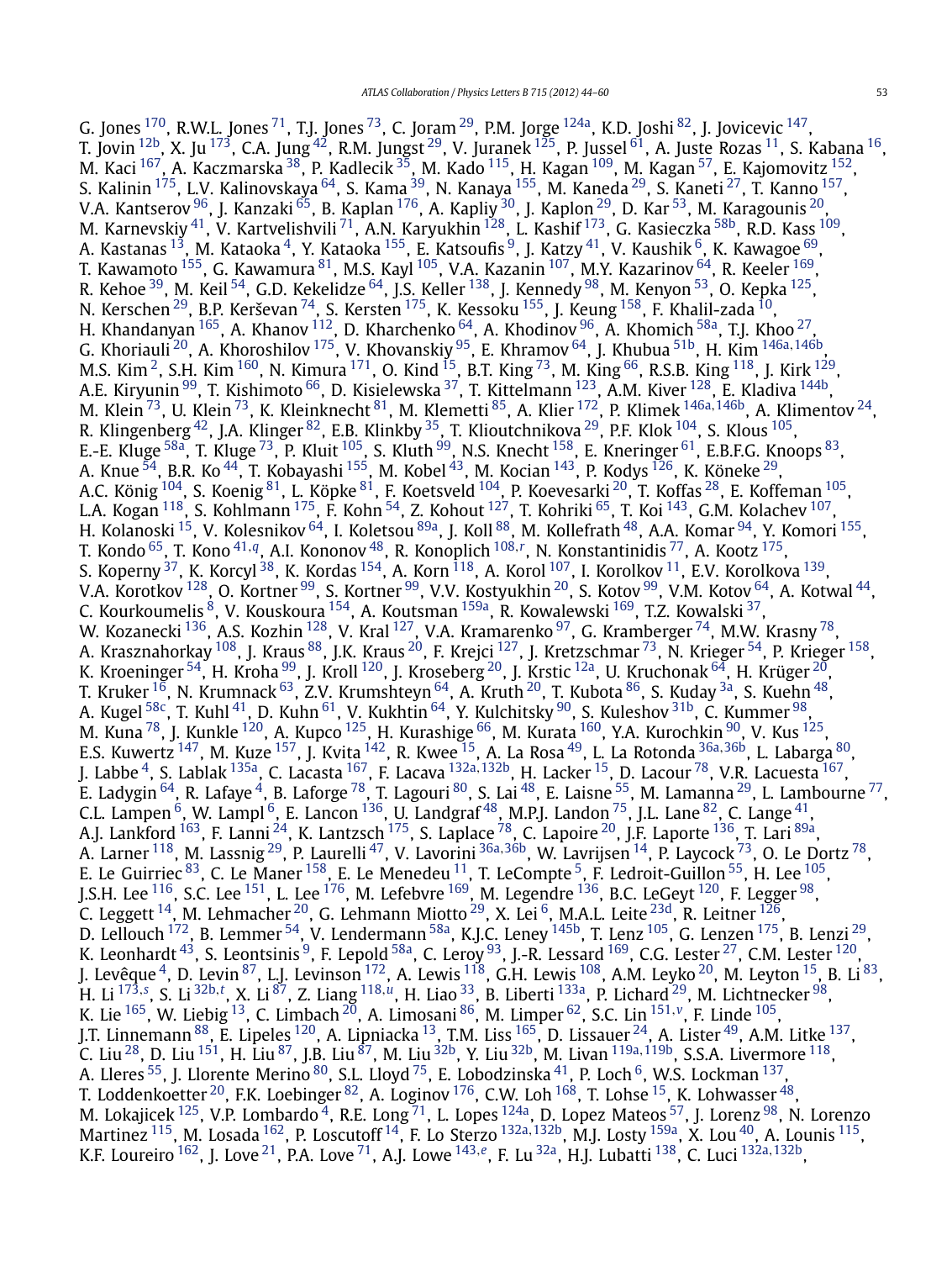G. Jones  $^{170}$ , R.W.L. Jones  $^{71}$  $^{71}$  $^{71}$ , T.J. Jones  $^{73}$ , C. Joram  $^{29}$ , P.M. Jorge  $^{124}$ , K.D. Joshi  $^{82}$ , J. Jovicevic  $^{147}$ , T. Jovin  $^{12b}$ , X. Ju  $^{173}$ , C.A. Jung $^{42}$ , R.M. Jungst  $^{29}$ , V. Juranek  $^{125}$ , P. Jussel  $^{61}$ , A. Juste Rozas  $^{11}$ , S. Kabana  $^{16}$  $^{16}$  $^{16}$ , M. Kaci  $^{167}$ , A. Kaczmarska  $^{38}$ , P. Kadlecik  $^{35}$ , M. Kado  $^{115}$ , H. Kagan  $^{109}$ , M. Kagan  $^{57}$ , E. Kajomovitz  $^{152}$ , S. Kalinin <sup>175</sup>, L.V. Kalinovskaya <sup>64</sup>, S. Kama <sup>39</sup>, N. Kanaya <sup>155</sup>, M. Kaneda <sup>29</sup>, S. Kaneti <sup>27</sup>, T. Kanno <sup>157</sup>, V.A. Kantserov  $^{96}$ , J. Kanzaki  $^{65}$  $^{65}$  $^{65}$ , B. Kaplan  $^{176}$  $^{176}$  $^{176}$ , A. Kapliy  $^{30}$ , J. Kaplon  $^{29}$ , D. Kar  $^{53}$ , M. Karagounis  $^{20}$ , M. Karnevskiy $^{41}$ , V. Kartvelishvili $^{71}$ , A.N. Karyukhin  $^{128}$  $^{128}$  $^{128}$ , L. Kashif  $^{173}$ , G. Kasieczka  $^{58\mathrm{b}}$ , R.D. Kass  $^{109}$ , A. Kastanas  $^{13}$ , M. Kataoka  $^{4}$ , Y. Kataoka  $^{155}$  $^{155}$  $^{155}$ , E. Katsoufis  $^{9}$ , J. Katzy  $^{41}$ , V. Kaushik  $^{6}$ , K. Kawagoe  $^{69}$ , T. Kawamoto  $^{155}$ , G. Kawamura  $^{81}$  $^{81}$  $^{81}$ , M.S. Kayl  $^{105}$ , V.A. Kazanin  $^{107}$ , M.Y. Kazarinov  $^{64}$ , R. Keeler  $^{169}$ , R. Kehoe  $^{39}$ , M. Keil  $^{54}$ , G.D. Kekelidze  $^{64}$ , J.S. Keller  $^{138}$ , J. Kennedy  $^{98}$ , M. Kenyon  $^{53}$ , O. Kepka  $^{125}$ , N. Kerschen $^{29}$ , B.P. Kerševan $^{74}$ , S. Kersten $^{175}$ , K. Kessoku $^{155}$ , J. Keung $^{158}$ , F. Khalil-zada $^{10}$ , H. Khandanyan  $^{165}$ , A. Khanov  $^{112}$ , D. Kharchenko  $^{64}$ , A. Khodinov  $^{96}$ , A. Khomich  $^{58\text{a}}$ , T.J. Khoo  $^{27}$ , G. Khoriauli [20,](#page-14-0) A. Khoroshilov [175,](#page-16-0) V. Khovanskiy [95,](#page-15-0) E. Khramov [64,](#page-14-0) J. Khubua [51b](#page-14-0), H. Kim [146a](#page-16-0)*,*[146b,](#page-16-0) M.S. Kim <sup>2</sup>, S.H. Kim  $^{160}$ , N. Kimura  $^{171}$ , O. Kind  $^{15}$ , B.T. King  $^{73}$ , M. King  $^{66}$ , R.S.B. King  $^{118}$ , J. Kirk  $^{129}$ , A.E. Kiryunin <sup>99</sup>, T. Kishimoto <sup>[66](#page-14-0)</sup>, D. Kisielewska <sup>37</sup>, T. Kittelmann <sup>123</sup>, A.M. Kiver <sup>128</sup>, E. Kladiva <sup>144b</sup>, M. Klein [73,](#page-15-0) U. Klein [73,](#page-15-0) K. Kleinknecht [81,](#page-15-0) M. Klemetti [85,](#page-15-0) A. Klier [172](#page-16-0), P. Klimek [146a](#page-16-0)*,*[146b,](#page-16-0) A. Klimentov [24,](#page-14-0) R. Klingenberg  $^{42}$  $^{42}$  $^{42}$ , J.A. Klinger  $^{82}$ , E.B. Klinkby  $^{35}$ , T. Klioutchnikova  $^{29}$ , P.F. Klok  $^{104}$ , S. Klous  $^{105},$ E.-E. Kluge <sup>58a</sup>, T. Kluge <sup>[73](#page-15-0)</sup>, P. Kluit <sup>105</sup>, S. Kluth <sup>99</sup>, N.S. Knecht <sup>[158](#page-16-0)</sup>, E. Kneringer <sup>61</sup>, E.B.F.G. Knoops <sup>[83](#page-15-0)</sup>, A. Knue  $^{54}$ , B.R. Ko $^{44}$ , T. Kobayashi  $^{155}$ , M. Kobel  $^{43}$ , M. Kocian  $^{143}$ , P. Kodys  $^{126}$  $^{126}$  $^{126}$ , K. Köneke  $^{29}$ , A.C. König  $^{104}$ , S. Koenig $^{81}$ , L. Köpke $^{81}$ , F. Koetsveld  $^{104}$ , P. Koevesarki  $^{20}$ , T. Koffas  $^{28}$ , E. Koffeman  $^{105},$ L.A. Kogan <sup>118</sup>, S. Kohlmann <sup>175</sup>, F. Kohn <sup>54</sup>, Z. Kohout <sup>127</sup>, T. Kohriki <sup>65</sup>, T. Koi <sup>143</sup>, G.M. Kolachev <sup>[107](#page-15-0)</sup>, H. Kolanoski <sup>15</sup>, V. Kolesnikov <sup>64</sup>, I. Koletsou <sup>89a</sup>, J. Koll <sup>88</sup>, M. Kollefrath <sup>48</sup>, A.A. Komar <sup>94</sup>, Y. Komori <sup>155</sup>, T. Kondo [65](#page-14-0), T. Kono [41](#page-14-0)*,[q](#page-16-0)*, A.I. Kononov [48,](#page-14-0) R. Konoplich [108](#page-15-0)*,[r](#page-16-0)* , N. Konstantinidis [77](#page-15-0), A. Kootz [175,](#page-16-0) S. Koperny  $^{37}$ , K. Korcyl  $^{38}$ , K. Kordas  $^{154}$ , A. Korn  $^{118}$ , A. Korol  $^{107}$  $^{107}$  $^{107}$ , I. Korolkov  $^{11}$ , E.V. Korolkova  $^{139}$ , V.A. Korotkov  $^{128}$ , O. Kortner  $^{99}$ , S. Kortner  $^{99}$ , V.V. Kostyukhin  $^{20}$ , S. Kotov  $^{99}$ , V.M. Kotov  $^{64}$ , A. Kotwal  $^{44}$  $^{44}$  $^{44}$ , C. Kourkoumelis <sup>8</sup>, V. Kouskoura <sup>154</sup>, A. Koutsman <sup>159a</sup>, R. Kowalewski <sup>[169](#page-16-0)</sup>, T.Z. Kowalski <sup>37</sup>, W. Kozanecki  $^{136}$ , A.S. Kozhin  $^{128}$ , V. Kral  $^{127}$ , V.A. Kramarenko  $^{97}$ , G. Kramberger  $^{74}$ , M.W. Krasny  $^{78}$ , A. Krasznahorkay <sup>108</sup>, J. Kraus <sup>88</sup>, J.K. Kraus <sup>20</sup>, F. Krejci <sup>127</sup>, J. Kretzschmar <sup>73</sup>, N. Krieger <sup>54</sup>, P. Krieger <sup>158</sup>, K. Kroeninger  $^{54}$ , H. Kroha  $^{99}$ , J. Kroll  $^{120}$ , J. Kroseberg  $^{20}$ , J. Krstic  $^{12a}$ , U. Kruchonak  $^{64}$ , H. Krüger  $^{20}$ , T. Kruker  $^{16}$  $^{16}$  $^{16}$ , N. Krumnack  $^{63}$ , Z.V. Krumshteyn  $^{64}$ , A. Kruth  $^{20}$ , T. Kubota  $^{86}$ , S. Kuday  $^{3a}$ , S. Kuehn  $^{48}$ , A. Kugel  $^{58\mathrm{c}}$ , T. Kuhl  $^{41}$ , D. Kuhn  $^{61}$ , V. Kukhtin  $^{64}$ , Y. Kulchitsky  $^{90}$ , S. Kuleshov  $^{31\mathrm{b}}$ , C. Kummer  $^{98}$ , M. Kuna $^{78}$ , J. Kunkle  $^{120}$ , A. Kupco  $^{125}$ , H. Kurashige  $^{66}$  $^{66}$  $^{66}$ , M. Kurata  $^{160}$ , Y.A. Kurochkin  $^{90}$ , V. Kus  $^{125},$ E.S. Kuwertz [147,](#page-16-0) M. Kuze [157,](#page-16-0) J. Kvita [142,](#page-15-0) R. Kwee [15,](#page-14-0) A. La Rosa [49,](#page-14-0) L. La Rotonda [36a](#page-14-0)*,*[36b,](#page-14-0) L. Labarga [80,](#page-15-0) J. Labbe [4,](#page-14-0) S. Lablak [135a,](#page-15-0) C. Lacasta [167,](#page-16-0) F. Lacava [132a](#page-15-0)*,*[132b](#page-15-0), H. Lacker [15,](#page-14-0) D. Lacour [78,](#page-15-0) V.R. Lacuesta [167,](#page-16-0) E. Ladygin  $^{64}$ , R. Lafaye  $^4$ , B. Laforge  $^{78}$ , T. Lagouri  $^{80}$ , S. Lai  $^{48}$ , E. Laisne  $^{55}$  $^{55}$  $^{55}$ , M. Lamanna  $^{29}$ , L. Lambourne  $^{77}$ , C.L. Lampen  $^6$ , W. Lampl  $^6$ , E. Lancon  $^{136}$ , U. Landgraf  $^{48}$ , M.P.J. Landon  $^{75}$ , J.L. Lane  $^{82}$ , C. Lange  $^{41}$ , A.J. Lankford <sup>163</sup>, F. Lanni <sup>24</sup>, K. Lantzsch <sup>175</sup>, S. Laplace <sup>78</sup>, C. Lapoire <sup>20</sup>, J.F. Laporte <sup>136</sup>, T. Lari <sup>89a</sup>, A. Larner [118,](#page-15-0) M. Lassnig [29,](#page-14-0) P. Laurelli [47](#page-14-0), V. Lavorini [36a](#page-14-0)*,*[36b,](#page-14-0) W. Lavrijsen [14,](#page-14-0) P. Laycock [73,](#page-15-0) O. Le Dortz [78,](#page-15-0) E. Le Guirriec  $^{83}$ , C. Le Maner  $^{158}$ , E. Le Menedeu  $^{11}$ , T. LeCompte  $^5$ , F. Ledroit-Guillon  $^{55}$ , H. Lee  $^{105}$ , J.S.H. Lee  $^{116}$ , S.C. Lee  $^{151}$ , L. Lee  $^{176}$ , M. Lefebvre  $^{169}$ , M. Legendre  $^{136}$ , B.C. LeGeyt  $^{120}$ , F. Legger  $^{98}$ , C. Leggett <sup>14</sup>, M. Lehmacher <sup>20</sup>, G. Lehmann Miotto <sup>29</sup>, X. Lei <sup>6</sup>, M.A.L. Leite <sup>23d</sup>, R. Leitner <sup>126</sup>, D. Lellouch  $172$ , B. Lemmer  $54$ , V. Lendermann  $58a$ , K.J.C. Leney  $145b$ , T. Lenz  $105$ , G. Lenzen  $175$ , B. Lenzi  $29$ , K. Leonhardt  $^{43}$ , S. Leontsinis  $^9$ , F. Lepold  $^{58a}$ , C. Leroy  $^{93}$ , J.-R. Lessard  $^{169}$ , C.G. Lester  $^{27}$ , C.M. Lester  $^{120}$ , J. Levêque  $^4$ , D. Levin  $^{87}$ , L.J. Levinson  $^{172}$ , A. Lewis  $^{118}$ , G.H. Lewis  $^{108}$ , A.M. Leyko  $^{20}$ , M. Leyton  $^{15}$ , B. Li  $^{83}$ , H. Li [173](#page-16-0)*,[s](#page-16-0)* , S. Li [32b](#page-14-0)*,[t](#page-16-0)* , X. Li [87,](#page-15-0) Z. Liang [118](#page-15-0)*,[u](#page-16-0)*, H. Liao [33,](#page-14-0) B. Liberti [133a,](#page-15-0) P. Lichard [29,](#page-14-0) M. Lichtnecker [98,](#page-15-0) K. Lie [165](#page-16-0), W. Liebig [13,](#page-14-0) C. Limbach [20,](#page-14-0) A. Limosani [86,](#page-15-0) M. Limper [62,](#page-14-0) S.C. Lin [151](#page-16-0)*,[v](#page-16-0)*, F. Linde [105,](#page-15-0) J.T. Linnemann <sup>88</sup>, E. Lipeles <sup>120</sup>, A. Lipniacka <sup>13</sup>, T.M. Liss <sup>165</sup>, D. Lissauer <sup>24</sup>, A. Lister <sup>49</sup>, A.M. Litke <sup>137</sup>, C. Liu [28,](#page-14-0) D. Liu [151,](#page-16-0) H. Liu [87,](#page-15-0) J.B. Liu [87,](#page-15-0) M. Liu [32b,](#page-14-0) Y. Liu [32b,](#page-14-0) M. Livan [119a](#page-15-0)*,*[119b,](#page-15-0) S.S.A. Livermore [118,](#page-15-0) A. Lleres  $^{55}$ , J. Llorente Merino  $^{80}$ , S.L. Lloyd  $^{75}$ , E. Lobodzinska  $^{41}$ , P. Loch  $^6$ , W.S. Lockman  $^{137},$ T. Loddenkoetter  $^{20}$ , F.K. Loebinger  $^{82}$ , A. Loginov  $^{176}$ , C.W. Loh  $^{168}$  $^{168}$  $^{168}$ , T. Lohse  $^{15}$ , K. Lohwasser  $^{48}$  $^{48}$  $^{48}$ , M. Lokajicek <sup>125</sup>, V.P. Lombardo <sup>4</sup>, R.E. Long <sup>71</sup>, L. Lopes <sup>124a</sup>, D. Lopez Mateos <sup>57</sup>, J. Lorenz <sup>98</sup>, N. Lorenzo Martinez [115,](#page-15-0) M. Losada [162](#page-16-0), P. Loscutoff [14,](#page-14-0) F. Lo Sterzo [132a](#page-15-0)*,*[132b,](#page-15-0) M.J. Losty [159a,](#page-16-0) X. Lou [40](#page-14-0), A. Lounis [115](#page-15-0), K.F. Loureiro [162,](#page-16-0) J. Love [21,](#page-14-0) P.A. Love [71](#page-15-0), A.J. Lowe [143](#page-15-0)*,[e](#page-16-0)*, F. Lu [32a,](#page-14-0) H.J. Lubatti [138,](#page-15-0) C. Luci [132a](#page-15-0)*,*[132b](#page-15-0),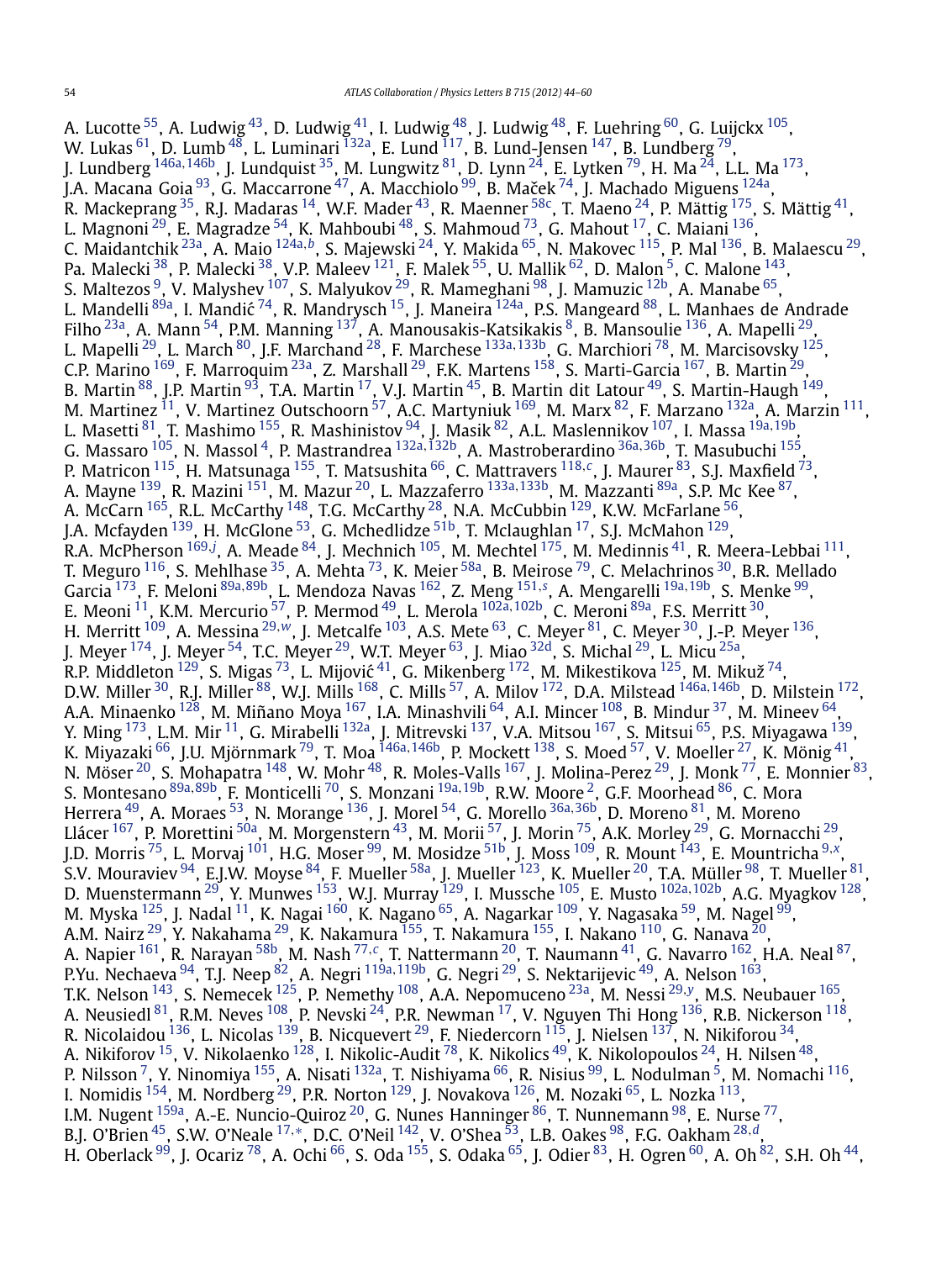A. Lucotte  $^{55}$ , A. Ludwig  $^{43}$ , D. Ludwig  $^{41}$  $^{41}$  $^{41}$ , I. Ludwig  $^{48}$  $^{48}$  $^{48}$ , J. Ludwig  $^{48}$ , F. Luehring  $^{60}$ , G. Luijckx  $^{105}$  $^{105}$  $^{105}$ , W. Lukas  $^{61}$ , D. Lumb  $^{48}$ , L. Luminari  $^{132}$ , E. Lund  $^{117}$ , B. Lund-Jensen  $^{147}$ , B. Lundberg  $^{79}$ , J. Lundberg [146a](#page-16-0)*,*[146b,](#page-16-0) J. Lundquist [35,](#page-14-0) M. Lungwitz [81,](#page-15-0) D. Lynn [24,](#page-14-0) E. Lytken [79](#page-15-0), H. Ma [24,](#page-14-0) L.L. Ma [173](#page-16-0), J.A. Macana Goia $^{93}$ , G. Maccarrone $^{47}$ , A. Macchiolo $^{99}$ , B. Maček $^{74}$ , J. Machado Miguens  $^{124}$ , R. Mackeprang  $^{35}$ , R.J. Madaras  $^{14}$  $^{14}$  $^{14}$ , W.F. Mader  $^{43}$ , R. Maenner  $^{58\rm c}$ , T. Maeno  $^{24}$ , P. Mättig  $^{175}$ , S. Mättig  $^{41}$ , L. Magnoni  $^{29}$  $^{29}$  $^{29}$ , E. Magradze  $^{54}$ , K. Mahboubi  $^{48}$ , S. Mahmoud  $^{73}$ , G. Mahout  $^{17}$ , C. Maiani  $^{136}$ , C. Maidantchik [23a,](#page-14-0) A. Maio [124a](#page-15-0)*,[b](#page-16-0)*, S. Majewski [24,](#page-14-0) Y. Makida [65,](#page-14-0) N. Makovec [115,](#page-15-0) P. Mal [136,](#page-15-0) B. Malaescu [29,](#page-14-0) Pa. Malecki <sup>[38](#page-14-0)</sup>, P. Malecki <sup>38</sup>, V.P. Maleev <sup>121</sup>, F. Malek <sup>55</sup>, U. Mallik <sup>62</sup>, D. Malon <sup>5</sup>, C. Malone <sup>143</sup>, S. Maltezos  $^9$ , V. Malyshev  $^{107}$ , S. Malyukov  $^{29}$ , R. Mameghani  $^{98}$ , J. Mamuzic  $^{12\mathrm{b}}$ , A. Manabe  $^{65}$ , 5. Mandelli [89a,](#page-15-0) V. Marysnev d. S. Marydkov d. K. Mandegham d. J. Mannuzic d. A. Manabe de Andrade L. Mandelli 89a, I. Mandić [74,](#page-15-0) R. Mandrysch <sup>15</sup>, J. Maneira <sup>124a</sup>, P.S. Mangeard <sup>88</sup>, L. Manhaes de Andrade Filho <sup>23a</sup>, A. Mann <sup>54</sup>, P.M. Manning <sup>[137](#page-15-0)</sup>, A. Manousakis-Katsikakis <sup>8</sup>, B. Mansoulie <sup>136</sup>, A. Mapelli <sup>29</sup>, L. Mapelli [29,](#page-14-0) L. March [80,](#page-15-0) J.F. Marchand [28,](#page-14-0) F. Marchese [133a](#page-15-0)*,*[133b,](#page-15-0) G. Marchiori [78,](#page-15-0) M. Marcisovsky [125,](#page-15-0) C.P. Marino [169,](#page-16-0) F. Marroquim [23a,](#page-14-0) Z. Marshall [29,](#page-14-0) F.K. Martens [158](#page-16-0), S. Marti-Garcia [167,](#page-16-0) B. Martin [29,](#page-14-0) B. Martin  $^{88}$ , J.P. Martin  $^{93}$ , T.A. Martin  $^{17}$ , V.J. Martin  $^{45}$ , B. Martin dit Latour  $^{49}$ , S. Martin-Haugh  $^{149}$ , M. Martinez <sup>11</sup>, V. Martinez Outschoorn  $^{57}$ , A.C. Martyniuk  $^{169}$ , M. Marx  $^{82}$ , F. Marzano  $^{132}$ a, A. Marzin  $^{111}$ , L. Masetti [81,](#page-15-0) T. Mashimo [155,](#page-16-0) R. Mashinistov [94,](#page-15-0) J. Masik [82](#page-15-0), A.L. Maslennikov [107](#page-15-0), I. Massa [19a](#page-14-0)*,*[19b,](#page-14-0) G. Massaro [105,](#page-15-0) N. Massol [4,](#page-14-0) P. Mastrandrea [132a](#page-15-0)*,*[132b,](#page-15-0) A. Mastroberardino [36a](#page-14-0)*,*[36b,](#page-14-0) T. Masubuchi [155,](#page-16-0) P. Matricon [115,](#page-15-0) H. Matsunaga [155,](#page-16-0) T. Matsushita [66,](#page-14-0) C. Mattravers [118](#page-15-0)*,[c](#page-16-0)*, J. Maurer [83,](#page-15-0) S.J. Maxfield [73,](#page-15-0) A. Mayne [139,](#page-15-0) R. Mazini [151,](#page-16-0) M. Mazur [20,](#page-14-0) L. Mazzaferro [133a](#page-15-0)*,*[133b,](#page-15-0) M. Mazzanti [89a](#page-15-0), S.P. Mc Kee [87,](#page-15-0) A. McCarn  $^{165}$ , R.L. McCarthy  $^{148}$ , T.G. McCarthy  $^{28}$ , N.A. McCubbin  $^{129}$ , K.W. McFarlane  $^{56}$ , J.A. Mcfayden  $^{139}$  $^{139}$  $^{139}$ , H. McGlone  $^{53}$ , G. Mchedlidze  $^{51b}$ , T. Mclaughlan  $^{17}$ , S.J. McMahon  $^{129}$ . R.A. McPherson <sup>[169](#page-16-0),[j](#page-16-0)</sup>, A. Meade <sup>84</sup>, J. Mechnich <sup>105</sup>, M. Mechtel <sup>175</sup>, M. Medinnis <sup>41</sup>, R. Meera-Lebbai <sup>111</sup>, T. Meguro  $^{116}$ , S. Mehlhase  $^{35}$ , A. Mehta  $^{73}$ , K. Meier  $^{58a}$ , B. Meirose  $^{79}$ , C. Melachrinos  $^{30}$ , B.R. Mellado Garcia [173,](#page-16-0) F. Meloni [89a](#page-15-0)*,*[89b,](#page-15-0) L. Mendoza Navas [162,](#page-16-0) Z. Meng [151](#page-16-0)*,[s](#page-16-0)* , A. Mengarelli [19a](#page-14-0)*,*[19b,](#page-14-0) S. Menke [99,](#page-15-0) E. Meoni [11,](#page-14-0) K.M. Mercurio [57,](#page-14-0) P. Mermod [49,](#page-14-0) L. Merola [102a](#page-15-0)*,*[102b,](#page-15-0) C. Meroni [89a,](#page-15-0) F.S. Merritt [30,](#page-14-0) H. Merritt [109,](#page-15-0) A. Messina [29](#page-14-0)*,[w](#page-16-0)*, J. Metcalfe [103,](#page-15-0) A.S. Mete [63,](#page-14-0) C. Meyer [81,](#page-15-0) C. Meyer [30,](#page-14-0) J.-P. Meyer [136,](#page-15-0) J. Meyer  $^{174}$ , J. Meyer  $^{54}$ , T.C. Meyer  $^{29}$  $^{29}$  $^{29}$ , W.T. Meyer  $^{63}$ , J. Miao  $^{32{\rm d}}$ , S. Michal  $^{29}$ , L. Micu  $^{25{\rm a}}$ , R.P. Middleton  $^{129}$ , S. Migas  $^{73}$ , L. Mijović  $^{41}$ , G. Mikenberg  $^{172}$ , M. Mikestikova  $^{125}$ , M. Mikuž  $^{74}$  $^{74}$  $^{74}$ , D.W. Miller [30,](#page-14-0) R.J. Miller [88,](#page-15-0) W.J. Mills [168,](#page-16-0) C. Mills [57,](#page-14-0) A. Milov [172,](#page-16-0) D.A. Milstead [146a](#page-16-0)*,*[146b,](#page-16-0) D. Milstein [172,](#page-16-0) A.A. Minaenko <sup>128</sup>, M. Miñano Moya <sup>167</sup>, I.A. Minashvili <sup>64</sup>, A.I. Mincer <sup>108</sup>, B. Mindur <sup>37</sup>, M. Mineev <sup>64</sup>, Y. Ming <sup>173</sup>, L.M. Mir <sup>11</sup>, G. Mirabelli <sup>132a</sup>, J. Mitrevski <sup>137</sup>, V.A. Mitsou <sup>167</sup>, S. Mitsui <sup>65</sup>, P.S. Miyagawa <sup>139</sup>, K. Miyazaki [66,](#page-14-0) J.U. Mjörnmark [79,](#page-15-0) T. Moa [146a](#page-16-0)*,*[146b,](#page-16-0) P. Mockett [138](#page-15-0), S. Moed [57,](#page-14-0) V. Moeller [27,](#page-14-0) K. Mönig [41,](#page-14-0) N. Möser  $^{20}$ , S. Mohapatra  $^{148}$ , W. Mohr  $^{48}$ , R. Moles-Valls  $^{167}$ , J. Molina-Perez  $^{29}$ , J. Monk  $^{77}$ , E. Monnier  $^{83}$ , S. Montesano [89a](#page-15-0)*,*[89b,](#page-15-0) F. Monticelli [70,](#page-14-0) S. Monzani [19a](#page-14-0)*,*[19b,](#page-14-0) R.W. Moore [2,](#page-14-0) G.F. Moorhead [86](#page-15-0), C. Mora Herrera [49,](#page-14-0) A. Moraes [53,](#page-14-0) N. Morange [136,](#page-15-0) J. Morel [54,](#page-14-0) G. Morello [36a](#page-14-0)*,*[36b,](#page-14-0) D. Moreno [81,](#page-15-0) M. Moreno Llácer <sup>[167](#page-16-0)</sup>, P. Morettini <sup>50a</sup>, M. Morgenstern <sup>43</sup>, M. Morii <sup>[57](#page-14-0)</sup>, J. Morin <sup>75</sup>, A.K. Morley <sup>29</sup>, G. Mornacchi <sup>29</sup>, J.D. Morris [75,](#page-15-0) L. Morvaj [101,](#page-15-0) H.G. Moser [99,](#page-15-0) M. Mosidze [51b,](#page-14-0) J. Moss [109,](#page-15-0) R. Mount [143,](#page-15-0) E. Mountricha [9](#page-14-0)*,[x](#page-16-0)*, S.V. Mouraviev <sup>94</sup>, E.J.W. Moyse <sup>[84](#page-15-0)</sup>, F. Mueller <sup>58a</sup>, J. Mueller <sup>123</sup>, K. Mueller <sup>20</sup>, T.A. Müller <sup>98</sup>, T. Mueller <sup>81</sup>, D. Muenstermann [29,](#page-14-0) Y. Munwes [153](#page-16-0), W.J. Murray [129,](#page-15-0) I. Mussche [105,](#page-15-0) E. Musto [102a](#page-15-0)*,*[102b,](#page-15-0) A.G. Myagkov [128,](#page-15-0) M. Myska  $^{125}$ , J. Nadal  $^{11}$ , K. Nagai  $^{160}$ , K. Nagano  $^{65}$ , A. Nagarkar  $^{109}$ , Y. Nagasaka  $^{59}$ , M. Nagel  $^{99}$ , A.M. Nairz  $^{29}$ , Y. Nakahama  $^{29}$ , K. Nakamura  $^{155}$ , T. Nakamura  $^{155}$ , I. Nakano  $^{110}$ , G. Nanava  $^{20}$ , A. Napier [161](#page-16-0), R. Narayan [58b,](#page-14-0) M. Nash [77](#page-15-0)*,[c](#page-16-0)*, T. Nattermann [20](#page-14-0), T. Naumann [41,](#page-14-0) G. Navarro [162,](#page-16-0) H.A. Neal [87,](#page-15-0) P.Yu. Nechaeva [94,](#page-15-0) T.J. Neep [82,](#page-15-0) A. Negri [119a](#page-15-0)*,*[119b,](#page-15-0) G. Negri [29,](#page-14-0) S. Nektarijevic [49,](#page-14-0) A. Nelson [163](#page-16-0), T.K. Nelson [143,](#page-15-0) S. Nemecek [125](#page-15-0), P. Nemethy [108,](#page-15-0) A.A. Nepomuceno [23a,](#page-14-0) M. Nessi [29](#page-14-0)*,[y](#page-16-0)*, M.S. Neubauer [165,](#page-16-0) A. Neusiedl $^{81}$ , R.M. Neves  $^{108}$ , P. Nevski  $^{24}$ , P.R. Newman  $^{17}$ , V. Nguyen Thi Hong  $^{136}$ , R.B. Nickerson  $^{118}$ , R. Nicolaidou  $^{136}$ , L. Nicolas  $^{139}$  $^{139}$  $^{139}$ , B. Nicquevert  $^{29}$  $^{29}$  $^{29}$ , F. Niedercorn  $^{115}$ , J. Nielsen  $^{137}$ , N. Nikiforou  $^{34}$ , A. Nikiforov <sup>15</sup>, V. Nikolaenko <sup>128</sup>, I. Nikolic-Audit <sup>78</sup>, K. Nikolics <sup>49</sup>, K. Nikolopoulos <sup>24</sup>, H. Nilsen <sup>48</sup>, P. Nilsson <sup>[7](#page-14-0)</sup>, Y. Ninomiya <sup>155</sup>, A. Nisati <sup>132a</sup>, T. Nishiyama <sup>66</sup>, R. Nisius <sup>99</sup>, L. Nodulman <sup>5</sup>, M. Nomachi <sup>[116](#page-15-0)</sup>, I. Nomidis  $^{154}$ , M. Nordberg  $^{29}$ , P.R. Norton  $^{129}$ , J. Novakova  $^{126}$  $^{126}$  $^{126}$ , M. Nozaki  $^{65}$ , L. Nozka  $^{113}$ , I.M. Nugent <sup>159a</sup>, A.-E. Nuncio-Quiroz <sup>20</sup>, G. Nunes Hanninger <sup>86</sup>, T. Nunnemann <sup>98</sup>, E. Nurse <sup>77</sup>, B.J. O'Brien [45,](#page-14-0) S.W. O'Neale [17](#page-14-0)*,*[∗](#page-16-0), D.C. O'Neil [142,](#page-15-0) V. O'Shea [53](#page-14-0), L.B. Oakes [98,](#page-15-0) F.G. Oakham [28](#page-14-0)*,[d](#page-16-0)*, H. Oberlack  $^{99}$ , J. Ocariz  $^{78}$ , A. Ochi  $^{66}$ , S. Oda  $^{155}$ , S. Odaka  $^{65}$ , J. Odier  $^{83}$ , H. Ogren  $^{60}$ , A. Oh  $^{82}$  $^{82}$  $^{82}$ , S.H. Oh  $^{44}$ ,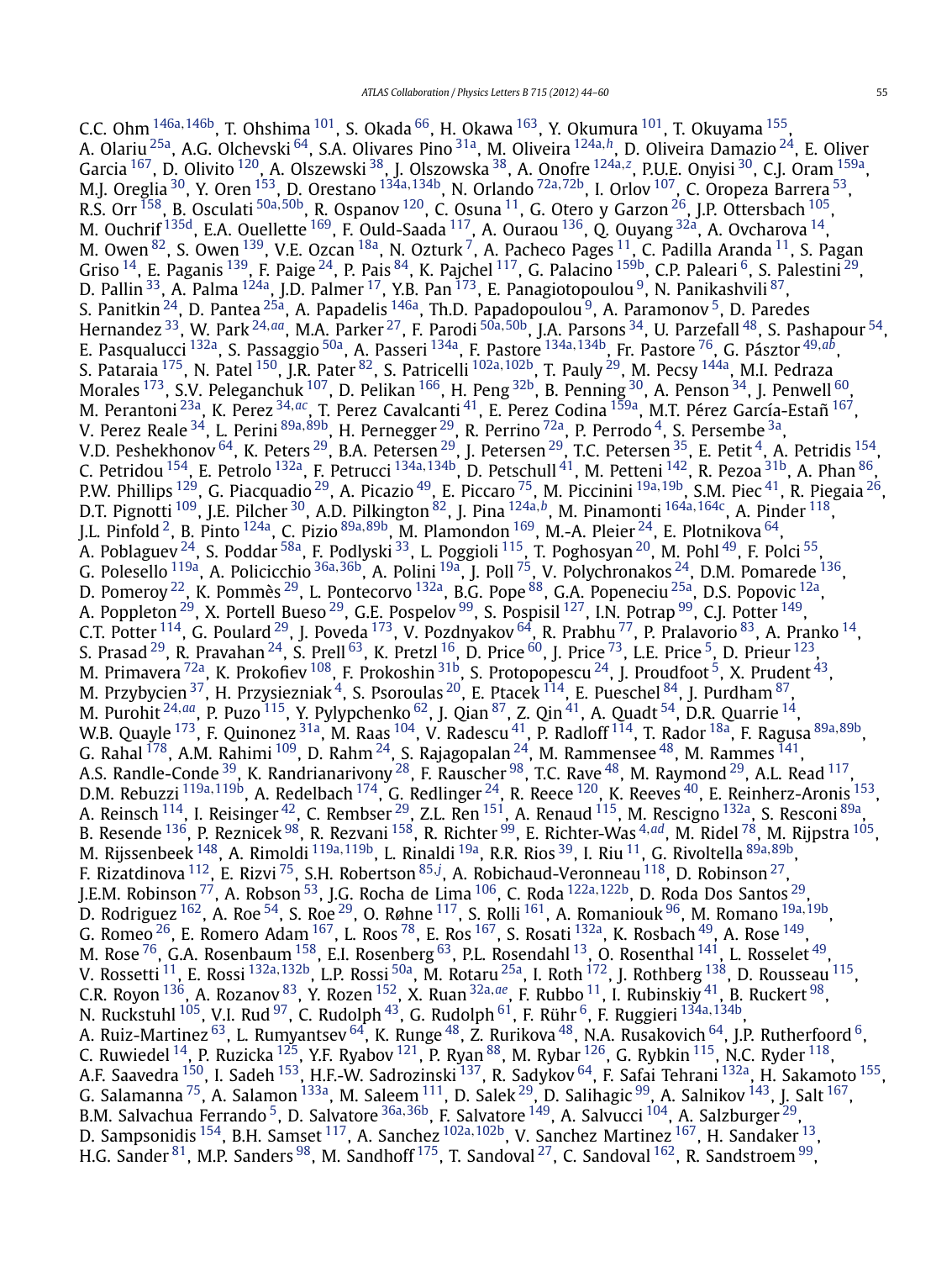C.C. Ohm [146a](#page-16-0)*,*[146b,](#page-16-0) T. Ohshima [101,](#page-15-0) S. Okada [66,](#page-14-0) H. Okawa [163,](#page-16-0) Y. Okumura [101,](#page-15-0) T. Okuyama [155,](#page-16-0) A. Olariu [25a,](#page-14-0) A.G. Olchevski [64,](#page-14-0) S.A. Olivares Pino [31a,](#page-14-0) M. Oliveira [124a](#page-15-0)*,[h](#page-16-0)*, D. Oliveira Damazio [24,](#page-14-0) E. Oliver Garcia [167,](#page-16-0) D. Olivito [120,](#page-15-0) A. Olszewski [38,](#page-14-0) J. Olszowska [38,](#page-14-0) A. Onofre [124a](#page-15-0)*,[z](#page-16-0)* , P.U.E. Onyisi [30](#page-14-0), C.J. Oram [159a,](#page-16-0) M.J. Oreglia [30](#page-14-0), Y. Oren [153,](#page-16-0) D. Orestano [134a](#page-15-0)*,*[134b,](#page-15-0) N. Orlando [72a](#page-15-0)*,*[72b,](#page-15-0) I. Orlov [107,](#page-15-0) C. Oropeza Barrera [53](#page-14-0), R.S. Orr [158](#page-16-0), B. Osculati [50a](#page-14-0)*,*[50b,](#page-14-0) R. Ospanov [120,](#page-15-0) C. Osuna [11](#page-14-0), G. Otero y Garzon [26,](#page-14-0) J.P. Ottersbach [105,](#page-15-0) M. Ouchrif <sup>135d</sup>, E.A. Ouellette <sup>169</sup>, F. Ould-Saada <sup>[117](#page-15-0)</sup>, A. Ouraou <sup>136</sup>, Q. Ouyang <sup>32a</sup>, A. Ovcharova <sup>14</sup>, M. Owen $^{82}$ , S. Owen $^{139}$ , V.E. Ozcan $^{18\mathrm{a}}$ , N. Ozturk $^7$ , A. Pacheco Pages $^{11}$  $^{11}$  $^{11}$ , C. Padilla Aranda $^{11}$ , S. Pagan Griso  $^{14}$ , E. Paganis  $^{139}$ , F. Paige  $^{24}$ , P. Pais  $^{84}$ , K. Pajchel  $^{117}$ , G. Palacino  $^{159\mathrm{b}}$ , C.P. Paleari  $^6$ , S. Palestini  $^{29}$ , D. Pallin <sup>33</sup>, A. Palma <sup>124a</sup>, J.D. Palmer <sup>17</sup>, Y.B. Pan <sup>173</sup>, E. Panagiotopoulou <sup>9</sup>, N. Panikashvili <sup>87</sup>, S. Panitkin [24,](#page-14-0) D. Pantea [25a](#page-14-0), A. Papadelis [146a,](#page-16-0) Th.D. Papadopoulou [9,](#page-14-0) A. Paramonov [5,](#page-14-0) D. Paredes Hernandez [33,](#page-14-0) W. Park [24](#page-14-0)*,[aa](#page-16-0)*, M.A. Parker [27,](#page-14-0) F. Parodi [50a](#page-14-0)*,*[50b,](#page-14-0) J.A. Parsons [34,](#page-14-0) U. Parzefall [48,](#page-14-0) S. Pashapour [54,](#page-14-0) E. Pasqualucci [132a,](#page-15-0) S. Passaggio [50a,](#page-14-0) A. Passeri [134a,](#page-15-0) F. Pastore [134a](#page-15-0)*,*[134b,](#page-15-0) Fr. Pastore [76,](#page-15-0) G. Pásztor [49](#page-14-0)*,[ab](#page-16-0)*, S. Pataraia [175,](#page-16-0) N. Patel [150,](#page-16-0) J.R. Pater [82](#page-15-0), S. Patricelli [102a](#page-15-0)*,*[102b,](#page-15-0) T. Pauly [29,](#page-14-0) M. Pecsy [144a,](#page-15-0) M.I. Pedraza Morales  $^{173}$ , S.V. Peleganchuk  $^{107}$ , D. Pelikan  $^{166}$ , H. Peng  $^{32\text{b}}$ , B. Penning  $^{30}$ , A. Penson  $^{34}$ , J. Penwell  $^{60}$ , M. Perantoni [23a,](#page-14-0) K. Perez [34](#page-14-0)*,[ac](#page-16-0)*, T. Perez Cavalcanti [41,](#page-14-0) E. Perez Codina [159a,](#page-16-0) M.T. Pérez García-Estañ [167,](#page-16-0) V. Perez Reale [34,](#page-14-0) L. Perini [89a](#page-15-0)*,*[89b](#page-15-0), H. Pernegger [29,](#page-14-0) R. Perrino [72a,](#page-15-0) P. Perrodo [4,](#page-14-0) S. Persembe [3a,](#page-14-0) V.D. Peshekhonov  $^{64}$ , K. Peters  $^{29}$ , B.A. Petersen  $^{29}$ , J. Petersen  $^{29}$ , T.C. Petersen  $^{35}$ , E. Petit  $^4$ , A. Petridis  $^{154}$ , C. Petridou [154,](#page-16-0) E. Petrolo [132a,](#page-15-0) F. Petrucci [134a](#page-15-0)*,*[134b,](#page-15-0) D. Petschull [41,](#page-14-0) M. Petteni [142,](#page-15-0) R. Pezoa [31b,](#page-14-0) A. Phan [86,](#page-15-0) P.W. Phillips [129,](#page-15-0) G. Piacquadio [29,](#page-14-0) A. Picazio [49,](#page-14-0) E. Piccaro [75,](#page-15-0) M. Piccinini [19a](#page-14-0)*,*[19b,](#page-14-0) S.M. Piec [41,](#page-14-0) R. Piegaia [26,](#page-14-0) D.T. Pignotti [109,](#page-15-0) J.E. Pilcher [30,](#page-14-0) A.D. Pilkington [82,](#page-15-0) J. Pina [124a](#page-15-0)*,[b](#page-16-0)*, M. Pinamonti [164a](#page-16-0)*,*[164c,](#page-16-0) A. Pinder [118,](#page-15-0) J.L. Pinfold [2,](#page-14-0) B. Pinto [124a,](#page-15-0) C. Pizio [89a](#page-15-0)*,*[89b,](#page-15-0) M. Plamondon [169,](#page-16-0) M.-A. Pleier [24,](#page-14-0) E. Plotnikova [64,](#page-14-0) A. Poblaguev <sup>24</sup>, S. Poddar <sup>58a</sup>, F. Podlyski <sup>33</sup>, L. Poggioli <sup>115</sup>, T. Poghosyan <sup>20</sup>, M. Pohl <sup>[49](#page-14-0)</sup>, F. Polci <sup>55</sup>, G. Polesello [119a,](#page-15-0) A. Policicchio [36a](#page-14-0)*,*[36b,](#page-14-0) A. Polini [19a](#page-14-0), J. Poll [75,](#page-15-0) V. Polychronakos [24,](#page-14-0) D.M. Pomarede [136,](#page-15-0) D. Pomeroy <sup>22</sup>, K. Pommès <sup>[29](#page-14-0)</sup>, L. Pontecorvo <sup>[132a](#page-15-0)</sup>, B.G. Pope <sup>88</sup>, G.A. Popeneciu <sup>25a</sup>, D.S. Popovic <sup>12a</sup>, A. Poppleton <sup>[29](#page-14-0)</sup>, X. Portell Bueso <sup>29</sup>, G.E. Pospelov <sup>99</sup>, S. Pospisil <sup>127</sup>, I.N. Potrap <sup>99</sup>, C.J. Potter <sup>149</sup>, C.T. Potter  $^{114}$ , G. Poulard  $^{29}$ , J. Poveda  $^{173}$ , V. Pozdnyakov  $^{64}$ , R. Prabhu  $^{77}$ , P. Pralavorio  $^{83}$ , A. Pranko  $^{14}$ , S. Prasad  $^{29}$ , R. Pravahan  $^{24}$ , S. Prell  $^{63}$ , K. Pretzl  $^{16}$ , D. Price  $^{60}$ , J. Price  $^{73}$ , L.E. Price  $^5$  $^5$ , D. Prieur  $^{123}$ , M. Primavera  $^{72a}$ , K. Prokofiev  $^{108}$ , F. Prokoshin  $^{31b}$ , S. Protopopescu  $^{24}$ , J. Proudfoot  $^5$ , X. Prudent  $^{43}$ , M. Przybycien  $^{37}$ , H. Przysiezniak  $^4$ , S. Psoroulas  $^{20}$ , E. Ptacek  $^{114}$ , E. Pueschel  $^{84}$ , J. Purdham  $^{87},$ M. Purohit [24](#page-14-0)*,[aa](#page-16-0)*, P. Puzo [115,](#page-15-0) Y. Pylypchenko [62,](#page-14-0) J. Qian [87,](#page-15-0) Z. Qin [41,](#page-14-0) A. Quadt [54,](#page-14-0) D.R. Quarrie [14,](#page-14-0) W.B. Quayle [173](#page-16-0), F. Quinonez [31a](#page-14-0), M. Raas [104,](#page-15-0) V. Radescu [41,](#page-14-0) P. Radloff [114,](#page-15-0) T. Rador [18a,](#page-14-0) F. Ragusa [89a](#page-15-0)*,*[89b](#page-15-0), G. Rahal  $^{178}$ , A.M. Rahimi  $^{109}$ , D. Rahm  $^{24}$ , S. Rajagopalan  $^{24}$ , M. Rammensee  $^{48}$ , M. Rammes  $^{141}$ , A.S. Randle-Conde  $^{39}$ , K. Randrianarivony  $^{28}$ , F. Rauscher  $^{98}$  $^{98}$  $^{98}$ , T.C. Rave  $^{48}$ , M. Raymond  $^{29}$ , A.L. Read  $^{117}$ , D.M. Rebuzzi [119a](#page-15-0)*,*[119b,](#page-15-0) A. Redelbach [174](#page-16-0), G. Redlinger [24,](#page-14-0) R. Reece [120,](#page-15-0) K. Reeves [40,](#page-14-0) E. Reinherz-Aronis [153,](#page-16-0) A. Reinsch <sup>114</sup>, I. Reisinger <sup>42</sup>, C. Rembser <sup>29</sup>, Z.L. Ren <sup>151</sup>, A. Renaud <sup>115</sup>, M. Rescigno <sup>132a</sup>, S. Resconi <sup>89a</sup>, B. Resende [136,](#page-15-0) P. Reznicek [98,](#page-15-0) R. Rezvani [158,](#page-16-0) R. Richter [99,](#page-15-0) E. Richter-Was [4](#page-14-0)*,[ad](#page-16-0)*, M. Ridel [78,](#page-15-0) M. Rijpstra [105,](#page-15-0) M. Rijssenbeek [148,](#page-16-0) A. Rimoldi [119a](#page-15-0)*,*[119b,](#page-15-0) L. Rinaldi [19a,](#page-14-0) R.R. Rios [39,](#page-14-0) I. Riu [11,](#page-14-0) G. Rivoltella [89a](#page-15-0)*,*[89b,](#page-15-0) F. Rizatdinova [112,](#page-15-0) E. Rizvi [75,](#page-15-0) S.H. Robertson [85](#page-15-0)*,[j](#page-16-0)* , A. Robichaud-Veronneau [118,](#page-15-0) D. Robinson [27,](#page-14-0) J.E.M. Robinson [77,](#page-15-0) A. Robson [53,](#page-14-0) J.G. Rocha de Lima [106,](#page-15-0) C. Roda [122a](#page-15-0)*,*[122b,](#page-15-0) D. Roda Dos Santos [29,](#page-14-0) D. Rodriguez [162,](#page-16-0) A. Roe [54,](#page-14-0) S. Roe [29,](#page-14-0) O. Røhne [117,](#page-15-0) S. Rolli [161,](#page-16-0) A. Romaniouk [96,](#page-15-0) M. Romano [19a](#page-14-0)*,*[19b,](#page-14-0) G. Romeo  $^{26}$ , E. Romero Adam  $^{167}$ , L. Roos  $^{78}$ , E. Ros  $^{167}$ , S. Rosati  $^{132}$ a, K. Rosbach  $^{49}$ , A. Rose  $^{149}$ , M. Rose  $^{76}$  $^{76}$  $^{76}$ , G.A. Rosenbaum  $^{158}$ , E.I. Rosenberg  $^{63}$ , P.L. Rosendahl  $^{13}$ , O. Rosenthal  $^{141}$ , L. Rosselet  $^{49}$ , V. Rossetti [11,](#page-14-0) E. Rossi [132a](#page-15-0)*,*[132b,](#page-15-0) L.P. Rossi [50a,](#page-14-0) M. Rotaru [25a](#page-14-0), I. Roth [172,](#page-16-0) J. Rothberg [138,](#page-15-0) D. Rousseau [115,](#page-15-0) C.R. Royon [136,](#page-15-0) A. Rozanov [83,](#page-15-0) Y. Rozen [152,](#page-16-0) X. Ruan [32a](#page-14-0)*,[ae](#page-16-0)*, F. Rubbo [11,](#page-14-0) I. Rubinskiy [41,](#page-14-0) B. Ruckert [98,](#page-15-0) N. Ruckstuhl [105](#page-15-0), V.I. Rud [97,](#page-15-0) C. Rudolph [43,](#page-14-0) G. Rudolph [61,](#page-14-0) F. Rühr [6,](#page-14-0) F. Ruggieri [134a](#page-15-0)*,*[134b,](#page-15-0) A. Ruiz-Martinez <sup>63</sup>, L. Rumyantsev <sup>64</sup>, K. Runge <sup>48</sup>, Z. Rurikova <sup>48</sup>, N.A. Rusakovich <sup>64</sup>, J.P. Rutherfoord <sup>6</sup>, C. Ruwiedel  $^{14}$ , P. Ruzicka  $^{125}$ , Y.F. Ryabov  $^{121}$  $^{121}$  $^{121}$ , P. Ryan  $^{88}$ , M. Rybar  $^{126}$ , G. Rybkin  $^{115}$ , N.C. Ryder  $^{118}$ , A.F. Saavedra <sup>[150](#page-16-0)</sup>, I. Sadeh <sup>153</sup>, H.F.-W. Sadrozinski <sup>137</sup>, R. Sadykov <sup>64</sup>, F. Safai Tehrani <sup>132a</sup>, H. Sakamoto <sup>155</sup>, G. Salamanna  $^{75}$ , A. Salamon  $^{133a}$ , M. Saleem  $^{111}$ , D. Salek  $^{29}$ , D. Salihagic  $^{99}$  $^{99}$  $^{99}$ , A. Salnikov  $^{143}$ , J. Salt  $^{167}$ , B.M. Salvachua Ferrando [5,](#page-14-0) D. Salvatore [36a](#page-14-0)*,*[36b,](#page-14-0) F. Salvatore [149,](#page-16-0) A. Salvucci [104,](#page-15-0) A. Salzburger [29,](#page-14-0) D. Sampsonidis [154,](#page-16-0) B.H. Samset [117](#page-15-0), A. Sanchez [102a](#page-15-0)*,*[102b,](#page-15-0) V. Sanchez Martinez [167,](#page-16-0) H. Sandaker [13](#page-14-0), H.G. Sander <sup>81</sup>, M.P. Sanders <sup>[98](#page-15-0)</sup>, M. Sandhoff <sup>175</sup>, T. Sandoval <sup>27</sup>, C. Sandoval <sup>162</sup>, R. Sandstroem <sup>[99](#page-15-0)</sup>,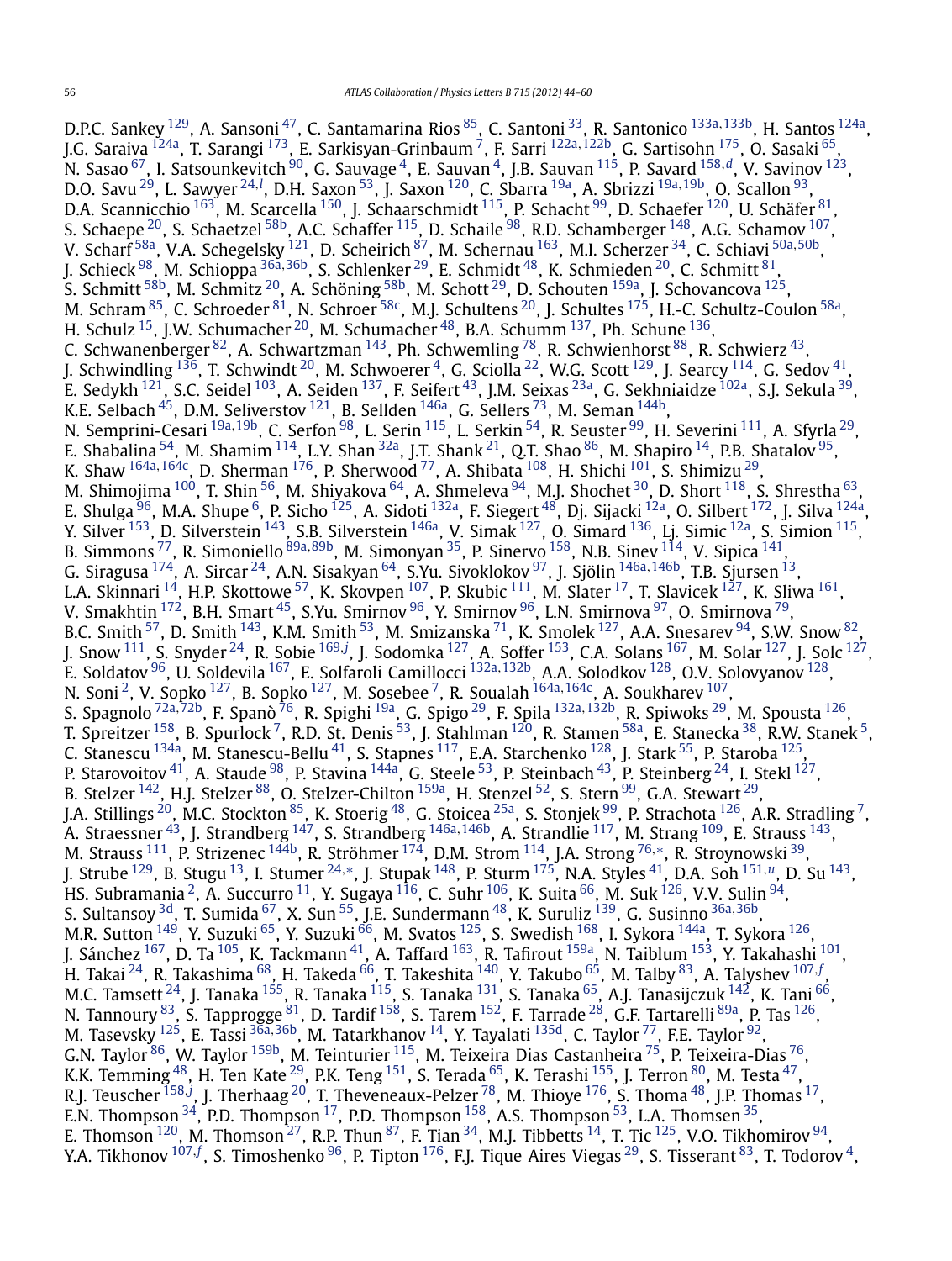D.P.C. Sankey <sup>129</sup>, A. Sansoni<sup>47</sup>, C. Santamarina Rios <sup>85</sup>, C. Santoni <sup>33</sup>, R. Santonico <sup>[133a](#page-15-0), 133b</sup>, H. Santos <sup>124a</sup>, J.G. Saraiva [124a,](#page-15-0) T. Sarangi [173,](#page-16-0) E. Sarkisyan-Grinbaum [7,](#page-14-0) F. Sarri [122a](#page-15-0)*,*[122b,](#page-15-0) G. Sartisohn [175,](#page-16-0) O. Sasaki [65,](#page-14-0) N. Sasao [67,](#page-14-0) I. Satsounkevitch [90,](#page-15-0) G. Sauvage [4,](#page-14-0) E. Sauvan [4,](#page-14-0) J.B. Sauvan [115,](#page-15-0) P. Savard [158](#page-16-0)*,[d](#page-16-0)*, V. Savinov [123](#page-15-0), D.O. Savu <sup>29</sup>, L. Sawyer <sup>[24](#page-14-0), [l](#page-16-0)</sup>, D.H. Saxon <sup>53</sup>, J. Saxon <sup>120</sup>, C. Sbarra <sup>19a</sup>, A. Sbrizzi <sup>[19a,](#page-14-0) 19b</sup>, O. Scallon <sup>93</sup>, D.A. Scannicchio  $^{163}$ , M. Scarcella  $^{150}$ , J. Schaarschmidt  $^{115}$ , P. Schacht  $^{99}$ , D. Schaefer  $^{120}$ , U. Schäfer  $^{81}$ , S. Schaepe  $^{20}$ , S. Schaetzel  $^{58\mathrm{b}}$ , A.C. Schaffer  $^{115}$ , D. Schaile  $^{98}$  $^{98}$  $^{98}$ , R.D. Schamberger  $^{148}$ , A.G. Schamov  $^{107}$ , V. Scharf [58a,](#page-14-0) V.A. Schegelsky [121](#page-15-0), D. Scheirich [87,](#page-15-0) M. Schernau [163,](#page-16-0) M.I. Scherzer [34,](#page-14-0) C. Schiavi [50a](#page-14-0)*,*[50b,](#page-14-0) J. Schieck [98,](#page-15-0) M. Schioppa [36a](#page-14-0)*,*[36b,](#page-14-0) S. Schlenker [29,](#page-14-0) E. Schmidt [48,](#page-14-0) K. Schmieden [20,](#page-14-0) C. Schmitt [81,](#page-15-0) S. Schmitt<sup>58b</sup>, M. Schmitz<sup>[20](#page-14-0)</sup>, A. Schöning<sup>58b</sup>, M. Schott<sup>29</sup>, D. Schouten <sup>159a</sup>, J. Schovancova <sup>125</sup>, M. Schram <sup>[85](#page-15-0)</sup>, C. Schroeder <sup>81</sup>, N. Schroer <sup>58c</sup>, M.J. Schultens <sup>20</sup>, J. Schultes <sup>175</sup>, H.-C. Schultz-Coulon <sup>[58a](#page-14-0)</sup>, H. Schulz  $^{15}$ , J.W. Schumacher  $^{20}$ , M. Schumacher  $^{48}$ , B.A. Schumm  $^{137}$ , Ph. Schune  $^{136}$  $^{136}$  $^{136}$ , C. Schwanenberger  $^{82}$ , A. Schwartzman  $^{143}$ , Ph. Schwemling  $^{78}$ , R. Schwienhorst  $^{88}$ , R. Schwierz  $^{43}$ , J. Schwindling  $^{136}$  $^{136}$  $^{136}$ , T. Schwindt  $^{20}$ , M. Schwoerer  $^4$ , G. Sciolla  $^{22}$ , W.G. Scott  $^{129}$ , J. Searcy  $^{114}$ , G. Sedov  $^{41}$ , E. Sedykh <sup>121</sup>, S.C. Seidel <sup>103</sup>, A. Seiden <sup>137</sup>, F. Seifert <sup>[43](#page-14-0)</sup>, J.M. Seixas <sup>23a</sup>, G. Sekhniaidze <sup>102a</sup>, S.J. Sekula <sup>39</sup>, K.E. Selbach  $^{45}$ , D.M. Seliverstov  $^{121}$ , B. Sellden  $^{146}$ , G. Sellers  $^{73}$ , M. Seman  $^{144\mathrm{b}}$ , N. Semprini-Cesari [19a](#page-14-0)*,*[19b,](#page-14-0) C. Serfon [98,](#page-15-0) L. Serin [115](#page-15-0), L. Serkin [54,](#page-14-0) R. Seuster [99,](#page-15-0) H. Severini [111,](#page-15-0) A. Sfyrla [29,](#page-14-0) E. Shabalina  $^{54}$ , M. Shamim  $^{114}$  $^{114}$  $^{114}$ , L.Y. Shan  $^{32}$ , J.T. Shank  $^{21}$ , Q.T. Shao  $^{86}$  $^{86}$  $^{86}$ , M. Shapiro  $^{14}$ , P.B. Shatalov  $^{95}$  $^{95}$  $^{95}$ , K. Shaw [164a](#page-16-0)*,*[164c,](#page-16-0) D. Sherman [176,](#page-16-0) P. Sherwood [77,](#page-15-0) A. Shibata [108,](#page-15-0) H. Shichi [101,](#page-15-0) S. Shimizu [29,](#page-14-0) M. Shimojima <sup>100</sup>, T. Shin <sup>56</sup>, M. Shiyakova <sup>64</sup>, A. Shmeleva <sup>94</sup>, M.J. Shochet <sup>[30](#page-14-0)</sup>, D. Short <sup>118</sup>, S. Shrestha <sup>63</sup>, E. Shulga <sup>96</sup>, M.A. Shupe <sup>6</sup>, P. Sicho <sup>125</sup>, A. Sidoti <sup>132a</sup>, F. Siegert <sup>48</sup>, Dj. Sijacki <sup>12a</sup>, O. Silbert <sup>172</sup>, J. Silva <sup>124a</sup>, Y. Silver <sup>153</sup>, D. Silverstein <sup>143</sup>, S.B. Silverstein <sup>146a</sup>, V. Simak <sup>[127](#page-15-0)</sup>, O. Simard <sup>[136](#page-15-0)</sup>, Lj. Simic <sup>12a</sup>, S. Simion <sup>115</sup>, B. Simmons [77,](#page-15-0) R. Simoniello [89a](#page-15-0)*,*[89b,](#page-15-0) M. Simonyan [35,](#page-14-0) P. Sinervo [158,](#page-16-0) N.B. Sinev [114,](#page-15-0) V. Sipica [141,](#page-15-0) G. Siragusa [174,](#page-16-0) A. Sircar [24,](#page-14-0) A.N. Sisakyan [64,](#page-14-0) S.Yu. Sivoklokov [97](#page-15-0), J. Sjölin [146a](#page-16-0)*,*[146b,](#page-16-0) T.B. Sjursen [13,](#page-14-0) L.A. Skinnari <sup>14</sup>, H.P. Skottowe <sup>57</sup>, K. Skovpen <sup>107</sup>, P. Skubic <sup>[111](#page-15-0)</sup>, M. Slater <sup>17</sup>, T. Slavicek <sup>127</sup>, K. Sliwa <sup>161</sup>, V. Smakhtin <sup>[172](#page-16-0)</sup>, B.H. Smart <sup>45</sup>, S.Yu. Smirnov <sup>96</sup>, Y. Smirnov <sup>96</sup>, L.N. Smirnova <sup>97</sup>, O. Smirnova <sup>79</sup>, B.C. Smith  $^{57}$ , D. Smith  $^{143}$ , K.M. Smith  $^{53}$ , M. Smizanska  $^{71}$ , K. Smolek  $^{127}$ , A.A. Snesarev  $^{94}$ , S.W. Snow  $^{82}$ , J. Snow [111,](#page-15-0) S. Snyder [24](#page-14-0), R. Sobie [169](#page-16-0)*,[j](#page-16-0)* , J. Sodomka [127,](#page-15-0) A. Soffer [153,](#page-16-0) C.A. Solans [167,](#page-16-0) M. Solar [127,](#page-15-0) J. Solc [127](#page-15-0), E. Soldatov [96,](#page-15-0) U. Soldevila [167,](#page-16-0) E. Solfaroli Camillocci [132a](#page-15-0)*,*[132b,](#page-15-0) A.A. Solodkov [128,](#page-15-0) O.V. Solovyanov [128](#page-15-0), N. Soni<sup>[2](#page-14-0)</sup>, V. Sopko <sup>127</sup>, B. Sopko <sup>127</sup>, M. Sosebee<sup>7</sup>, R. Soualah <sup>[164a](#page-16-0), 164c</sup>, A. Soukharev <sup>107</sup>, S. Spagnolo [72a](#page-15-0)*,*[72b](#page-15-0), F. Spanò [76,](#page-15-0) R. Spighi [19a,](#page-14-0) G. Spigo [29,](#page-14-0) F. Spila [132a](#page-15-0)*,*[132b,](#page-15-0) R. Spiwoks [29,](#page-14-0) M. Spousta [126,](#page-15-0) T. Spreitzer  $^{158}$ , B. Spurlock  $^7$ , R.D. St. Denis  $^{53}$ , J. Stahlman  $^{120}$ , R. Stamen  $^{58a}$ , E. Stanecka  $^{38}$ , R.W. Stanek  $^5$ , C. Stanescu <sup>134a</sup>, M. Stanescu-Bellu <sup>41</sup>, S. Stapnes <sup>117</sup>, E.A. Starchenko <sup>128</sup>, J. Stark <sup>55</sup>, P. Staroba <sup>125</sup>, P. Starovoitov  $^{41}$ , A. Staude  $^{98}$ , P. Stavina  $^{144}$ , G. Steele  $^{53}$ , P. Steinbach  $^{43}$ , P. Steinberg  $^{24}$ , I. Stekl  $^{127}$ , B. Stelzer <sup>142</sup>, H.J. Stelzer <sup>88</sup>, O. Stelzer-Chilton <sup>159a</sup>, H. Stenzel <sup>52</sup>, S. Stern <sup>99</sup>, G.A. Stewart <sup>29</sup>, J.A. Stillings <sup>20</sup>, M.C. Stockton <sup>85</sup>, K. Stoerig <sup>48</sup>, G. Stoicea <sup>[25a](#page-14-0)</sup>, S. Stonjek <sup>99</sup>, P. Strachota <sup>126</sup>, A.R. Stradling <sup>7</sup>, A. Straessner [43,](#page-14-0) J. Strandberg [147,](#page-16-0) S. Strandberg [146a](#page-16-0)*,*[146b,](#page-16-0) A. Strandlie [117,](#page-15-0) M. Strang [109](#page-15-0), E. Strauss [143,](#page-15-0) M. Strauss [111,](#page-15-0) P. Strizenec [144b,](#page-15-0) R. Ströhmer [174,](#page-16-0) D.M. Strom [114,](#page-15-0) J.A. Strong [76](#page-15-0)*,*[∗](#page-16-0), R. Stroynowski [39,](#page-14-0) J. Strube [129,](#page-15-0) B. Stugu [13,](#page-14-0) I. Stumer [24](#page-14-0)*,*[∗](#page-16-0), J. Stupak [148,](#page-16-0) P. Sturm [175,](#page-16-0) N.A. Styles [41,](#page-14-0) D.A. Soh [151](#page-16-0)*,[u](#page-16-0)*, D. Su [143,](#page-15-0) HS. Subramania  $^2$ , A. Succurro  $^{11}$  $^{11}$  $^{11}$ , Y. Sugaya  $^{116}$ , C. Suhr  $^{106}$ , K. Suita  $^{66}$ , M. Suk  $^{126}$ , V.V. Sulin  $^{94}$ , S. Sultansoy [3d,](#page-14-0) T. Sumida [67,](#page-14-0) X. Sun [55,](#page-14-0) J.E. Sundermann [48,](#page-14-0) K. Suruliz [139,](#page-15-0) G. Susinno [36a](#page-14-0)*,*[36b,](#page-14-0) M.R. Sutton <sup>149</sup>, Y. Suzuki <sup>[65](#page-14-0)</sup>, Y. Suzuki <sup>66</sup>, M. Svatos <sup>125</sup>, S. Swedish <sup>168</sup>, I. Sykora <sup>[144a](#page-15-0)</sup>, T. Sykora <sup>[126](#page-15-0)</sup>, J. Sánchez <sup>167</sup>, D. Ta <sup>105</sup>, K. Tackmann <sup>41</sup>, A. Taffard <sup>163</sup>, R. Tafirout <sup>[159a](#page-16-0)</sup>, N. Taiblum <sup>153</sup>, Y. Takahashi <sup>101</sup>, H. Takai [24,](#page-14-0) R. Takashima [68,](#page-14-0) H. Takeda [66,](#page-14-0) T. Takeshita [140,](#page-15-0) Y. Takubo [65,](#page-14-0) M. Talby [83,](#page-15-0) A. Talyshev [107](#page-15-0)*,[f](#page-16-0)* , M.C. Tamsett  $^{24}$ , J. Tanaka  $^{155}$ , R. Tanaka  $^{115}$ , S. Tanaka  $^{131}$ , S. Tanaka  $^{65}$ , A.J. Tanasijczuk  $^{142}$ , K. Tani  $^{66}$ , N. Tannoury  $^{83}$ , S. Tapprogge  $^{81}$  $^{81}$  $^{81}$ , D. Tardif  $^{158}$ , S. Tarem  $^{152}$ , F. Tarrade  $^{28}$ , G.F. Tartarelli  $^{89\mathrm{a}}$ , P. Tas  $^{126}$ , M. Tasevsky [125,](#page-15-0) E. Tassi [36a](#page-14-0)*,*[36b,](#page-14-0) M. Tatarkhanov [14,](#page-14-0) Y. Tayalati [135d](#page-15-0), C. Taylor [77,](#page-15-0) F.E. Taylor [92,](#page-15-0) G.N. Taylor [86,](#page-15-0) W. Taylor [159b,](#page-16-0) M. Teinturier [115,](#page-15-0) M. Teixeira Dias Castanheira [75,](#page-15-0) P. Teixeira-Dias [76,](#page-15-0) K.K. Temming  $^{48}$ , H. Ten Kate  $^{29}$ , P.K. Teng  $^{151}$ , S. Terada  $^{65}$ , K. Terashi  $^{155}$ , J. Terron  $^{80}$ , M. Testa  $^{47}$ , R.J. Teuscher [158](#page-16-0)*,[j](#page-16-0)* , J. Therhaag [20,](#page-14-0) T. Theveneaux-Pelzer [78,](#page-15-0) M. Thioye [176,](#page-16-0) S. Thoma [48,](#page-14-0) J.P. Thomas [17](#page-14-0), E.N. Thompson  $^{34}$ , P.D. Thompson  $^{17}$ , P.D. Thompson  $^{158}$ , A.S. Thompson  $^{53}$ , L.A. Thomsen  $^{35}$ , E. Thomson  $120$ , M. Thomson  $27$ , R.P. Thun  $87$ , F. Tian  $34$ , M.J. Tibbetts  $14$ , T. Tic  $125$ , V.O. Tikhomirov  $94$ , Y.A. Tikhonov <sup>[107](#page-15-0), [f](#page-16-0)</sup>, S. Timoshenko <sup>[96](#page-15-0)</sup>, P. Tipton <sup>176</sup>, F.J. Tique Aires Viegas <sup>29</sup>, S. Tisserant <sup>83</sup>, T. Todorov <sup>[4](#page-14-0)</sup>,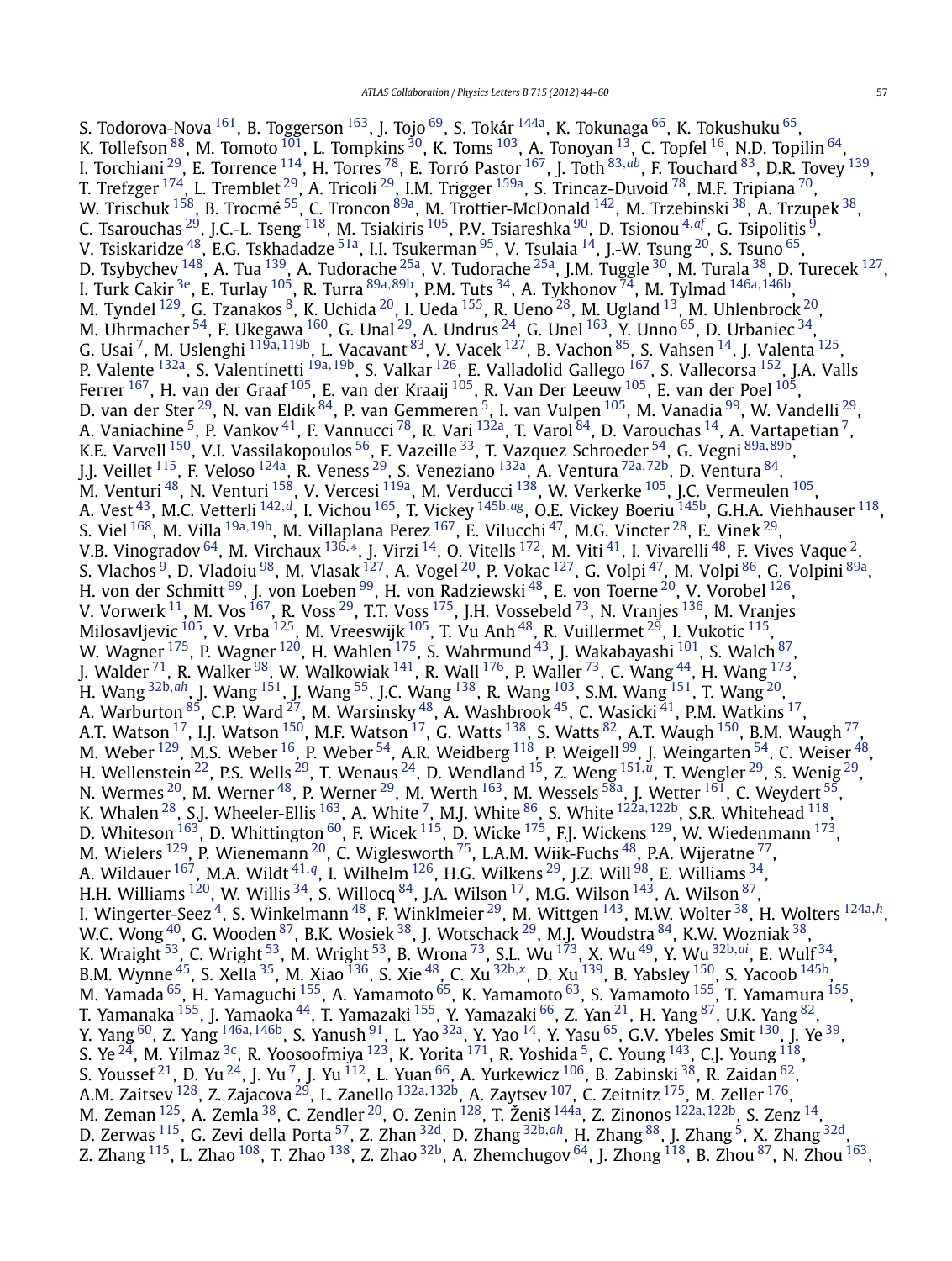S. Todorova-Nova <sup>[161](#page-16-0)</sup>, B. Toggerson <sup>163</sup>, J. Tojo <sup>[69](#page-14-0)</sup>, S. Tokár <sup>144a</sup>, K. Tokunaga <sup>66</sup>, K. Tokushuku <sup>65</sup>, K. Tollefson  $^{88}$  $^{88}$  $^{88}$ , M. Tomoto  $^{101}$ , L. Tompkins  $^{30}$ , K. Toms  $^{103}$ , A. Tonoyan  $^{13}$ , C. Topfel  $^{16}$  $^{16}$  $^{16}$ , N.D. Topilin  $^{64}$ , I. Torchiani [29,](#page-14-0) E. Torrence [114,](#page-15-0) H. Torres [78,](#page-15-0) E. Torró Pastor [167,](#page-16-0) J. Toth [83](#page-15-0)*,[ab](#page-16-0)*, F. Touchard [83,](#page-15-0) D.R. Tovey [139,](#page-15-0) T. Trefzger  $^{174}$ , L. Tremblet  $^{29}$ , A. Tricoli  $^{29}$ , I.M. Trigger  $^{159a}$ , S. Trincaz-Duvoid  $^{78}$ , M.F. Tripiana  $^{70}$ , W. Trischuk <sup>[158](#page-16-0)</sup>, B. Trocmé <sup>[55](#page-14-0)</sup>, C. Troncon <sup>89a</sup>, M. Trottier-McDonald <sup>142</sup>, M. Trzebinski <sup>38</sup>, A. Trzupek <sup>38</sup>, C. Tsarouchas [29,](#page-14-0) J.C.-L. Tseng [118,](#page-15-0) M. Tsiakiris [105,](#page-15-0) P.V. Tsiareshka [90,](#page-15-0) D. Tsionou [4](#page-14-0)*,[af](#page-16-0)* , G. Tsipolitis [9,](#page-14-0) V. Tsiskaridze $^{48}$ , E.G. Tskhadadze  $^{51a}$ , I.I. Tsukerman  $^{95}$ , V. Tsulaia  $^{14}$ , J.-W. Tsung  $^{20}$ , S. Tsuno  $^{65}$ , D. Tsybychev <sup>148</sup>, A. Tua <sup>139</sup>, A. Tudorache <sup>25a</sup>, V. Tudorache <sup>25a</sup>, J.M. Tuggle <sup>[30](#page-14-0)</sup>, M. Turala <sup>38</sup>, D. Turecek <sup>127</sup>, I. Turk Cakir [3e,](#page-14-0) E. Turlay [105](#page-15-0), R. Turra [89a](#page-15-0)*,*[89b](#page-15-0), P.M. Tuts [34,](#page-14-0) A. Tykhonov [74,](#page-15-0) M. Tylmad [146a](#page-16-0)*,*[146b,](#page-16-0) M. Tyndel  $^{129}$ , G. Tzanakos  $^8$ , K. Uchida  $^{20}$ , I. Ueda  $^{155}$ , R. Ueno  $^{28}$  $^{28}$  $^{28}$ , M. Ugland  $^{13}$ , M. Uhlenbrock  $^{20}$ , M. Uhrmacher  $^{54}$ , F. Ukegawa  $^{160}$ , G. Unal  $^{29}$  $^{29}$  $^{29}$ , A. Undrus  $^{24}$  $^{24}$  $^{24}$ , G. Unel  $^{163}$ , Y. Unno  $^{65}$ , D. Urbaniec  $^{34}$ , G. Usai [7,](#page-14-0) M. Uslenghi [119a](#page-15-0)*,*[119b,](#page-15-0) L. Vacavant [83,](#page-15-0) V. Vacek [127,](#page-15-0) B. Vachon [85,](#page-15-0) S. Vahsen [14,](#page-14-0) J. Valenta [125,](#page-15-0) P. Valente [132a,](#page-15-0) S. Valentinetti [19a](#page-14-0)*,*[19b,](#page-14-0) S. Valkar [126,](#page-15-0) E. Valladolid Gallego [167,](#page-16-0) S. Vallecorsa [152,](#page-16-0) J.A. Valls Ferrer <sup>167</sup>, H. van der Graaf <sup>105</sup>, E. van der Kraaij <sup>105</sup>, R. Van Der Leeuw <sup>105</sup>, E. van der Poel <sup>105</sup>, D. van der Ster<sup>29</sup>, N. van Eldik <sup>84</sup>, P. van Gemmeren <sup>5</sup>, I. van Vulpen <sup>105</sup>, M. Vanadia <sup>[99](#page-15-0)</sup>, W. Vandelli<sup>[29](#page-14-0)</sup>, A. Vaniachine <sup>5</sup>, P. Vankov <sup>41</sup>, F. Vannucci <sup>78</sup>, R. Vari <sup>132a</sup>, T. Varol <sup>84</sup>, D. Varouchas <sup>14</sup>, A. Vartapetian <sup>7</sup>, K.E. Varvell [150,](#page-16-0) V.I. Vassilakopoulos [56,](#page-14-0) F. Vazeille [33,](#page-14-0) T. Vazquez Schroeder [54,](#page-14-0) G. Vegni [89a](#page-15-0)*,*[89b,](#page-15-0) J.J. Veillet [115,](#page-15-0) F. Veloso [124a](#page-15-0), R. Veness [29,](#page-14-0) S. Veneziano [132a,](#page-15-0) A. Ventura [72a](#page-15-0)*,*[72b,](#page-15-0) D. Ventura [84,](#page-15-0) M. Venturi <sup>48</sup>, N. Venturi <sup>158</sup>, V. Vercesi <sup>119a</sup>, M. Verducci <sup>138</sup>, W. Verkerke <sup>105</sup>, J.C. Vermeulen <sup>105</sup>, A. Vest [43,](#page-14-0) M.C. Vetterli [142](#page-15-0)*,[d](#page-16-0)*, I. Vichou [165,](#page-16-0) T. Vickey [145b](#page-16-0)*,[ag](#page-16-0)*, O.E. Vickey Boeriu [145b,](#page-16-0) G.H.A. Viehhauser [118,](#page-15-0) S. Viel [168,](#page-16-0) M. Villa [19a](#page-14-0)*,*[19b,](#page-14-0) M. Villaplana Perez [167,](#page-16-0) E. Vilucchi [47,](#page-14-0) M.G. Vincter [28,](#page-14-0) E. Vinek [29,](#page-14-0) V.B. Vinogradov [64,](#page-14-0) M. Virchaux [136](#page-15-0)*,*[∗](#page-16-0), J. Virzi [14,](#page-14-0) O. Vitells [172,](#page-16-0) M. Viti [41,](#page-14-0) I. Vivarelli [48,](#page-14-0) F. Vives Vaque [2,](#page-14-0) S. Vlachos <sup>9</sup>, D. Vladoiu <sup>98</sup>, M. Vlasak <sup>127</sup>, A. Vogel <sup>20</sup>, P. Vokac <sup>127</sup>, G. Volpi <sup>47</sup>, M. Volpi <sup>86</sup>, G. Volpini <sup>89a</sup>, H. von der Schmitt <sup>[99](#page-15-0)</sup>, J. von Loeben <sup>99</sup>, H. von Radziewski <sup>48</sup>, E. von Toerne <sup>20</sup>, V. Vorobel <sup>126</sup>, V. Vorwerk  $^{11}$ , M. Vos  $^{167}$ , R. Voss  $^{29}$ , T.T. Voss  $^{175}$ , J.H. Vossebeld  $^{73}$  $^{73}$  $^{73}$ , N. Vranjes  $^{136}$ , M. Vranjes Milosavljevic  $^{105}$ , V. Vrba  $^{125}$ , M. Vreeswijk  $^{105}$ , T. Vu Anh  $^{48}$ , R. Vuillermet  $^{29}$ , I. Vukotic  $^{115}$  $^{115}$  $^{115}$ , W. Wagner  $^{175}$ , P. Wagner  $^{120}$ , H. Wahlen  $^{175}$ , S. Wahrmund  $^{43}$ , J. Wakabayashi  $^{101}$ , S. Walch  $^{87},$ J. Walder  $^{71}$ , R. Walker  $^{98}$ , W. Walkowiak  $^{141}$ , R. Wall  $^{176}$ , P. Waller  $^{73}$ , C. Wang  $^{44}$ , H. Wang  $^{173}$ , H. Wang [32b](#page-14-0)*,[ah](#page-16-0)*, J. Wang [151,](#page-16-0) J. Wang [55](#page-14-0), J.C. Wang [138,](#page-15-0) R. Wang [103,](#page-15-0) S.M. Wang [151,](#page-16-0) T. Wang [20,](#page-14-0) A. Warburton  $^{85}$  $^{85}$  $^{85}$ , C.P. Ward  $^{27}$ , M. Warsinsky  $^{48}$ , A. Washbrook  $^{45}$ , C. Wasicki  $^{41}$  $^{41}$  $^{41}$ , P.M. Watkins  $^{17}$ , A.T. Watson  $^{17}$ , I.J. Watson  $^{150}$ , M.F. Watson  $^{17}$ , G. Watts  $^{138}$ , S. Watts  $^{82}$  $^{82}$  $^{82}$ , A.T. Waugh  $^{150}$ , B.M. Waugh  $^{77}$ , M. Weber  $^{129}$ , M.S. Weber  $^{16}$ , P. Weber  $^{54}$ , A.R. Weidberg  $^{118}$ , P. Weigell  $^{99}$ , J. Weingarten  $^{54}$ , C. Weiser  $^{48}$ , H. Wellenstein [22,](#page-14-0) P.S. Wells [29,](#page-14-0) T. Wenaus [24,](#page-14-0) D. Wendland [15,](#page-14-0) Z. Weng [151](#page-16-0)*,[u](#page-16-0)*, T. Wengler [29,](#page-14-0) S. Wenig [29,](#page-14-0) N. Wermes  $^{20}$ , M. Werner  $^{48}$ , P. Werner  $^{29}$ , M. Werth  $^{163}$ , M. Wessels  $^{58a}$ , J. Wetter  $^{161}$ , C. Weydert  $^{55}$ , K. Whalen [28,](#page-14-0) S.J. Wheeler-Ellis [163,](#page-16-0) A. White [7](#page-14-0), M.J. White [86](#page-15-0), S. White [122a](#page-15-0)*,*[122b,](#page-15-0) S.R. Whitehead [118,](#page-15-0) D. Whiteson  $^{163}$ , D. Whittington  $^{60}$ , F. Wicek  $^{115}$  $^{115}$  $^{115}$ , D. Wicke  $^{175}$  $^{175}$  $^{175}$ , F.J. Wickens  $^{129}$  $^{129}$  $^{129}$ , W. Wiedenmann  $^{173}$ , M. Wielers  $^{129}$ , P. Wienemann  $^{20}$ , C. Wiglesworth  $^{75}$ , L.A.M. Wiik-Fuchs  $^{48}$ , P.A. Wijeratne  $^{77}$ , A. Wildauer [167,](#page-16-0) M.A. Wildt [41](#page-14-0)*,[q](#page-16-0)*, I. Wilhelm [126,](#page-15-0) H.G. Wilkens [29,](#page-14-0) J.Z. Will [98,](#page-15-0) E. Williams [34,](#page-14-0) H.H. Williams <sup>[120](#page-15-0)</sup>, W. Willis <sup>34</sup>, S. Willocq <sup>84</sup>, J.A. Wilson <sup>17</sup>, M.G. Wilson <sup>143</sup>, A. Wilson <sup>87</sup>, I. Wingerter-Seez [4,](#page-14-0) S. Winkelmann [48,](#page-14-0) F. Winklmeier [29,](#page-14-0) M. Wittgen [143,](#page-15-0) M.W. Wolter [38,](#page-14-0) H. Wolters [124a](#page-15-0)*,[h](#page-16-0)*, W.C. Wong  $^{40}$ , G. Wooden  $^{87}$ , B.K. Wosiek  $^{38}$ , J. Wotschack  $^{29}$  $^{29}$  $^{29}$ , M.J. Woudstra  $^{84}$ , K.W. Wozniak  $^{38}$ , K. Wraight [53](#page-14-0), C. Wright [53,](#page-14-0) M. Wright [53,](#page-14-0) B. Wrona [73,](#page-15-0) S.L. Wu [173,](#page-16-0) X. Wu [49,](#page-14-0) Y. Wu [32b](#page-14-0)*,[ai](#page-16-0)*, E. Wulf [34,](#page-14-0) B.M. Wynne [45,](#page-14-0) S. Xella [35,](#page-14-0) M. Xiao [136](#page-15-0), S. Xie [48,](#page-14-0) C. Xu [32b](#page-14-0)*,[x](#page-16-0)*, D. Xu [139,](#page-15-0) B. Yabsley [150,](#page-16-0) S. Yacoob [145b,](#page-16-0) M. Yamada <sup>65</sup>, H. Yamaguchi <sup>155</sup>, A. Yamamoto <sup>65</sup>, K. Yamamoto <sup>63</sup>, S. Yamamoto <sup>155</sup>, T. Yamamura <sup>155</sup>, T. Yamanaka <sup>155</sup>, J. Yamaoka <sup>44</sup>, T. Yamazaki <sup>155</sup>, Y. Yamazaki <sup>66</sup>, Z. Yan <sup>21</sup>, H. Yang <sup>87</sup>, U.K. Yang <sup>82</sup>, Y. Yang [60,](#page-14-0) Z. Yang [146a](#page-16-0)*,*[146b,](#page-16-0) S. Yanush [91,](#page-15-0) L. Yao [32a,](#page-14-0) Y. Yao [14](#page-14-0), Y. Yasu [65,](#page-14-0) G.V. Ybeles Smit [130,](#page-15-0) J. Ye [39,](#page-14-0) S. Ye $^{24}$ , M. Yilmaz $^{3c}$ , R. Yoosoofmiya $^{123}$ , K. Yorita $^{171}$ , R. Yoshida $^5$ , C. Young $^{143}$ , C.J. Young $^{118}$ , S. Youssef  $^{21}$ , D. Yu  $^{24}$ , J. Yu  $^{7}$ , J. Yu  $^{112}$ , L. Yuan  $^{66}$ , A. Yurkewicz  $^{106}$ , B. Zabinski  $^{38}$ , R. Zaidan  $^{62}$ , A.M. Zaitsev [128,](#page-15-0) Z. Zajacova [29,](#page-14-0) L. Zanello [132a](#page-15-0)*,*[132b,](#page-15-0) A. Zaytsev [107,](#page-15-0) C. Zeitnitz [175,](#page-16-0) M. Zeller [176,](#page-16-0) M. Zeman [125,](#page-15-0) A. Zemla [38,](#page-14-0) C. Zendler [20,](#page-14-0) O. Zenin [128,](#page-15-0) T. Ženiš [144a,](#page-15-0) Z. Zinonos [122a](#page-15-0)*,*[122b,](#page-15-0) S. Zenz [14,](#page-14-0) D. Zerwas [115,](#page-15-0) G. Zevi della Porta [57,](#page-14-0) Z. Zhan [32d,](#page-14-0) D. Zhang [32b](#page-14-0)*,[ah](#page-16-0)*, H. Zhang [88,](#page-15-0) J. Zhang [5,](#page-14-0) X. Zhang [32d,](#page-14-0) Z. Zhang  $^{115}$ , L. Zhao  $^{108}$ , T. Zhao  $^{138}$ , Z. Zhao  $^{32b}$ , A. Zhemchugov  $^{64}$ , J. Zhong  $^{118}$  $^{118}$  $^{118}$ , B. Zhou  $^{87}$ , N. Zhou  $^{163}$ ,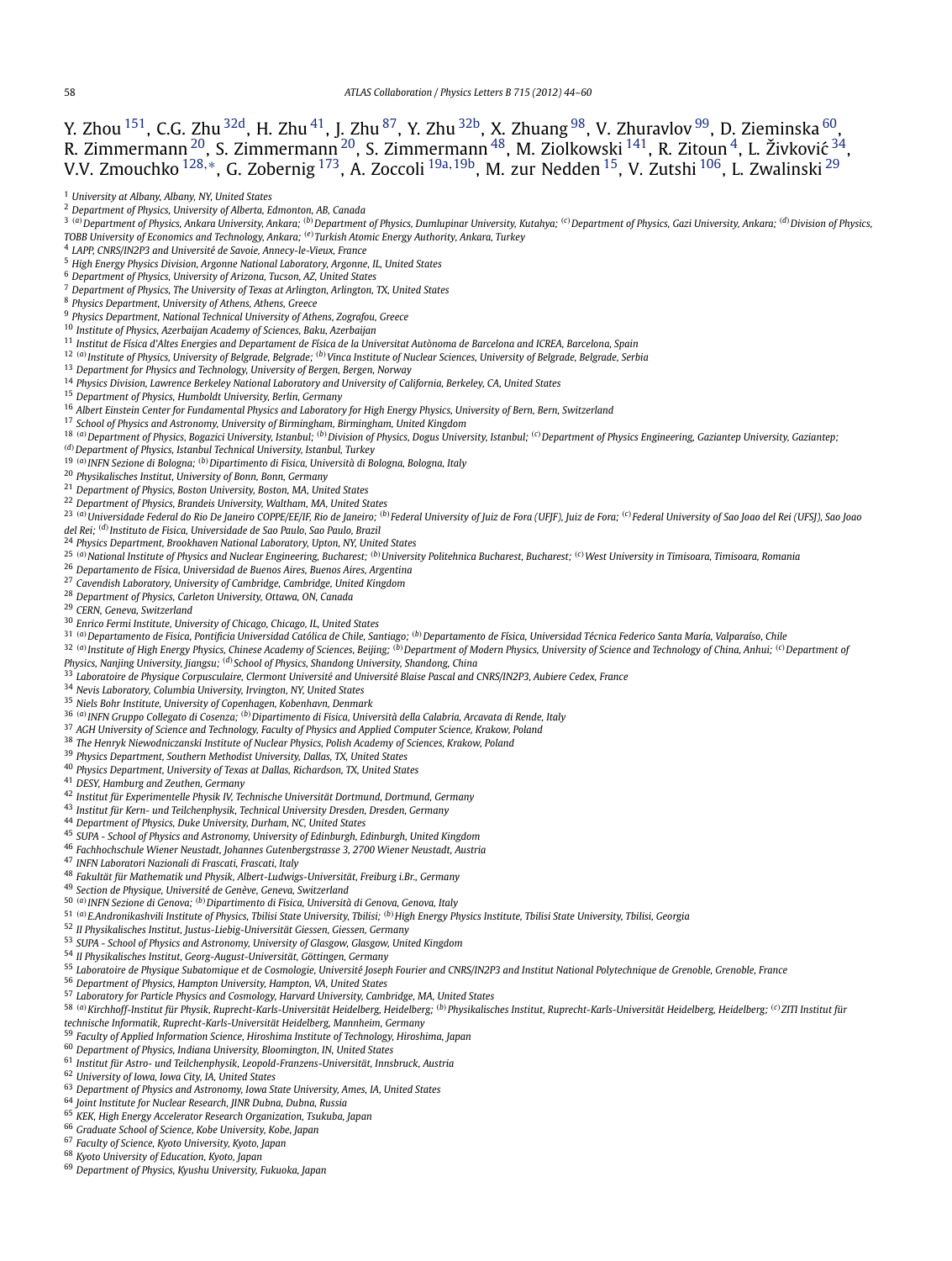<span id="page-14-0"></span>Y. Zhou <sup>151</sup>, C.G. Zhu <sup>32d</sup>, H. Zhu <sup>41</sup>, J. Zhu <sup>87</sup>, Y. Zhu <sup>32b</sup>, X. Zhuang <sup>98</sup>, V. Zhuravlov <sup>99</sup>, D. Zieminska <sup>60</sup>, R. Zimmermann $^{20}$ , S. Zimmermann $^{20}$ , S. Zimmermann $^{48}$ , M. Ziolkowski  $^{141}$ , R. Zitoun $^4$ , L. Živković  $^{34}$ , V.V. Zmouchko [128](#page-15-0)*,*[∗](#page-16-0), G. Zobernig [173,](#page-16-0) A. Zoccoli 19a*,*19b, M. zur Nedden 15, V. Zutshi [106,](#page-15-0) L. Zwalinski <sup>29</sup>

- *Physics Department, National Technical University of Athens, Zografou, Greece*
- *Institute of Physics, Azerbaijan Academy of Sciences, Baku, Azerbaijan*
- *Institut de Física d'Altes Energies and Departament de Física de la Universitat Autònoma de Barcelona and ICREA, Barcelona, Spain*

*(a)Institute of Physics, University of Belgrade, Belgrade; (b)Vinca Institute of Nuclear Sciences, University of Belgrade, Belgrade, Serbia*

- *Department for Physics and Technology, University of Bergen, Bergen, Norway*
- *Physics Division, Lawrence Berkeley National Laboratory and University of California, Berkeley, CA, United States*
- *Department of Physics, Humboldt University, Berlin, Germany*

*Albert Einstein Center for Fundamental Physics and Laboratory for High Energy Physics, University of Bern, Bern, Switzerland*

- *School of Physics and Astronomy, University of Birmingham, Birmingham, United Kingdom*
- <sup>18</sup> (a) Department of Physics, Bogazici University, Istanbul; <sup>(b)</sup> Division of Physics, Dogus University, Istanbul; <sup>(c)</sup> Department of Physics Engineering, Gaziantep University, Gaziantep;

*(d)Department of Physics, Istanbul Technical University, Istanbul, Turkey*

*(a)INFN Sezione di Bologna; (b)Dipartimento di Fisica, Università di Bologna, Bologna, Italy*

*Physikalisches Institut, University of Bonn, Bonn, Germany*

*Department of Physics, Boston University, Boston, MA, United States*

*Department of Physics, Brandeis University, Waltham, MA, United States*

<sup>23</sup> (a) Universidade Federal do Rio De Janeiro COPPE/FE/IF. Rio de Janeiro: <sup>(b)</sup> Federal University of Juiz de Fora (UFIF). Juiz de Fora: <sup>(c)</sup> Federal University of Sao Joao del Rei (UFSI). Sao Joao *del Rei; (d)Instituto de Fisica, Universidade de Sao Paulo, Sao Paulo, Brazil*

*Physics Department, Brookhaven National Laboratory, Upton, NY, United States*

- <sup>25</sup> (a) National Institute of Physics and Nuclear Engineering, Bucharest; <sup>(b)</sup> University Politehnica Bucharest, Bucharest; <sup>(c)</sup> West University in Timisoara, Timisoara, Romania
- *Departamento de Física, Universidad de Buenos Aires, Buenos Aires, Argentina*

*Cavendish Laboratory, University of Cambridge, Cambridge, United Kingdom*

*Department of Physics, Carleton University, Ottawa, ON, Canada*

*CERN, Geneva, Switzerland*

*Enrico Fermi Institute, University of Chicago, Chicago, IL, United States*

*(a)Departamento de Fisica, Pontificia Universidad Católica de Chile, Santiago; (b)Departamento de Física, Universidad Técnica Federico Santa María, Valparaíso, Chile*

<sup>32 (a)</sup> Institute of High Energy Physics, Chinese Academy of Sciences, Beijing; <sup>(b)</sup> Department of Modern Physics, University of Science and Technology of China, Anhui; <sup>(c)</sup> Department of

*Physics, Nanjing University, Jiangsu; (d)School of Physics, Shandong University, Shandong, China*

*Laboratoire de Physique Corpusculaire, Clermont Université and Université Blaise Pascal and CNRS/IN2P3, Aubiere Cedex, France*

*Nevis Laboratory, Columbia University, Irvington, NY, United States*

*Niels Bohr Institute, University of Copenhagen, Kobenhavn, Denmark*

- *(a)INFN Gruppo Collegato di Cosenza; (b)Dipartimento di Fisica, Università della Calabria, Arcavata di Rende, Italy*
- *AGH University of Science and Technology, Faculty of Physics and Applied Computer Science, Krakow, Poland*
- *The Henryk Niewodniczanski Institute of Nuclear Physics, Polish Academy of Sciences, Krakow, Poland*
- *Physics Department, Southern Methodist University, Dallas, TX, United States*
- *Physics Department, University of Texas at Dallas, Richardson, TX, United States*
- *DESY, Hamburg and Zeuthen, Germany*
- *Institut für Experimentelle Physik IV, Technische Universität Dortmund, Dortmund, Germany*

*Institut für Kern- und Teilchenphysik, Technical University Dresden, Dresden, Germany*

*Department of Physics, Duke University, Durham, NC, United States*

- *SUPA School of Physics and Astronomy, University of Edinburgh, Edinburgh, United Kingdom*
- *Fachhochschule Wiener Neustadt, Johannes Gutenbergstrasse 3, 2700 Wiener Neustadt, Austria*
- *INFN Laboratori Nazionali di Frascati, Frascati, Italy*
- *Fakultät für Mathematik und Physik, Albert-Ludwigs-Universität, Freiburg i.Br., Germany*
- *Section de Physique, Université de Genève, Geneva, Switzerland*
- *(a)INFN Sezione di Genova; (b)Dipartimento di Fisica, Università di Genova, Genova, Italy*
- *(a)E.Andronikashvili Institute of Physics, Tbilisi State University, Tbilisi; (b)High Energy Physics Institute, Tbilisi State University, Tbilisi, Georgia*
- *II Physikalisches Institut, Justus-Liebig-Universität Giessen, Giessen, Germany*
- *SUPA School of Physics and Astronomy, University of Glasgow, Glasgow, United Kingdom*
- *II Physikalisches Institut, Georg-August-Universität, Göttingen, Germany*
- *Laboratoire de Physique Subatomique et de Cosmologie, Université Joseph Fourier and CNRS/IN2P3 and Institut National Polytechnique de Grenoble, Grenoble, France*
- *Department of Physics, Hampton University, Hampton, VA, United States*

*Laboratory for Particle Physics and Cosmology, Harvard University, Cambridge, MA, United States*

- 58 (a) Kirchhoff-Institut für Physik, Ruprecht-Karls-Universität Heidelberg, Heidelberg; <sup>(b)</sup> Physikalisches Institut, Ruprecht-Karls-Universität Heidelberg, Heidelberg; <sup>(c)</sup> ZITI Institut für
- *technische Informatik, Ruprecht-Karls-Universität Heidelberg, Mannheim, Germany*
- *Faculty of Applied Information Science, Hiroshima Institute of Technology, Hiroshima, Japan*
- *Department of Physics, Indiana University, Bloomington, IN, United States*
- *Institut für Astro- und Teilchenphysik, Leopold-Franzens-Universität, Innsbruck, Austria*
- *University of Iowa, Iowa City, IA, United States*
- *Department of Physics and Astronomy, Iowa State University, Ames, IA, United States*
- *Joint Institute for Nuclear Research, JINR Dubna, Dubna, Russia*
- *KEK, High Energy Accelerator Research Organization, Tsukuba, Japan*
- *Graduate School of Science, Kobe University, Kobe, Japan*
- *Faculty of Science, Kyoto University, Kyoto, Japan*
- *Kyoto University of Education, Kyoto, Japan*
- *Department of Physics, Kyushu University, Fukuoka, Japan*

*University at Albany, Albany, NY, United States*

*Department of Physics, University of Alberta, Edmonton, AB, Canada*

<sup>&</sup>lt;sup>3</sup> (a) Department of Physics, Ankara University, Ankara; <sup>(b)</sup> Department of Physics, Dumlupinar University, Kutahya; <sup>(c)</sup> Department of Physics, Gazi University, Ankara; <sup>(d)</sup> Division of Physics, *TOBB University of Economics and Technology, Ankara; (e)Turkish Atomic Energy Authority, Ankara, Turkey*

*LAPP, CNRS/IN2P3 and Université de Savoie, Annecy-le-Vieux, France*

*High Energy Physics Division, Argonne National Laboratory, Argonne, IL, United States*

*Department of Physics, University of Arizona, Tucson, AZ, United States*

*Department of Physics, The University of Texas at Arlington, Arlington, TX, United States*

*Physics Department, University of Athens, Athens, Greece*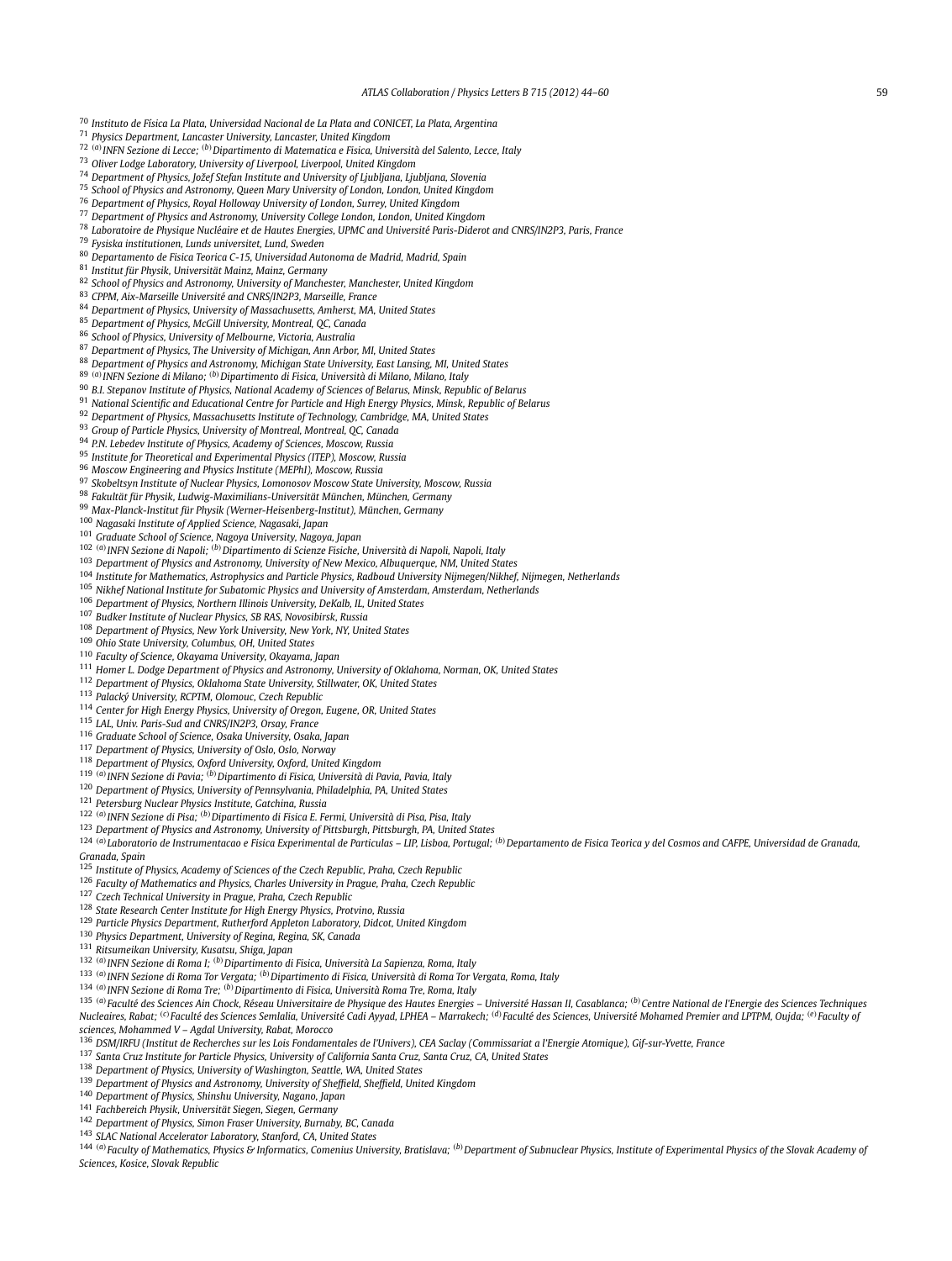<span id="page-15-0"></span>*Instituto de Física La Plata, Universidad Nacional de La Plata and CONICET, La Plata, Argentina*

*Physics Department, Lancaster University, Lancaster, United Kingdom*

*(a)INFN Sezione di Lecce; (b)Dipartimento di Matematica e Fisica, Università del Salento, Lecce, Italy*

*Oliver Lodge Laboratory, University of Liverpool, Liverpool, United Kingdom*

*Department of Physics, Jožef Stefan Institute and University of Ljubljana, Ljubljana, Slovenia*

*School of Physics and Astronomy, Queen Mary University of London, London, United Kingdom*

*Department of Physics, Royal Holloway University of London, Surrey, United Kingdom*

*Department of Physics and Astronomy, University College London, London, United Kingdom*

*Laboratoire de Physique Nucléaire et de Hautes Energies, UPMC and Université Paris-Diderot and CNRS/IN2P3, Paris, France*

*Fysiska institutionen, Lunds universitet, Lund, Sweden*

*Departamento de Fisica Teorica C-15, Universidad Autonoma de Madrid, Madrid, Spain*

*Institut für Physik, Universität Mainz, Mainz, Germany*

*School of Physics and Astronomy, University of Manchester, Manchester, United Kingdom*

*CPPM, Aix-Marseille Université and CNRS/IN2P3, Marseille, France*

*Department of Physics, University of Massachusetts, Amherst, MA, United States*

*Department of Physics, McGill University, Montreal, QC, Canada*

*School of Physics, University of Melbourne, Victoria, Australia*

*Department of Physics, The University of Michigan, Ann Arbor, MI, United States*

*Department of Physics and Astronomy, Michigan State University, East Lansing, MI, United States*

*(a)INFN Sezione di Milano; (b)Dipartimento di Fisica, Università di Milano, Milano, Italy*

*B.I. Stepanov Institute of Physics, National Academy of Sciences of Belarus, Minsk, Republic of Belarus*

*National Scientific and Educational Centre for Particle and High Energy Physics, Minsk, Republic of Belarus*

*Department of Physics, Massachusetts Institute of Technology, Cambridge, MA, United States*

*Group of Particle Physics, University of Montreal, Montreal, QC, Canada*

*P.N. Lebedev Institute of Physics, Academy of Sciences, Moscow, Russia*

*Institute for Theoretical and Experimental Physics (ITEP), Moscow, Russia*

*Moscow Engineering and Physics Institute (MEPhI), Moscow, Russia*

*Skobeltsyn Institute of Nuclear Physics, Lomonosov Moscow State University, Moscow, Russia*

*Fakultät für Physik, Ludwig-Maximilians-Universität München, München, Germany*

*Max-Planck-Institut für Physik (Werner-Heisenberg-Institut), München, Germany*

*Nagasaki Institute of Applied Science, Nagasaki, Japan*

*Graduate School of Science, Nagoya University, Nagoya, Japan*

*(a)INFN Sezione di Napoli; (b)Dipartimento di Scienze Fisiche, Università di Napoli, Napoli, Italy*

*Department of Physics and Astronomy, University of New Mexico, Albuquerque, NM, United States*

*Institute for Mathematics, Astrophysics and Particle Physics, Radboud University Nijmegen/Nikhef, Nijmegen, Netherlands*

*Nikhef National Institute for Subatomic Physics and University of Amsterdam, Amsterdam, Netherlands*

*Department of Physics, Northern Illinois University, DeKalb, IL, United States*

*Budker Institute of Nuclear Physics, SB RAS, Novosibirsk, Russia*

*Department of Physics, New York University, New York, NY, United States*

*Ohio State University, Columbus, OH, United States*

*Faculty of Science, Okayama University, Okayama, Japan*

*Homer L. Dodge Department of Physics and Astronomy, University of Oklahoma, Norman, OK, United States*

*Department of Physics, Oklahoma State University, Stillwater, OK, United States*

*Palacký University, RCPTM, Olomouc, Czech Republic*

*Center for High Energy Physics, University of Oregon, Eugene, OR, United States*

*LAL, Univ. Paris-Sud and CNRS/IN2P3, Orsay, France*

*Graduate School of Science, Osaka University, Osaka, Japan*

*Department of Physics, University of Oslo, Oslo, Norway*

*Department of Physics, Oxford University, Oxford, United Kingdom*

*(a)INFN Sezione di Pavia; (b)Dipartimento di Fisica, Università di Pavia, Pavia, Italy*

*Department of Physics, University of Pennsylvania, Philadelphia, PA, United States*

*Petersburg Nuclear Physics Institute, Gatchina, Russia*

### *(a)INFN Sezione di Pisa; (b)Dipartimento di Fisica E. Fermi, Università di Pisa, Pisa, Italy*

*Department of Physics and Astronomy, University of Pittsburgh, Pittsburgh, PA, United States*

124 (a) Laboratorio de Instrumentacao e Física Experimental de Particulas - LIP, Lisboa, Portugal; <sup>(b)</sup> Departamento de Fisica Teorica y del Cosmos and CAFPE, Universidad de Granada, *Granada, Spain*

*Institute of Physics, Academy of Sciences of the Czech Republic, Praha, Czech Republic*

*Faculty of Mathematics and Physics, Charles University in Prague, Praha, Czech Republic*

*Czech Technical University in Prague, Praha, Czech Republic*

*State Research Center Institute for High Energy Physics, Protvino, Russia*

*Particle Physics Department, Rutherford Appleton Laboratory, Didcot, United Kingdom*

*Physics Department, University of Regina, Regina, SK, Canada*

*Ritsumeikan University, Kusatsu, Shiga, Japan*

*(a)INFN Sezione di Roma I; (b)Dipartimento di Fisica, Università La Sapienza, Roma, Italy*

*(a)INFN Sezione di Roma Tor Vergata; (b)Dipartimento di Fisica, Università di Roma Tor Vergata, Roma, Italy*

*(a)INFN Sezione di Roma Tre; (b)Dipartimento di Fisica, Università Roma Tre, Roma, Italy*

135 (a) Faculté des Sciences Ain Chock, Réseau Universitaire de Physique des Hautes Energies - Université Hassan II, Casablanca; (b) Centre National de l'Energie des Sciences Techniques Nucleaires, Rabat; <sup>(c)</sup> Faculté des Sciences Semlalia, Université Cadi Ayyad, LPHEA - Marrakech; <sup>(d)</sup> Faculté des Sciences, Université Mohamed Premier and LPTPM, Oujda; <sup>(e)</sup> Faculty of *sciences, Mohammed V – Agdal University, Rabat, Morocco*

*DSM/IRFU (Institut de Recherches sur les Lois Fondamentales de l'Univers), CEA Saclay (Commissariat a l'Energie Atomique), Gif-sur-Yvette, France*

*Santa Cruz Institute for Particle Physics, University of California Santa Cruz, Santa Cruz, CA, United States*

*Department of Physics, University of Washington, Seattle, WA, United States*

*Department of Physics and Astronomy, University of Sheffield, Sheffield, United Kingdom*

*Department of Physics, Shinshu University, Nagano, Japan*

*Fachbereich Physik, Universität Siegen, Siegen, Germany*

*Department of Physics, Simon Fraser University, Burnaby, BC, Canada*

*SLAC National Accelerator Laboratory, Stanford, CA, United States*

144 (a) Faculty of Mathematics, Physics & Informatics, Comenius University, Bratislava; (b) Department of Subnuclear Physics, Institute of Experimental Physics of the Slovak Academy of *Sciences, Kosice, Slovak Republic*